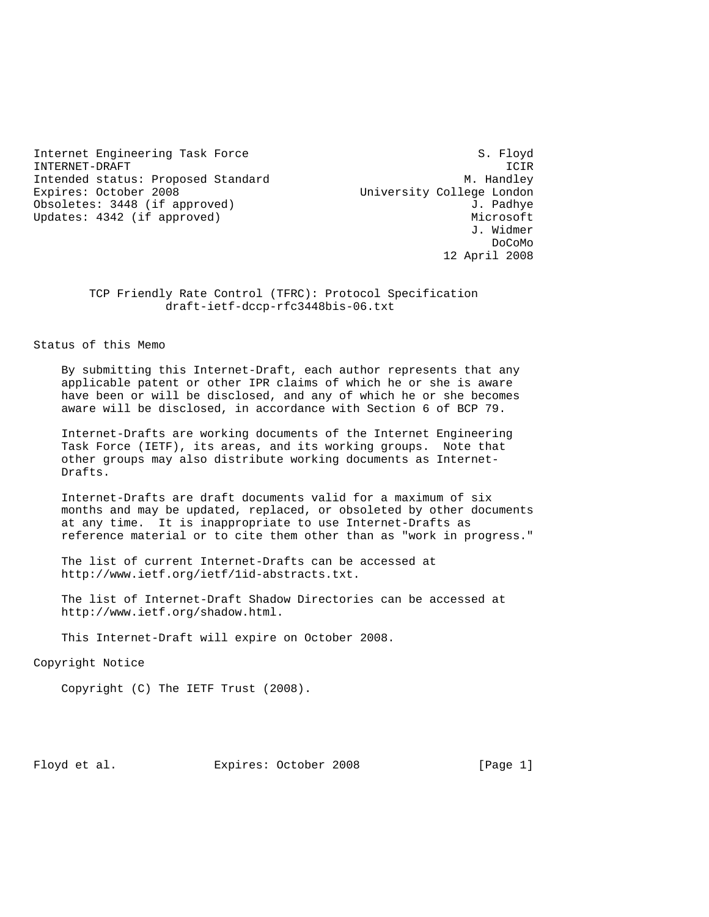Internet Engineering Task Force S. Floyd INTERNET-DRAFT ICIR Intended status: Proposed Standard M. Handley Expires: October 2008 University College London Obsoletes: 3448 (if approved) 3. Padhye Updates: 4342 (if approved) Microsoft Microsoft

 J. Widmer de la contrada de la contrada de la contrada de la contrada de la contrada de la contrada de la contrada de la 12 April 2008

> TCP Friendly Rate Control (TFRC): Protocol Specification draft-ietf-dccp-rfc3448bis-06.txt

Status of this Memo

 By submitting this Internet-Draft, each author represents that any applicable patent or other IPR claims of which he or she is aware have been or will be disclosed, and any of which he or she becomes aware will be disclosed, in accordance with Section 6 of BCP 79.

 Internet-Drafts are working documents of the Internet Engineering Task Force (IETF), its areas, and its working groups. Note that other groups may also distribute working documents as Internet- Drafts.

 Internet-Drafts are draft documents valid for a maximum of six months and may be updated, replaced, or obsoleted by other documents at any time. It is inappropriate to use Internet-Drafts as reference material or to cite them other than as "work in progress."

 The list of current Internet-Drafts can be accessed at http://www.ietf.org/ietf/1id-abstracts.txt.

 The list of Internet-Draft Shadow Directories can be accessed at http://www.ietf.org/shadow.html.

This Internet-Draft will expire on October 2008.

Copyright Notice

Copyright (C) The IETF Trust (2008).

Floyd et al. Expires: October 2008 [Page 1]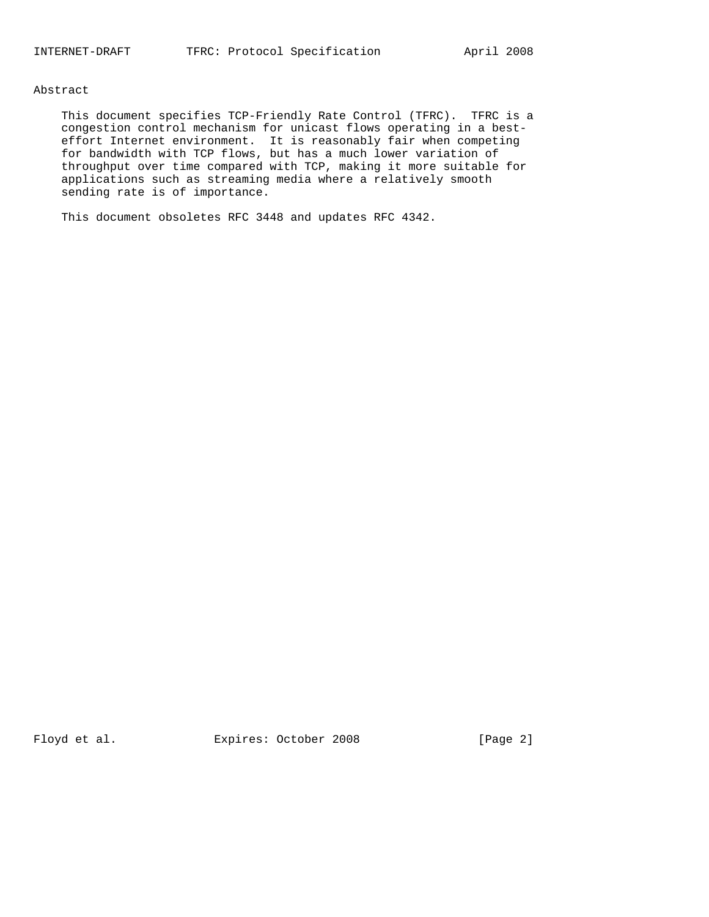# Abstract

 This document specifies TCP-Friendly Rate Control (TFRC). TFRC is a congestion control mechanism for unicast flows operating in a best effort Internet environment. It is reasonably fair when competing for bandwidth with TCP flows, but has a much lower variation of throughput over time compared with TCP, making it more suitable for applications such as streaming media where a relatively smooth sending rate is of importance.

This document obsoletes RFC 3448 and updates RFC 4342.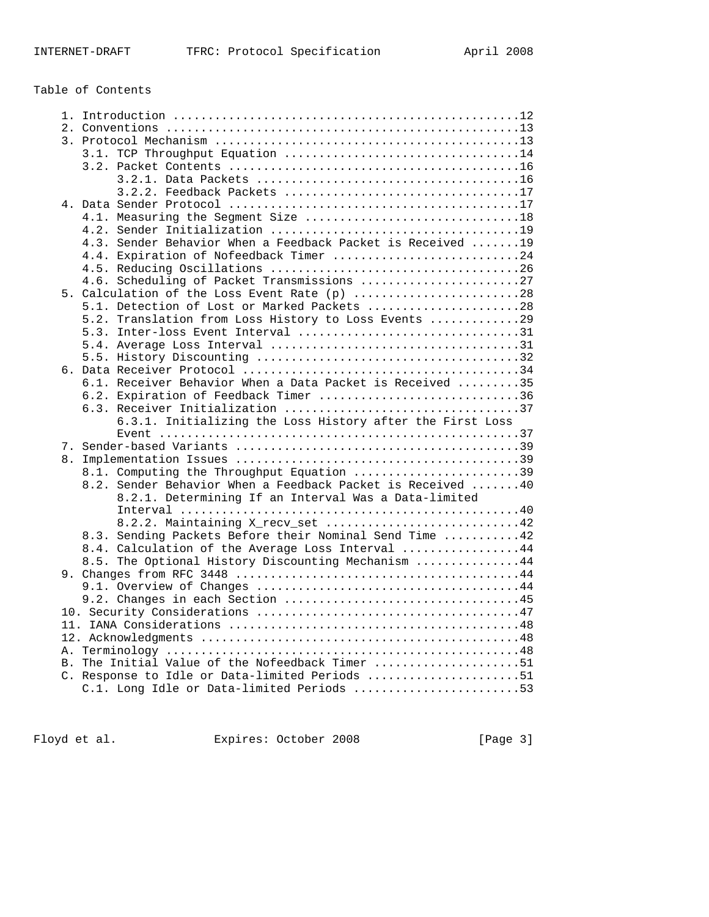# Table of Contents

| 3.2.2. Feedback Packets 17                                  |
|-------------------------------------------------------------|
|                                                             |
| 4.1. Measuring the Segment Size 18                          |
|                                                             |
| 4.3. Sender Behavior When a Feedback Packet is Received  19 |
| 4.4. Expiration of Nofeedback Timer 24                      |
|                                                             |
| 4.6. Scheduling of Packet Transmissions 27                  |
| 5. Calculation of the Loss Event Rate (p) 28                |
| 5.1. Detection of Lost or Marked Packets 28                 |
| 5.2. Translation from Loss History to Loss Events 29        |
| 5.3. Inter-loss Event Interval 31                           |
|                                                             |
|                                                             |
|                                                             |
| 6.1. Receiver Behavior When a Data Packet is Received 35    |
| 6.2. Expiration of Feedback Timer 36                        |
|                                                             |
| 6.3.1. Initializing the Loss History after the First Loss   |
|                                                             |
|                                                             |
|                                                             |
| 8.1. Computing the Throughput Equation 39                   |
| 8.2. Sender Behavior When a Feedback Packet is Received  40 |
| 8.2.1. Determining If an Interval Was a Data-limited        |
|                                                             |
| 8.2.2. Maintaining X recv set 42                            |
| 8.3. Sending Packets Before their Nominal Send Time 42      |
| 8.4. Calculation of the Average Loss Interval 44            |
| 8.5. The Optional History Discounting Mechanism 44          |
|                                                             |
|                                                             |
|                                                             |
|                                                             |
|                                                             |
|                                                             |
|                                                             |
| B. The Initial Value of the Nofeedback Timer 51             |
| C. Response to Idle or Data-limited Periods 51              |
| C.1. Long Idle or Data-limited Periods 53                   |
|                                                             |

Floyd et al. Expires: October 2008 [Page 3]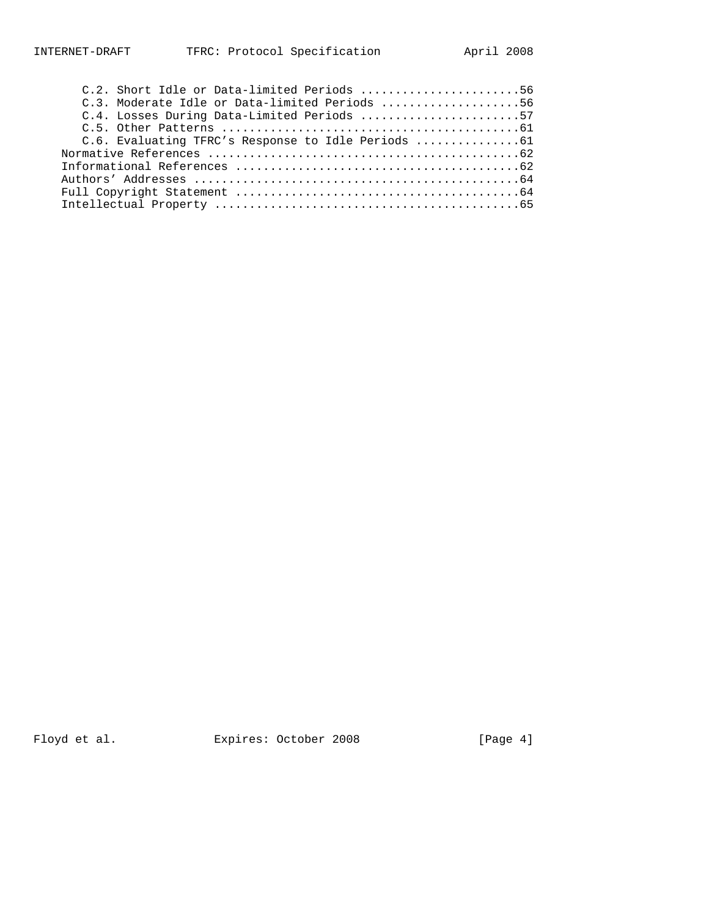| C.2. Short Idle or Data-limited Periods 56      |  |
|-------------------------------------------------|--|
| C.3. Moderate Idle or Data-limited Periods 56   |  |
| C.4. Losses During Data-Limited Periods 57      |  |
|                                                 |  |
| C.6. Evaluating TFRC's Response to Idle Periods |  |
|                                                 |  |
|                                                 |  |
|                                                 |  |
|                                                 |  |
|                                                 |  |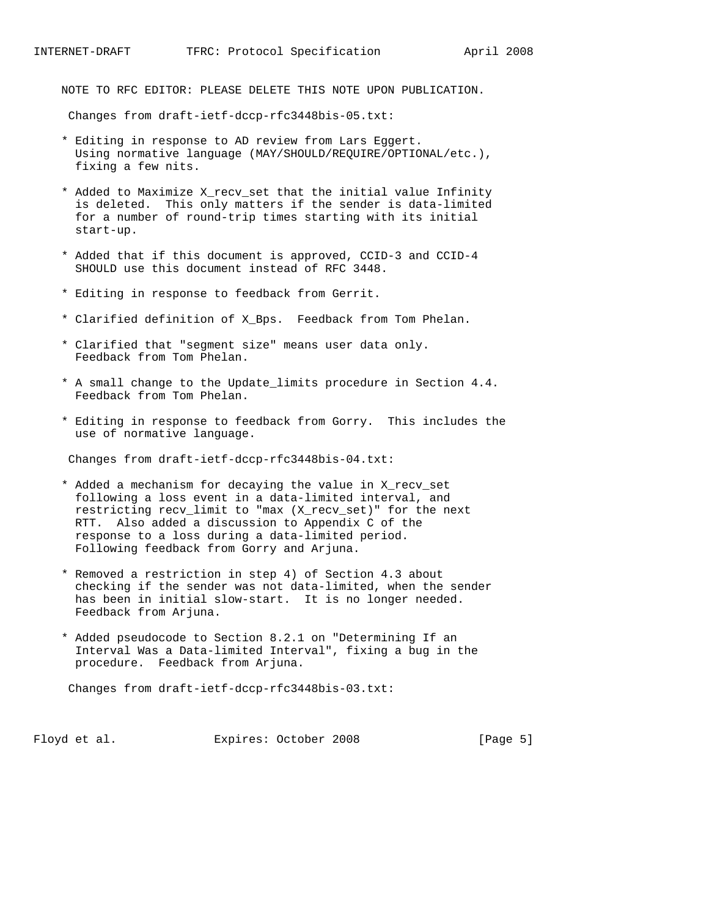NOTE TO RFC EDITOR: PLEASE DELETE THIS NOTE UPON PUBLICATION.

Changes from draft-ietf-dccp-rfc3448bis-05.txt:

- \* Editing in response to AD review from Lars Eggert. Using normative language (MAY/SHOULD/REQUIRE/OPTIONAL/etc.), fixing a few nits.
- \* Added to Maximize X\_recv\_set that the initial value Infinity is deleted. This only matters if the sender is data-limited for a number of round-trip times starting with its initial start-up.
- \* Added that if this document is approved, CCID-3 and CCID-4 SHOULD use this document instead of RFC 3448.
- \* Editing in response to feedback from Gerrit.
- \* Clarified definition of X\_Bps. Feedback from Tom Phelan.
- \* Clarified that "segment size" means user data only. Feedback from Tom Phelan.
- \* A small change to the Update\_limits procedure in Section 4.4. Feedback from Tom Phelan.
- \* Editing in response to feedback from Gorry. This includes the use of normative language.

Changes from draft-ietf-dccp-rfc3448bis-04.txt:

- \* Added a mechanism for decaying the value in X\_recv\_set following a loss event in a data-limited interval, and restricting recv\_limit to "max (X\_recv\_set)" for the next RTT. Also added a discussion to Appendix C of the response to a loss during a data-limited period. Following feedback from Gorry and Arjuna.
- \* Removed a restriction in step 4) of Section 4.3 about checking if the sender was not data-limited, when the sender has been in initial slow-start. It is no longer needed. Feedback from Arjuna.
- \* Added pseudocode to Section 8.2.1 on "Determining If an Interval Was a Data-limited Interval", fixing a bug in the procedure. Feedback from Arjuna.

Changes from draft-ietf-dccp-rfc3448bis-03.txt:

Floyd et al. Expires: October 2008 [Page 5]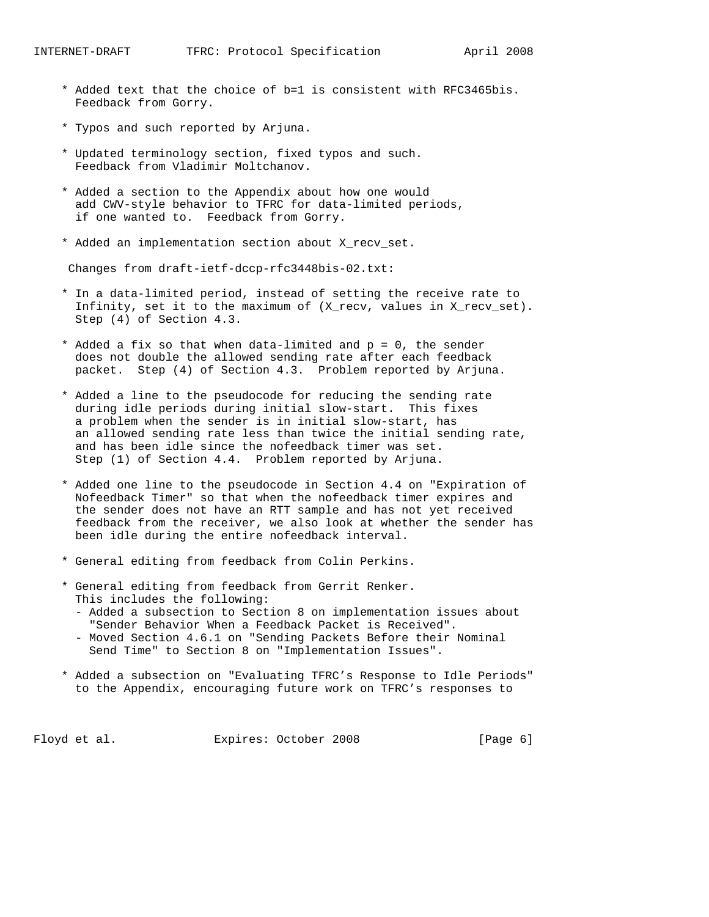- \* Added text that the choice of b=1 is consistent with RFC3465bis. Feedback from Gorry.
- \* Typos and such reported by Arjuna.
- \* Updated terminology section, fixed typos and such. Feedback from Vladimir Moltchanov.
- \* Added a section to the Appendix about how one would add CWV-style behavior to TFRC for data-limited periods, if one wanted to. Feedback from Gorry.
- \* Added an implementation section about X\_recv\_set.

Changes from draft-ietf-dccp-rfc3448bis-02.txt:

- \* In a data-limited period, instead of setting the receive rate to Infinity, set it to the maximum of (X\_recv, values in X\_recv\_set). Step (4) of Section 4.3.
- \* Added a fix so that when data-limited and p = 0, the sender does not double the allowed sending rate after each feedback packet. Step (4) of Section 4.3. Problem reported by Arjuna.
- \* Added a line to the pseudocode for reducing the sending rate during idle periods during initial slow-start. This fixes a problem when the sender is in initial slow-start, has an allowed sending rate less than twice the initial sending rate, and has been idle since the nofeedback timer was set. Step (1) of Section 4.4. Problem reported by Arjuna.
- \* Added one line to the pseudocode in Section 4.4 on "Expiration of Nofeedback Timer" so that when the nofeedback timer expires and the sender does not have an RTT sample and has not yet received feedback from the receiver, we also look at whether the sender has been idle during the entire nofeedback interval.
- \* General editing from feedback from Colin Perkins.
- \* General editing from feedback from Gerrit Renker. This includes the following:
	- Added a subsection to Section 8 on implementation issues about "Sender Behavior When a Feedback Packet is Received".
	- Moved Section 4.6.1 on "Sending Packets Before their Nominal Send Time" to Section 8 on "Implementation Issues".
- \* Added a subsection on "Evaluating TFRC's Response to Idle Periods" to the Appendix, encouraging future work on TFRC's responses to

Floyd et al. Expires: October 2008 [Page 6]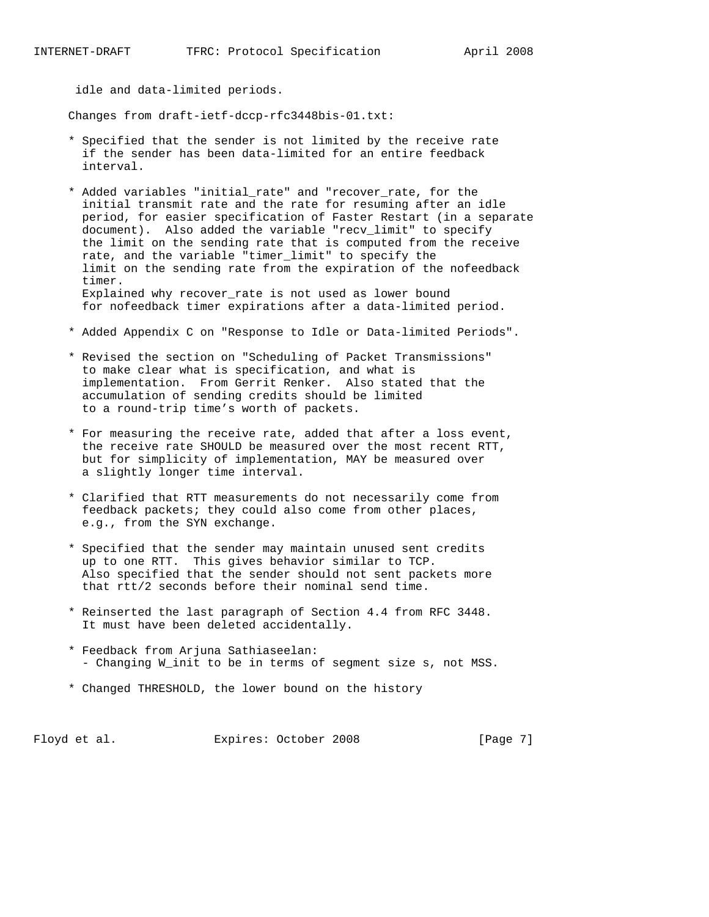idle and data-limited periods.

Changes from draft-ietf-dccp-rfc3448bis-01.txt:

- \* Specified that the sender is not limited by the receive rate if the sender has been data-limited for an entire feedback interval.
- \* Added variables "initial\_rate" and "recover\_rate, for the initial transmit rate and the rate for resuming after an idle period, for easier specification of Faster Restart (in a separate document). Also added the variable "recv\_limit" to specify the limit on the sending rate that is computed from the receive rate, and the variable "timer\_limit" to specify the limit on the sending rate from the expiration of the nofeedback timer. Explained why recover\_rate is not used as lower bound for nofeedback timer expirations after a data-limited period.
- \* Added Appendix C on "Response to Idle or Data-limited Periods".
- \* Revised the section on "Scheduling of Packet Transmissions" to make clear what is specification, and what is implementation. From Gerrit Renker. Also stated that the accumulation of sending credits should be limited to a round-trip time's worth of packets.
- \* For measuring the receive rate, added that after a loss event, the receive rate SHOULD be measured over the most recent RTT, but for simplicity of implementation, MAY be measured over a slightly longer time interval.
- \* Clarified that RTT measurements do not necessarily come from feedback packets; they could also come from other places, e.g., from the SYN exchange.
- \* Specified that the sender may maintain unused sent credits up to one RTT. This gives behavior similar to TCP. Also specified that the sender should not sent packets more that rtt/2 seconds before their nominal send time.
- \* Reinserted the last paragraph of Section 4.4 from RFC 3448. It must have been deleted accidentally.
- \* Feedback from Arjuna Sathiaseelan: - Changing W\_init to be in terms of segment size s, not MSS.
- \* Changed THRESHOLD, the lower bound on the history

Floyd et al. Expires: October 2008 [Page 7]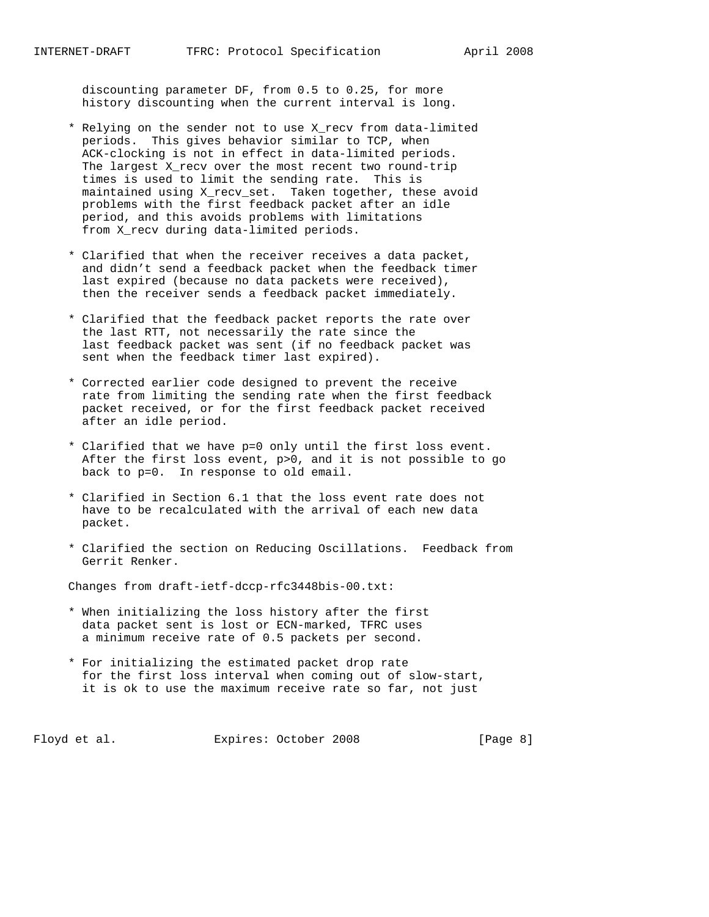discounting parameter DF, from 0.5 to 0.25, for more history discounting when the current interval is long.

- \* Relying on the sender not to use X\_recv from data-limited periods. This gives behavior similar to TCP, when ACK-clocking is not in effect in data-limited periods. The largest X\_recv over the most recent two round-trip times is used to limit the sending rate. This is maintained using X\_recv\_set. Taken together, these avoid problems with the first feedback packet after an idle period, and this avoids problems with limitations from X\_recv during data-limited periods.
- \* Clarified that when the receiver receives a data packet, and didn't send a feedback packet when the feedback timer last expired (because no data packets were received), then the receiver sends a feedback packet immediately.
- \* Clarified that the feedback packet reports the rate over the last RTT, not necessarily the rate since the last feedback packet was sent (if no feedback packet was sent when the feedback timer last expired).
- \* Corrected earlier code designed to prevent the receive rate from limiting the sending rate when the first feedback packet received, or for the first feedback packet received after an idle period.
- \* Clarified that we have p=0 only until the first loss event. After the first loss event, p>0, and it is not possible to go back to p=0. In response to old email.
- \* Clarified in Section 6.1 that the loss event rate does not have to be recalculated with the arrival of each new data packet.
- \* Clarified the section on Reducing Oscillations. Feedback from Gerrit Renker.

Changes from draft-ietf-dccp-rfc3448bis-00.txt:

- \* When initializing the loss history after the first data packet sent is lost or ECN-marked, TFRC uses a minimum receive rate of 0.5 packets per second.
- \* For initializing the estimated packet drop rate for the first loss interval when coming out of slow-start, it is ok to use the maximum receive rate so far, not just

Floyd et al. Expires: October 2008 [Page 8]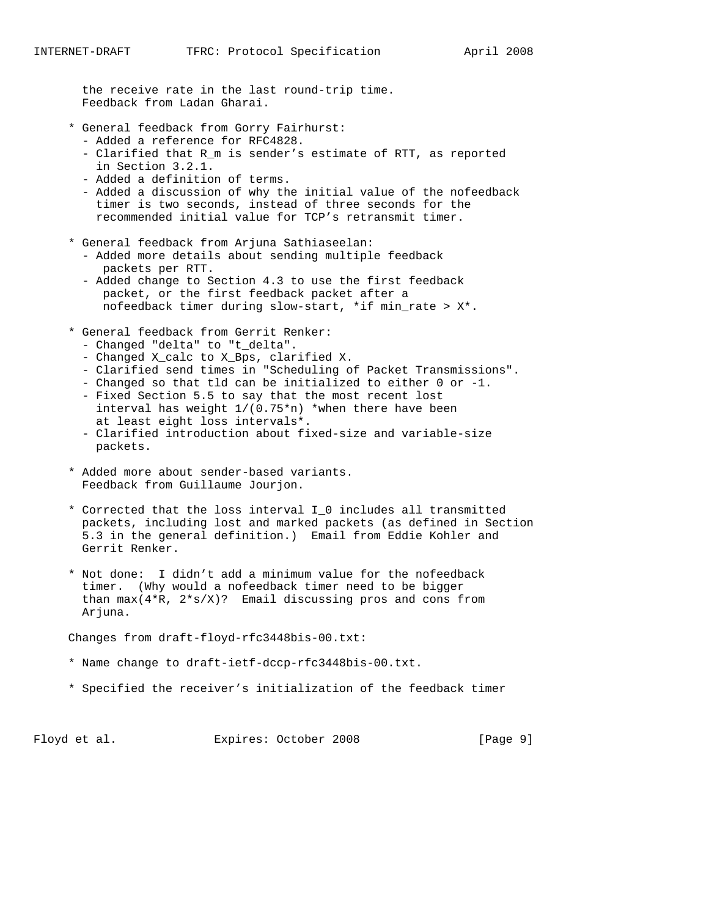the receive rate in the last round-trip time. Feedback from Ladan Gharai.

- \* General feedback from Gorry Fairhurst:
	- Added a reference for RFC4828.
	- Clarified that R\_m is sender's estimate of RTT, as reported in Section 3.2.1.
	- Added a definition of terms.
	- Added a discussion of why the initial value of the nofeedback timer is two seconds, instead of three seconds for the recommended initial value for TCP's retransmit timer.
- \* General feedback from Arjuna Sathiaseelan:
	- Added more details about sending multiple feedback packets per RTT.
	- Added change to Section 4.3 to use the first feedback packet, or the first feedback packet after a nofeedback timer during slow-start, \*if min\_rate > X\*.
- \* General feedback from Gerrit Renker:
	- Changed "delta" to "t\_delta".
	- Changed X\_calc to X\_Bps, clarified X.
	- Clarified send times in "Scheduling of Packet Transmissions".
	- Changed so that tld can be initialized to either 0 or -1.
	- Fixed Section 5.5 to say that the most recent lost interval has weight  $1/(0.75*n)$  \*when there have been at least eight loss intervals\*.
	- Clarified introduction about fixed-size and variable-size packets.
- \* Added more about sender-based variants. Feedback from Guillaume Jourjon.
- \* Corrected that the loss interval I\_0 includes all transmitted packets, including lost and marked packets (as defined in Section 5.3 in the general definition.) Email from Eddie Kohler and Gerrit Renker.
- \* Not done: I didn't add a minimum value for the nofeedback timer. (Why would a nofeedback timer need to be bigger than  $max(4*R, 2*s/X)?$  Email discussing pros and cons from Arjuna.

Changes from draft-floyd-rfc3448bis-00.txt:

- \* Name change to draft-ietf-dccp-rfc3448bis-00.txt.
- \* Specified the receiver's initialization of the feedback timer

Floyd et al. Expires: October 2008 [Page 9]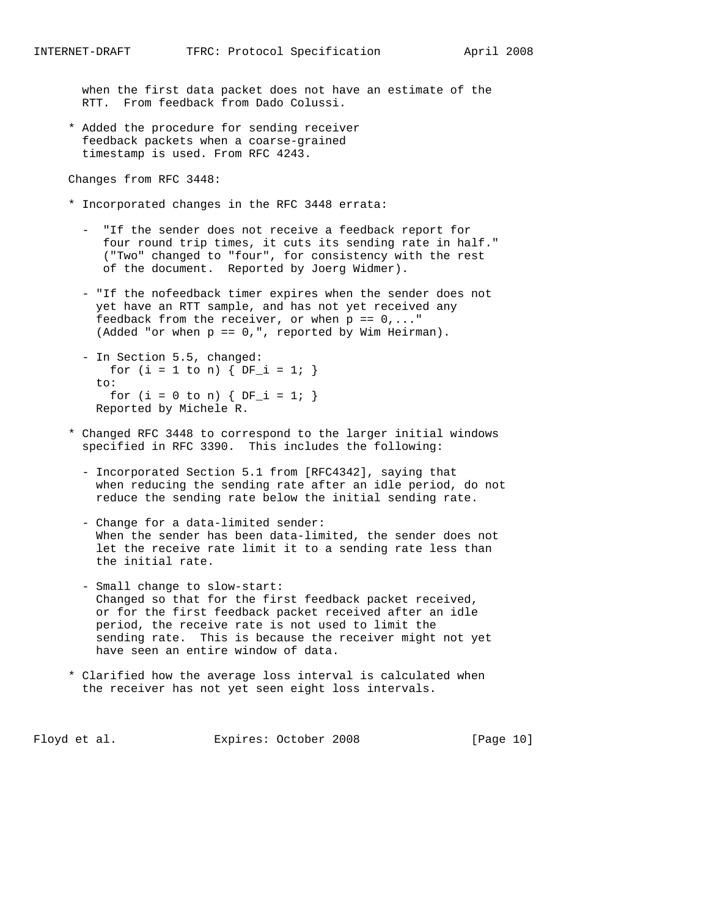when the first data packet does not have an estimate of the RTT. From feedback from Dado Colussi.

 \* Added the procedure for sending receiver feedback packets when a coarse-grained timestamp is used. From RFC 4243.

Changes from RFC 3448:

- \* Incorporated changes in the RFC 3448 errata:
	- "If the sender does not receive a feedback report for four round trip times, it cuts its sending rate in half." ("Two" changed to "four", for consistency with the rest of the document. Reported by Joerg Widmer).
	- "If the nofeedback timer expires when the sender does not yet have an RTT sample, and has not yet received any feedback from the receiver, or when  $p = 0, \ldots$ " (Added "or when p == 0,", reported by Wim Heirman).
	- In Section 5.5, changed: for (i = 1 to n) {  $DF_i = 1$ ; }  $t \cap$ : for (i = 0 to n) {  $DF_i = 1;$  } Reported by Michele R.
- \* Changed RFC 3448 to correspond to the larger initial windows specified in RFC 3390. This includes the following:
	- Incorporated Section 5.1 from [RFC4342], saying that when reducing the sending rate after an idle period, do not reduce the sending rate below the initial sending rate.
	- Change for a data-limited sender: When the sender has been data-limited, the sender does not let the receive rate limit it to a sending rate less than the initial rate.
	- Small change to slow-start: Changed so that for the first feedback packet received, or for the first feedback packet received after an idle period, the receive rate is not used to limit the sending rate. This is because the receiver might not yet have seen an entire window of data.
- \* Clarified how the average loss interval is calculated when the receiver has not yet seen eight loss intervals.

Floyd et al. Expires: October 2008 [Page 10]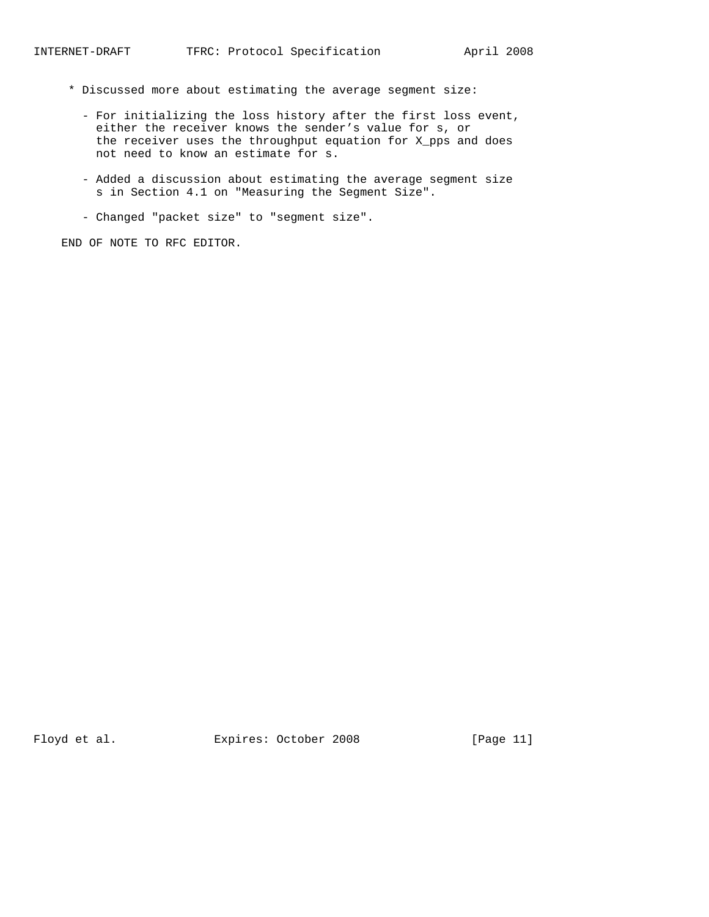- \* Discussed more about estimating the average segment size:
	- For initializing the loss history after the first loss event, either the receiver knows the sender's value for s, or the receiver uses the throughput equation for X\_pps and does not need to know an estimate for s.
	- Added a discussion about estimating the average segment size s in Section 4.1 on "Measuring the Segment Size".
	- Changed "packet size" to "segment size".

END OF NOTE TO RFC EDITOR.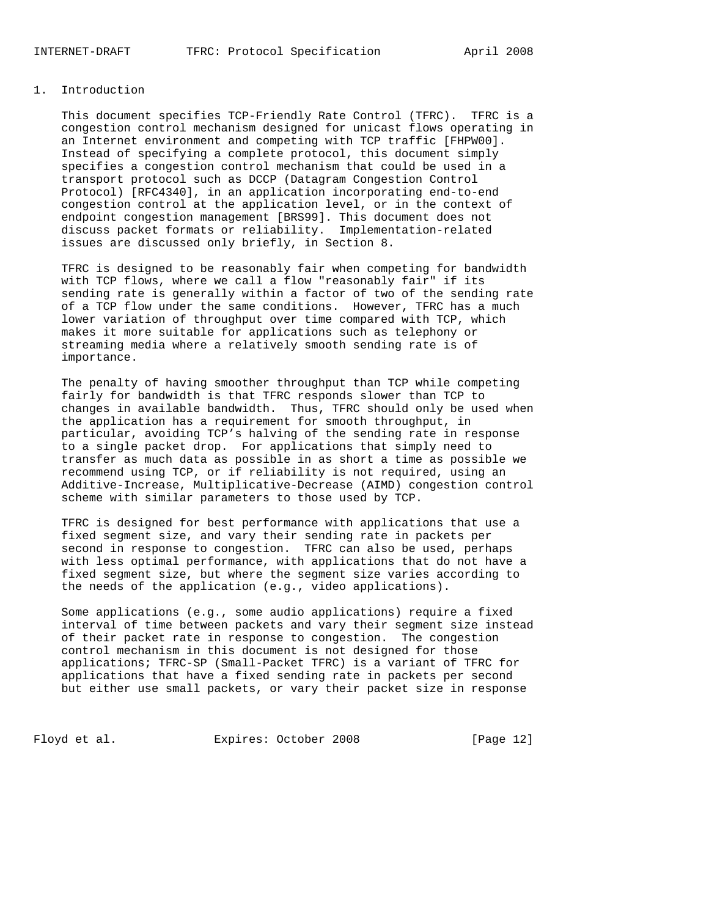### 1. Introduction

 This document specifies TCP-Friendly Rate Control (TFRC). TFRC is a congestion control mechanism designed for unicast flows operating in an Internet environment and competing with TCP traffic [FHPW00]. Instead of specifying a complete protocol, this document simply specifies a congestion control mechanism that could be used in a transport protocol such as DCCP (Datagram Congestion Control Protocol) [RFC4340], in an application incorporating end-to-end congestion control at the application level, or in the context of endpoint congestion management [BRS99]. This document does not discuss packet formats or reliability. Implementation-related issues are discussed only briefly, in Section 8.

 TFRC is designed to be reasonably fair when competing for bandwidth with TCP flows, where we call a flow "reasonably fair" if its sending rate is generally within a factor of two of the sending rate of a TCP flow under the same conditions. However, TFRC has a much lower variation of throughput over time compared with TCP, which makes it more suitable for applications such as telephony or streaming media where a relatively smooth sending rate is of importance.

 The penalty of having smoother throughput than TCP while competing fairly for bandwidth is that TFRC responds slower than TCP to changes in available bandwidth. Thus, TFRC should only be used when the application has a requirement for smooth throughput, in particular, avoiding TCP's halving of the sending rate in response to a single packet drop. For applications that simply need to transfer as much data as possible in as short a time as possible we recommend using TCP, or if reliability is not required, using an Additive-Increase, Multiplicative-Decrease (AIMD) congestion control scheme with similar parameters to those used by TCP.

 TFRC is designed for best performance with applications that use a fixed segment size, and vary their sending rate in packets per second in response to congestion. TFRC can also be used, perhaps with less optimal performance, with applications that do not have a fixed segment size, but where the segment size varies according to the needs of the application (e.g., video applications).

 Some applications (e.g., some audio applications) require a fixed interval of time between packets and vary their segment size instead of their packet rate in response to congestion. The congestion control mechanism in this document is not designed for those applications; TFRC-SP (Small-Packet TFRC) is a variant of TFRC for applications that have a fixed sending rate in packets per second but either use small packets, or vary their packet size in response

Floyd et al. Expires: October 2008 [Page 12]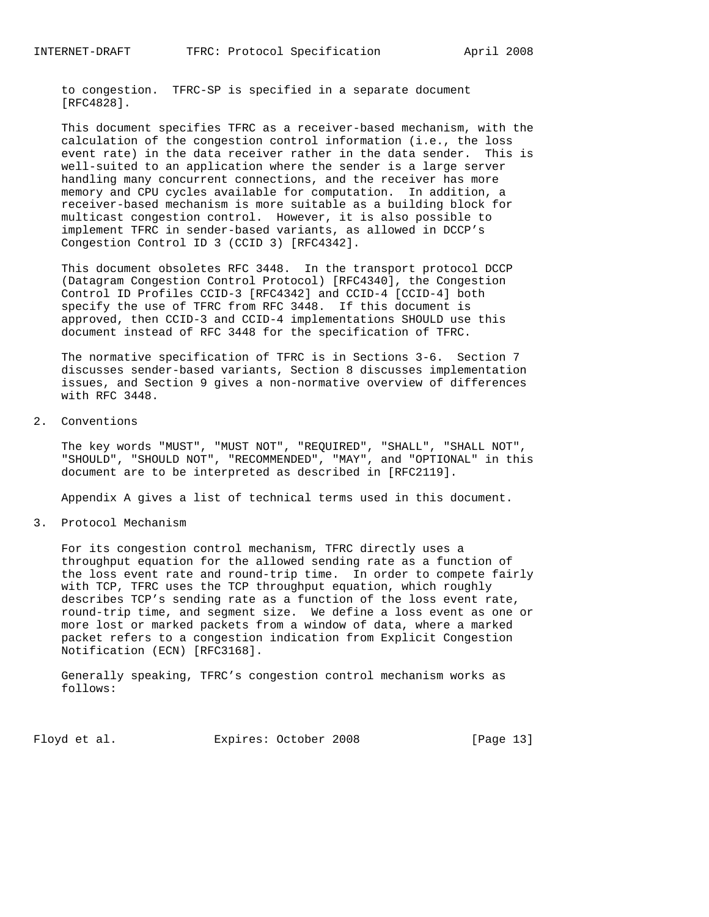to congestion. TFRC-SP is specified in a separate document [RFC4828].

 This document specifies TFRC as a receiver-based mechanism, with the calculation of the congestion control information (i.e., the loss event rate) in the data receiver rather in the data sender. This is well-suited to an application where the sender is a large server handling many concurrent connections, and the receiver has more memory and CPU cycles available for computation. In addition, a receiver-based mechanism is more suitable as a building block for multicast congestion control. However, it is also possible to implement TFRC in sender-based variants, as allowed in DCCP's Congestion Control ID 3 (CCID 3) [RFC4342].

 This document obsoletes RFC 3448. In the transport protocol DCCP (Datagram Congestion Control Protocol) [RFC4340], the Congestion Control ID Profiles CCID-3 [RFC4342] and CCID-4 [CCID-4] both specify the use of TFRC from RFC 3448. If this document is approved, then CCID-3 and CCID-4 implementations SHOULD use this document instead of RFC 3448 for the specification of TFRC.

 The normative specification of TFRC is in Sections 3-6. Section 7 discusses sender-based variants, Section 8 discusses implementation issues, and Section 9 gives a non-normative overview of differences with RFC 3448.

2. Conventions

 The key words "MUST", "MUST NOT", "REQUIRED", "SHALL", "SHALL NOT", "SHOULD", "SHOULD NOT", "RECOMMENDED", "MAY", and "OPTIONAL" in this document are to be interpreted as described in [RFC2119].

Appendix A gives a list of technical terms used in this document.

3. Protocol Mechanism

 For its congestion control mechanism, TFRC directly uses a throughput equation for the allowed sending rate as a function of the loss event rate and round-trip time. In order to compete fairly with TCP, TFRC uses the TCP throughput equation, which roughly describes TCP's sending rate as a function of the loss event rate, round-trip time, and segment size. We define a loss event as one or more lost or marked packets from a window of data, where a marked packet refers to a congestion indication from Explicit Congestion Notification (ECN) [RFC3168].

 Generally speaking, TFRC's congestion control mechanism works as follows:

Floyd et al. Expires: October 2008 [Page 13]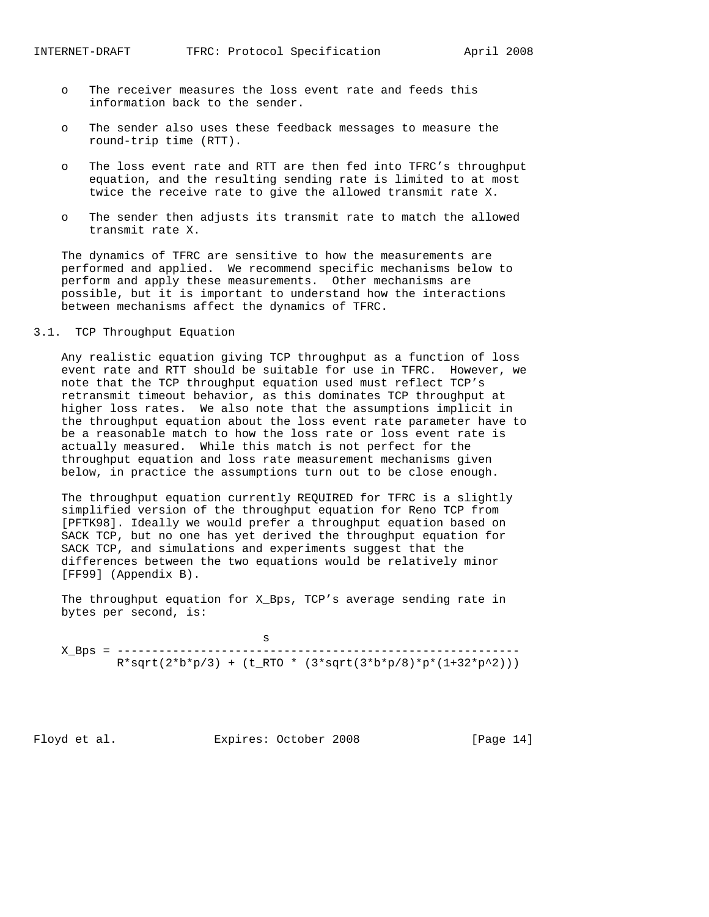- o The receiver measures the loss event rate and feeds this information back to the sender.
- o The sender also uses these feedback messages to measure the round-trip time (RTT).
- o The loss event rate and RTT are then fed into TFRC's throughput equation, and the resulting sending rate is limited to at most twice the receive rate to give the allowed transmit rate X.
- o The sender then adjusts its transmit rate to match the allowed transmit rate X.

 The dynamics of TFRC are sensitive to how the measurements are performed and applied. We recommend specific mechanisms below to perform and apply these measurements. Other mechanisms are possible, but it is important to understand how the interactions between mechanisms affect the dynamics of TFRC.

### 3.1. TCP Throughput Equation

 Any realistic equation giving TCP throughput as a function of loss event rate and RTT should be suitable for use in TFRC. However, we note that the TCP throughput equation used must reflect TCP's retransmit timeout behavior, as this dominates TCP throughput at higher loss rates. We also note that the assumptions implicit in the throughput equation about the loss event rate parameter have to be a reasonable match to how the loss rate or loss event rate is actually measured. While this match is not perfect for the throughput equation and loss rate measurement mechanisms given below, in practice the assumptions turn out to be close enough.

 The throughput equation currently REQUIRED for TFRC is a slightly simplified version of the throughput equation for Reno TCP from [PFTK98]. Ideally we would prefer a throughput equation based on SACK TCP, but no one has yet derived the throughput equation for SACK TCP, and simulations and experiments suggest that the differences between the two equations would be relatively minor [FF99] (Appendix B).

 The throughput equation for X\_Bps, TCP's average sending rate in bytes per second, is:

 s X\_Bps = ----------------------------------------------------------  $R*sqrt(2*b*p/3) + (t_RTO * (3*sqrt(3*b*p/8)*p*(1+32*p^2)))$ 

Floyd et al. Expires: October 2008 [Page 14]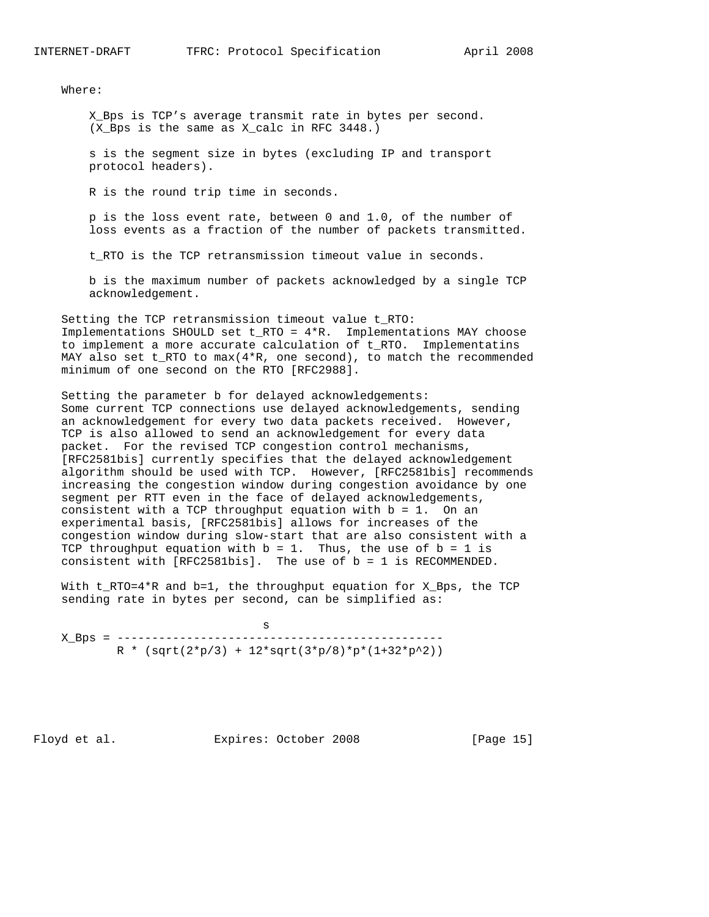Where:

 X\_Bps is TCP's average transmit rate in bytes per second. (X\_Bps is the same as X\_calc in RFC 3448.)

 s is the segment size in bytes (excluding IP and transport protocol headers).

R is the round trip time in seconds.

 p is the loss event rate, between 0 and 1.0, of the number of loss events as a fraction of the number of packets transmitted.

t\_RTO is the TCP retransmission timeout value in seconds.

 b is the maximum number of packets acknowledged by a single TCP acknowledgement.

 Setting the TCP retransmission timeout value t\_RTO: Implementations SHOULD set t\_RTO = 4\*R. Implementations MAY choose to implement a more accurate calculation of t\_RTO. Implementatins MAY also set t\_RTO to max(4\*R, one second), to match the recommended minimum of one second on the RTO [RFC2988].

 Setting the parameter b for delayed acknowledgements: Some current TCP connections use delayed acknowledgements, sending an acknowledgement for every two data packets received. However, TCP is also allowed to send an acknowledgement for every data packet. For the revised TCP congestion control mechanisms, [RFC2581bis] currently specifies that the delayed acknowledgement algorithm should be used with TCP. However, [RFC2581bis] recommends increasing the congestion window during congestion avoidance by one segment per RTT even in the face of delayed acknowledgements, consistent with a TCP throughput equation with b = 1. On an experimental basis, [RFC2581bis] allows for increases of the congestion window during slow-start that are also consistent with a TCP throughput equation with  $b = 1$ . Thus, the use of  $b = 1$  is consistent with [RFC2581bis]. The use of b = 1 is RECOMMENDED.

With t\_RTO=4\*R and b=1, the throughput equation for X\_Bps, the TCP sending rate in bytes per second, can be simplified as:

 s X\_Bps = -----------------------------------------------  $R * (sqrt(2*p/3) + 12*sqrt(3*p/8)*p*(1+32*p^2))$ 

Floyd et al. Expires: October 2008 [Page 15]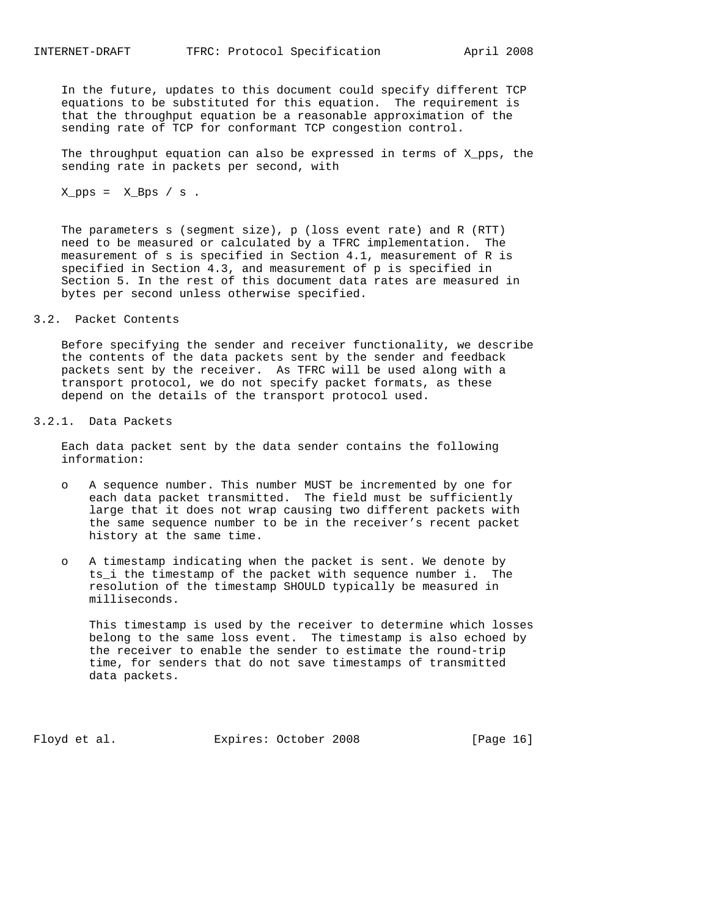In the future, updates to this document could specify different TCP equations to be substituted for this equation. The requirement is that the throughput equation be a reasonable approximation of the sending rate of TCP for conformant TCP congestion control.

 The throughput equation can also be expressed in terms of X\_pps, the sending rate in packets per second, with

 $X_pps = X_Bps / s$ .

 The parameters s (segment size), p (loss event rate) and R (RTT) need to be measured or calculated by a TFRC implementation. The measurement of s is specified in Section 4.1, measurement of R is specified in Section 4.3, and measurement of p is specified in Section 5. In the rest of this document data rates are measured in bytes per second unless otherwise specified.

3.2. Packet Contents

 Before specifying the sender and receiver functionality, we describe the contents of the data packets sent by the sender and feedback packets sent by the receiver. As TFRC will be used along with a transport protocol, we do not specify packet formats, as these depend on the details of the transport protocol used.

3.2.1. Data Packets

 Each data packet sent by the data sender contains the following information:

- o A sequence number. This number MUST be incremented by one for each data packet transmitted. The field must be sufficiently large that it does not wrap causing two different packets with the same sequence number to be in the receiver's recent packet history at the same time.
- o A timestamp indicating when the packet is sent. We denote by ts\_i the timestamp of the packet with sequence number i. The resolution of the timestamp SHOULD typically be measured in milliseconds.

 This timestamp is used by the receiver to determine which losses belong to the same loss event. The timestamp is also echoed by the receiver to enable the sender to estimate the round-trip time, for senders that do not save timestamps of transmitted data packets.

Floyd et al. Expires: October 2008 [Page 16]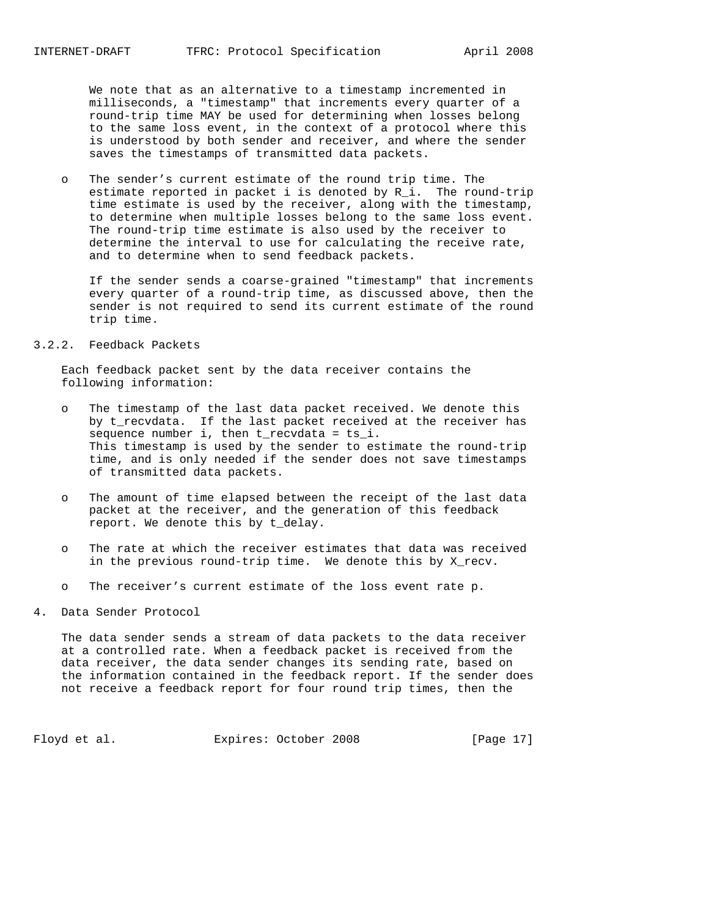We note that as an alternative to a timestamp incremented in milliseconds, a "timestamp" that increments every quarter of a round-trip time MAY be used for determining when losses belong to the same loss event, in the context of a protocol where this is understood by both sender and receiver, and where the sender saves the timestamps of transmitted data packets.

 o The sender's current estimate of the round trip time. The estimate reported in packet i is denoted by  $R_i$ . The round-trip time estimate is used by the receiver, along with the timestamp, to determine when multiple losses belong to the same loss event. The round-trip time estimate is also used by the receiver to determine the interval to use for calculating the receive rate, and to determine when to send feedback packets.

 If the sender sends a coarse-grained "timestamp" that increments every quarter of a round-trip time, as discussed above, then the sender is not required to send its current estimate of the round trip time.

### 3.2.2. Feedback Packets

 Each feedback packet sent by the data receiver contains the following information:

- o The timestamp of the last data packet received. We denote this by t\_recvdata. If the last packet received at the receiver has sequence number i, then t\_recvdata = ts\_i. This timestamp is used by the sender to estimate the round-trip time, and is only needed if the sender does not save timestamps of transmitted data packets.
- o The amount of time elapsed between the receipt of the last data packet at the receiver, and the generation of this feedback report. We denote this by t\_delay.
- o The rate at which the receiver estimates that data was received in the previous round-trip time. We denote this by X\_recv.
- o The receiver's current estimate of the loss event rate p.

### 4. Data Sender Protocol

 The data sender sends a stream of data packets to the data receiver at a controlled rate. When a feedback packet is received from the data receiver, the data sender changes its sending rate, based on the information contained in the feedback report. If the sender does not receive a feedback report for four round trip times, then the

Floyd et al. Expires: October 2008 [Page 17]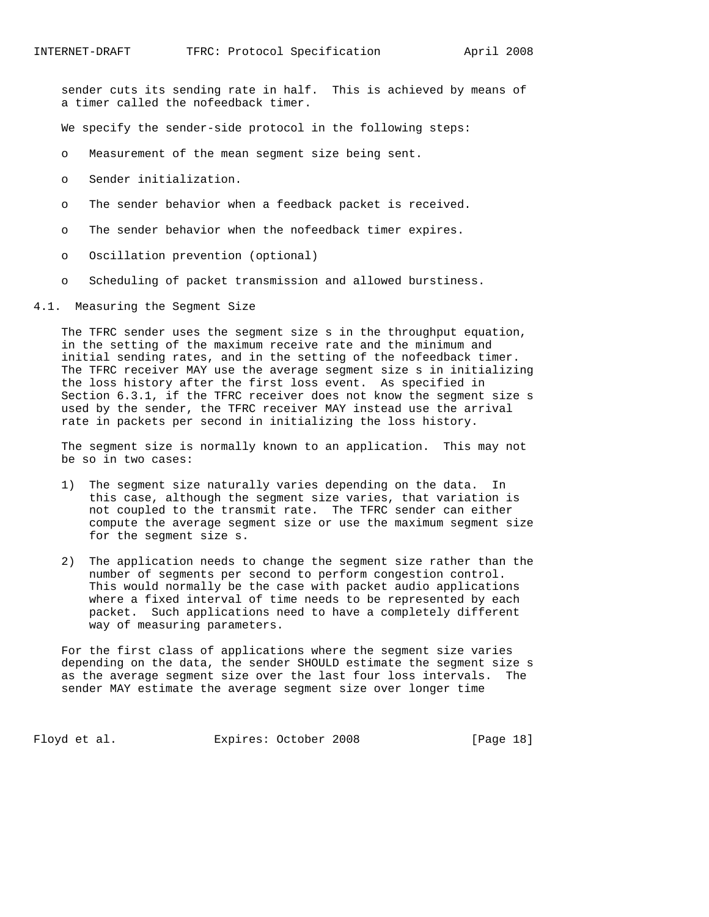sender cuts its sending rate in half. This is achieved by means of a timer called the nofeedback timer.

We specify the sender-side protocol in the following steps:

- o Measurement of the mean segment size being sent.
- o Sender initialization.
- o The sender behavior when a feedback packet is received.
- o The sender behavior when the nofeedback timer expires.
- o Oscillation prevention (optional)
- o Scheduling of packet transmission and allowed burstiness.
- 4.1. Measuring the Segment Size

 The TFRC sender uses the segment size s in the throughput equation, in the setting of the maximum receive rate and the minimum and initial sending rates, and in the setting of the nofeedback timer. The TFRC receiver MAY use the average segment size s in initializing the loss history after the first loss event. As specified in Section 6.3.1, if the TFRC receiver does not know the segment size s used by the sender, the TFRC receiver MAY instead use the arrival rate in packets per second in initializing the loss history.

 The segment size is normally known to an application. This may not be so in two cases:

- 1) The segment size naturally varies depending on the data. In this case, although the segment size varies, that variation is not coupled to the transmit rate. The TFRC sender can either compute the average segment size or use the maximum segment size for the segment size s.
- 2) The application needs to change the segment size rather than the number of segments per second to perform congestion control. This would normally be the case with packet audio applications where a fixed interval of time needs to be represented by each packet. Such applications need to have a completely different way of measuring parameters.

 For the first class of applications where the segment size varies depending on the data, the sender SHOULD estimate the segment size s as the average segment size over the last four loss intervals. The sender MAY estimate the average segment size over longer time

Floyd et al. Expires: October 2008 [Page 18]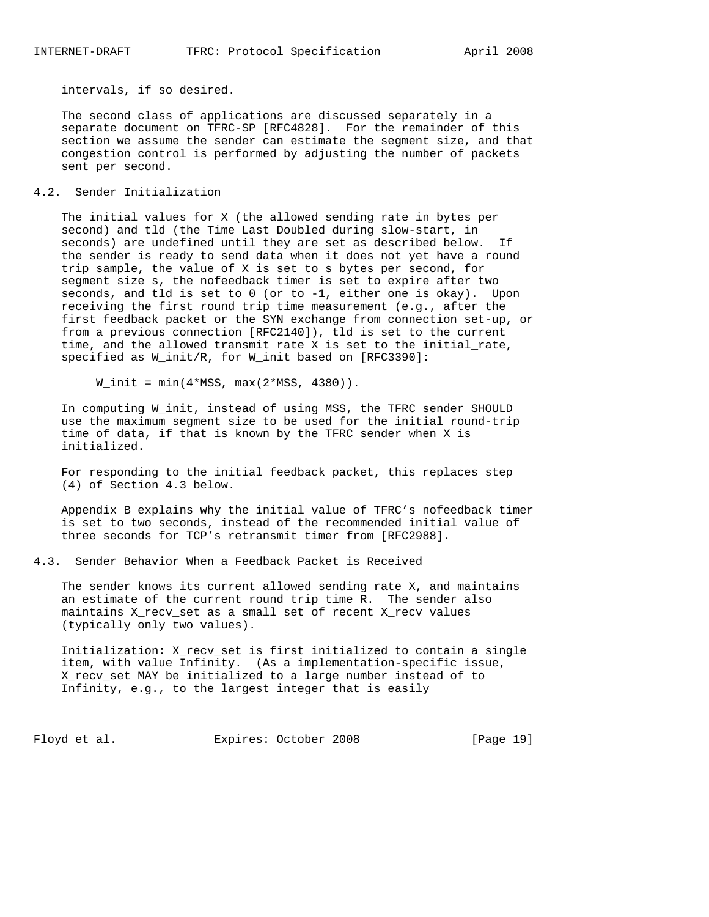intervals, if so desired.

 The second class of applications are discussed separately in a separate document on TFRC-SP [RFC4828]. For the remainder of this section we assume the sender can estimate the segment size, and that congestion control is performed by adjusting the number of packets sent per second.

### 4.2. Sender Initialization

 The initial values for X (the allowed sending rate in bytes per second) and tld (the Time Last Doubled during slow-start, in seconds) are undefined until they are set as described below. If the sender is ready to send data when it does not yet have a round trip sample, the value of X is set to s bytes per second, for segment size s, the nofeedback timer is set to expire after two seconds, and tld is set to 0 (or to -1, either one is okay). Upon receiving the first round trip time measurement (e.g., after the first feedback packet or the SYN exchange from connection set-up, or from a previous connection [RFC2140]), tld is set to the current time, and the allowed transmit rate X is set to the initial\_rate, specified as W\_init/R, for W\_init based on [RFC3390]:

 $W_$ init =  $min(4*MSS, max(2*MSS, 4380))$ .

 In computing W\_init, instead of using MSS, the TFRC sender SHOULD use the maximum segment size to be used for the initial round-trip time of data, if that is known by the TFRC sender when X is initialized.

 For responding to the initial feedback packet, this replaces step (4) of Section 4.3 below.

 Appendix B explains why the initial value of TFRC's nofeedback timer is set to two seconds, instead of the recommended initial value of three seconds for TCP's retransmit timer from [RFC2988].

4.3. Sender Behavior When a Feedback Packet is Received

 The sender knows its current allowed sending rate X, and maintains an estimate of the current round trip time R. The sender also maintains X\_recv\_set as a small set of recent X\_recv values (typically only two values).

 Initialization: X\_recv\_set is first initialized to contain a single item, with value Infinity. (As a implementation-specific issue, X\_recv\_set MAY be initialized to a large number instead of to Infinity, e.g., to the largest integer that is easily

Floyd et al. Expires: October 2008 [Page 19]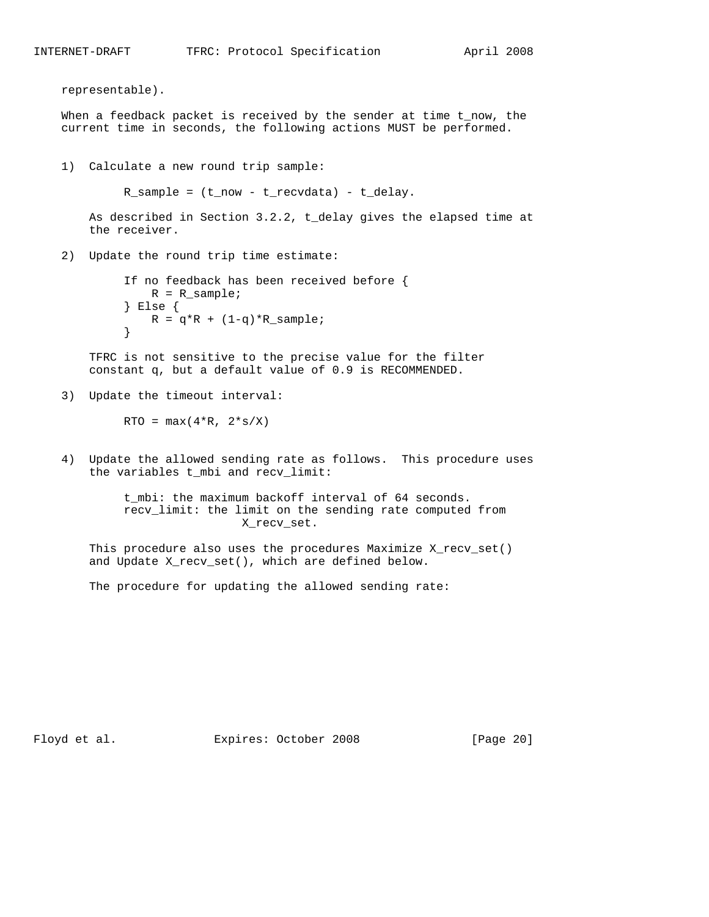```
 representable).
   When a feedback packet is received by the sender at time t_now, the
   current time in seconds, the following actions MUST be performed.
   1) Calculate a new round trip sample:
           R_sample = (t_now - t_recvdata) - t_delay.
       As described in Section 3.2.2, t_delay gives the elapsed time at
       the receiver.
   2) Update the round trip time estimate:
             If no feedback has been received before {
               R = R sample;
             } Else {
               R = q*R + (1-q)*R sample;
}
       TFRC is not sensitive to the precise value for the filter
       constant q, but a default value of 0.9 is RECOMMENDED.
   3) Update the timeout interval:
           RTO = max(4*R, 2*s/X) 4) Update the allowed sending rate as follows. This procedure uses
       the variables t_mbi and recv_limit:
            t_mbi: the maximum backoff interval of 64 seconds.
            recv_limit: the limit on the sending rate computed from
                             X_recv_set.
       This procedure also uses the procedures Maximize X_recv_set()
       and Update X_recv_set(), which are defined below.
       The procedure for updating the allowed sending rate:
```
Floyd et al. Expires: October 2008 [Page 20]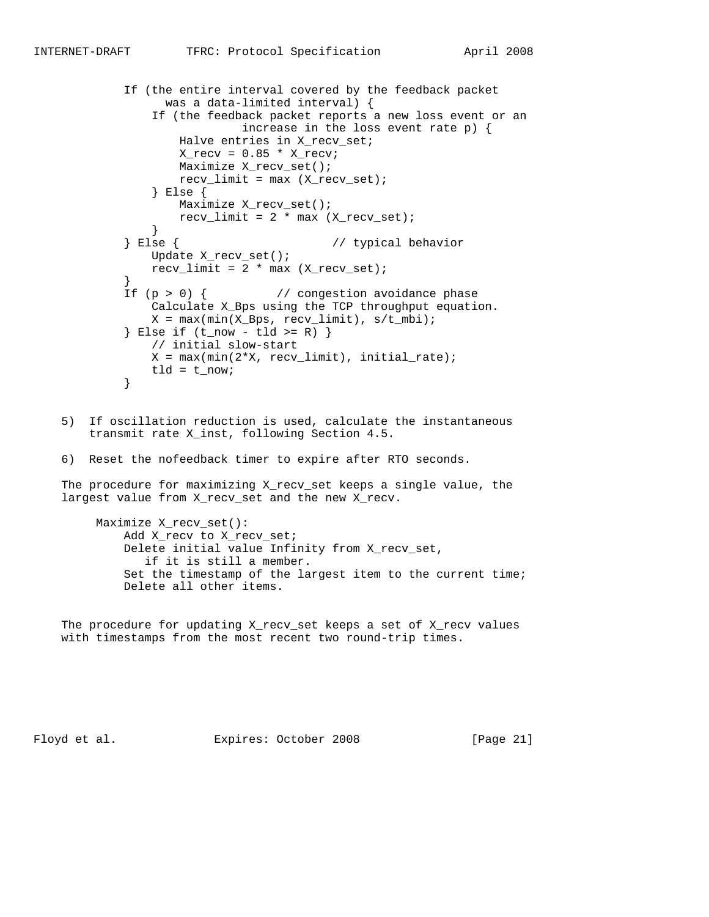```
 If (the entire interval covered by the feedback packet
                 was a data-limited interval) {
               If (the feedback packet reports a new loss event or an
                           increase in the loss event rate p) {
                   Halve entries in X_recv_set;
                  X_{recv} = 0.85 * X_{recvi} Maximize X_recv_set();
                 recv_limit = max (X_recv_set); } Else {
                 Maximize X recv set();
              recv_limit = 2 * max (X_recv_set); }
            } Else { // typical behavior
               Update X_recv_set();
              recv_limit = 2 * max (X-recv_set); }
          If (p > 0) { // congestion avoidance phase
               Calculate X_Bps using the TCP throughput equation.
              X = max(min(X_Bps, recv_limit), s/t_mbi);\} Else if (t_now - tld >= R) \} // initial slow-start
              X = max(min(2*X, recv_limit), initial_rate);tld = t_{now}; }
```
- 5) If oscillation reduction is used, calculate the instantaneous transmit rate X\_inst, following Section 4.5.
- 6) Reset the nofeedback timer to expire after RTO seconds.

 The procedure for maximizing X\_recv\_set keeps a single value, the largest value from X\_recv\_set and the new X\_recv.

 Maximize X\_recv\_set(): Add X\_recv to X\_recv\_set; Delete initial value Infinity from X\_recv\_set, if it is still a member. Set the timestamp of the largest item to the current time; Delete all other items.

 The procedure for updating X\_recv\_set keeps a set of X\_recv values with timestamps from the most recent two round-trip times.

Floyd et al. **Expires:** October 2008 [Page 21]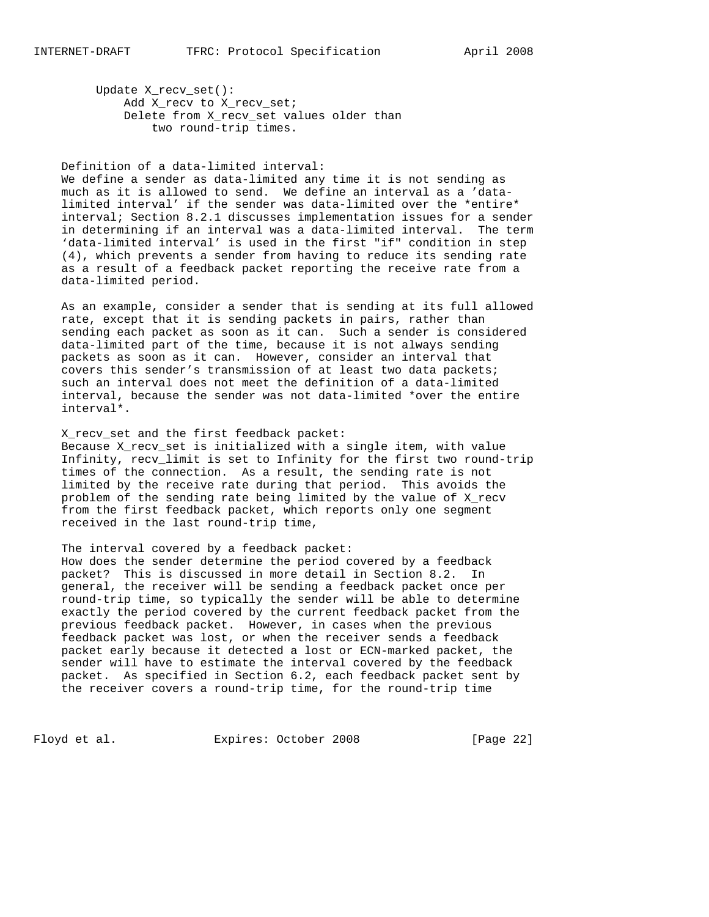Update X\_recv\_set(): Add X\_recv to X\_recv\_set; Delete from X\_recv\_set values older than two round-trip times.

 Definition of a data-limited interval: We define a sender as data-limited any time it is not sending as much as it is allowed to send. We define an interval as a 'data limited interval' if the sender was data-limited over the \*entire\* interval; Section 8.2.1 discusses implementation issues for a sender in determining if an interval was a data-limited interval. The term 'data-limited interval' is used in the first "if" condition in step (4), which prevents a sender from having to reduce its sending rate as a result of a feedback packet reporting the receive rate from a data-limited period.

 As an example, consider a sender that is sending at its full allowed rate, except that it is sending packets in pairs, rather than sending each packet as soon as it can. Such a sender is considered data-limited part of the time, because it is not always sending packets as soon as it can. However, consider an interval that covers this sender's transmission of at least two data packets; such an interval does not meet the definition of a data-limited interval, because the sender was not data-limited \*over the entire interval\*.

X recv set and the first feedback packet: Because X\_recv\_set is initialized with a single item, with value Infinity, recv\_limit is set to Infinity for the first two round-trip times of the connection. As a result, the sending rate is not limited by the receive rate during that period. This avoids the problem of the sending rate being limited by the value of X\_recv from the first feedback packet, which reports only one segment received in the last round-trip time,

 The interval covered by a feedback packet: How does the sender determine the period covered by a feedback packet? This is discussed in more detail in Section 8.2. In general, the receiver will be sending a feedback packet once per round-trip time, so typically the sender will be able to determine exactly the period covered by the current feedback packet from the previous feedback packet. However, in cases when the previous feedback packet was lost, or when the receiver sends a feedback packet early because it detected a lost or ECN-marked packet, the sender will have to estimate the interval covered by the feedback packet. As specified in Section 6.2, each feedback packet sent by the receiver covers a round-trip time, for the round-trip time

Floyd et al. Expires: October 2008 [Page 22]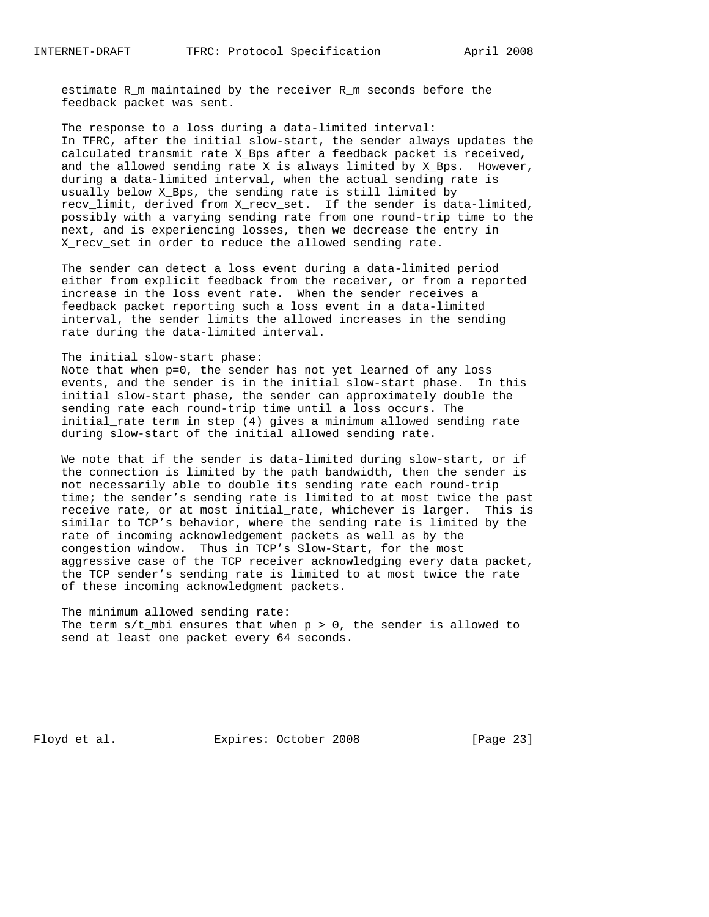estimate R\_m maintained by the receiver R\_m seconds before the feedback packet was sent.

 The response to a loss during a data-limited interval: In TFRC, after the initial slow-start, the sender always updates the calculated transmit rate X\_Bps after a feedback packet is received, and the allowed sending rate X is always limited by X\_Bps. However, during a data-limited interval, when the actual sending rate is usually below X\_Bps, the sending rate is still limited by recv\_limit, derived from X\_recv\_set. If the sender is data-limited, possibly with a varying sending rate from one round-trip time to the next, and is experiencing losses, then we decrease the entry in X\_recv\_set in order to reduce the allowed sending rate.

 The sender can detect a loss event during a data-limited period either from explicit feedback from the receiver, or from a reported increase in the loss event rate. When the sender receives a feedback packet reporting such a loss event in a data-limited interval, the sender limits the allowed increases in the sending rate during the data-limited interval.

### The initial slow-start phase:

 Note that when p=0, the sender has not yet learned of any loss events, and the sender is in the initial slow-start phase. In this initial slow-start phase, the sender can approximately double the sending rate each round-trip time until a loss occurs. The initial\_rate term in step (4) gives a minimum allowed sending rate during slow-start of the initial allowed sending rate.

 We note that if the sender is data-limited during slow-start, or if the connection is limited by the path bandwidth, then the sender is not necessarily able to double its sending rate each round-trip time; the sender's sending rate is limited to at most twice the past receive rate, or at most initial\_rate, whichever is larger. This is similar to TCP's behavior, where the sending rate is limited by the rate of incoming acknowledgement packets as well as by the congestion window. Thus in TCP's Slow-Start, for the most aggressive case of the TCP receiver acknowledging every data packet, the TCP sender's sending rate is limited to at most twice the rate of these incoming acknowledgment packets.

 The minimum allowed sending rate: The term  $s/t$  mbi ensures that when  $p > 0$ , the sender is allowed to send at least one packet every 64 seconds.

Floyd et al. Expires: October 2008 [Page 23]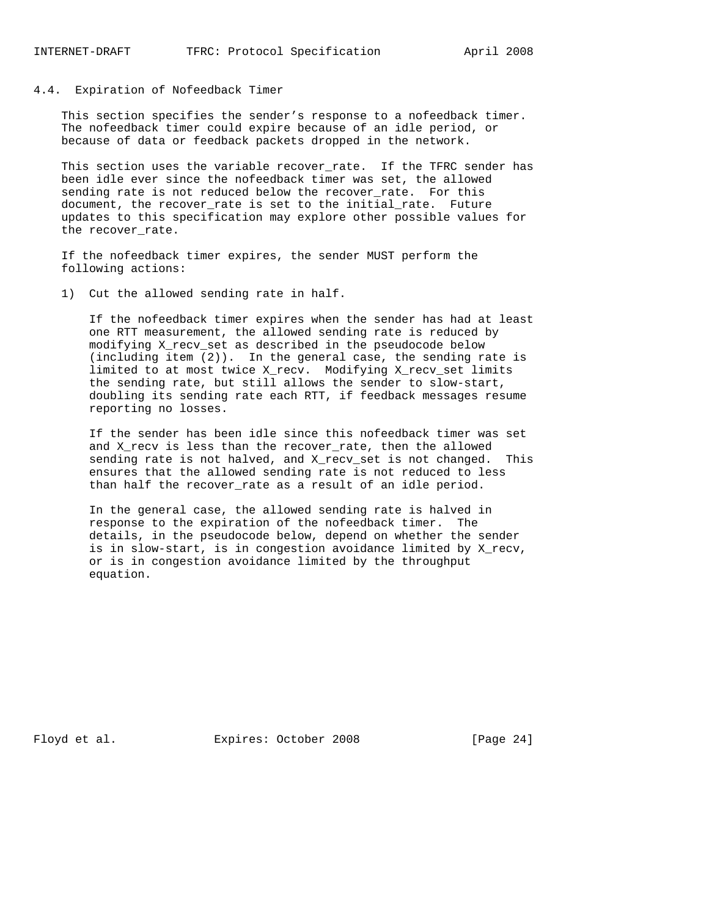### 4.4. Expiration of Nofeedback Timer

 This section specifies the sender's response to a nofeedback timer. The nofeedback timer could expire because of an idle period, or because of data or feedback packets dropped in the network.

 This section uses the variable recover\_rate. If the TFRC sender has been idle ever since the nofeedback timer was set, the allowed sending rate is not reduced below the recover\_rate. For this document, the recover\_rate is set to the initial\_rate. Future updates to this specification may explore other possible values for the recover\_rate.

 If the nofeedback timer expires, the sender MUST perform the following actions:

1) Cut the allowed sending rate in half.

 If the nofeedback timer expires when the sender has had at least one RTT measurement, the allowed sending rate is reduced by modifying X\_recv\_set as described in the pseudocode below (including item (2)). In the general case, the sending rate is limited to at most twice X\_recv. Modifying X\_recv\_set limits the sending rate, but still allows the sender to slow-start, doubling its sending rate each RTT, if feedback messages resume reporting no losses.

 If the sender has been idle since this nofeedback timer was set and X\_recv is less than the recover\_rate, then the allowed sending rate is not halved, and X\_recv\_set is not changed. This ensures that the allowed sending rate is not reduced to less than half the recover\_rate as a result of an idle period.

 In the general case, the allowed sending rate is halved in response to the expiration of the nofeedback timer. The details, in the pseudocode below, depend on whether the sender is in slow-start, is in congestion avoidance limited by X\_recv, or is in congestion avoidance limited by the throughput equation.

Floyd et al. Expires: October 2008 [Page 24]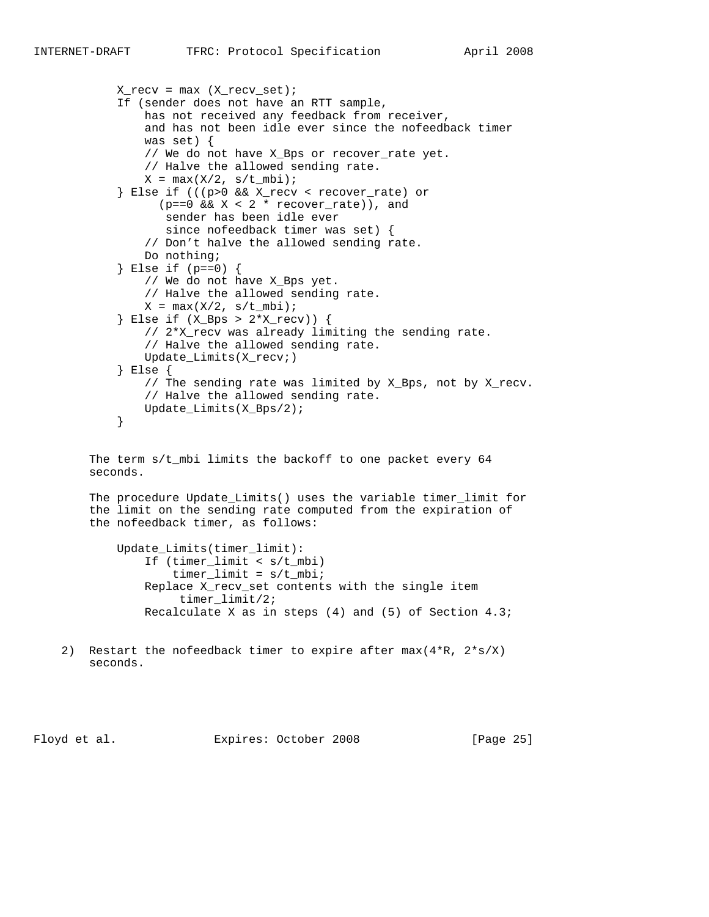```
X_{recv} = max (X_{recv_set});
            If (sender does not have an RTT sample,
                has not received any feedback from receiver,
                and has not been idle ever since the nofeedback timer
                was set) {
                // We do not have X_Bps or recover_rate yet.
                // Halve the allowed sending rate.
               X = \max(X/2, s/t_mbi);
            } Else if (((p>0 && X_recv < recover_rate) or
                 (p==0 \&x \times 2 * recover_rate), and
                  sender has been idle ever
                   since nofeedback timer was set) {
                // Don't halve the allowed sending rate.
                Do nothing;
            } Else if (p==0) {
                // We do not have X_Bps yet.
                // Halve the allowed sending rate.
               X = \max(X/2, s/t_mbi);
            } Else if (X_Bps > 2*X_recv)) {
                // 2*X_recv was already limiting the sending rate.
                // Halve the allowed sending rate.
                Update_Limits(X_recv;)
            } Else {
                // The sending rate was limited by X_Bps, not by X_recv.
                // Halve the allowed sending rate.
           Update_Limits(X_Bps/2);<br>}
}
       The term s/t_mbi limits the backoff to one packet every 64
       seconds.
       The procedure Update_Limits() uses the variable timer_limit for
        the limit on the sending rate computed from the expiration of
        the nofeedback timer, as follows:
            Update_Limits(timer_limit):
                If (timer_limit < s/t_mbi)
                   timer\_limit = s/t_mbi; Replace X_recv_set contents with the single item
                     timer_limit/2;
                Recalculate X as in steps (4) and (5) of Section 4.3;
    2) Restart the nofeedback timer to expire after max(4*R, 2*s/X)
       seconds.
```
Floyd et al. Expires: October 2008 [Page 25]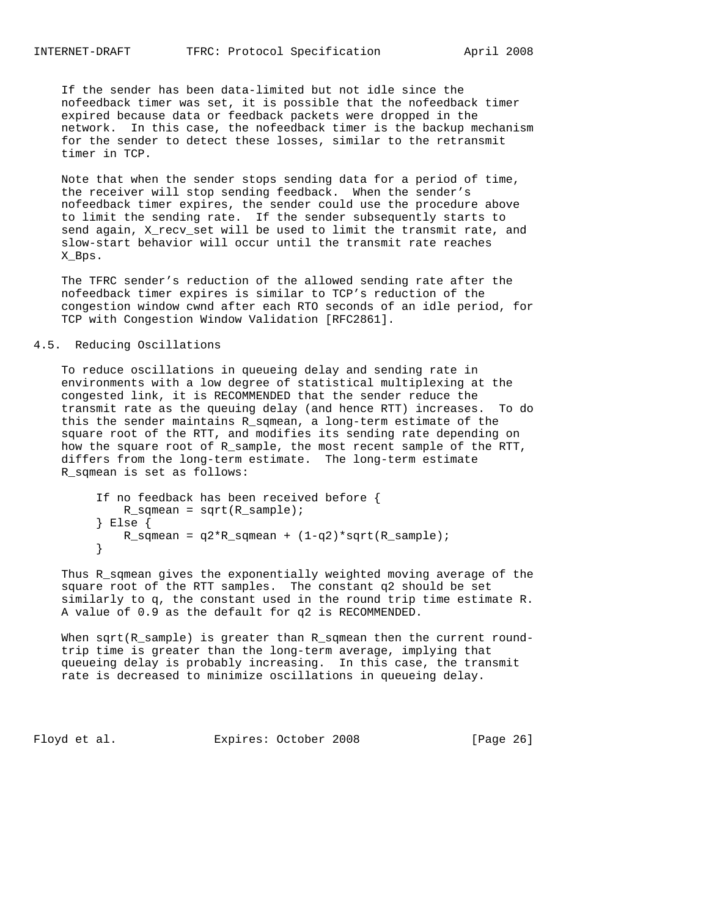If the sender has been data-limited but not idle since the nofeedback timer was set, it is possible that the nofeedback timer expired because data or feedback packets were dropped in the network. In this case, the nofeedback timer is the backup mechanism for the sender to detect these losses, similar to the retransmit timer in TCP.

 Note that when the sender stops sending data for a period of time, the receiver will stop sending feedback. When the sender's nofeedback timer expires, the sender could use the procedure above to limit the sending rate. If the sender subsequently starts to send again, X\_recv\_set will be used to limit the transmit rate, and slow-start behavior will occur until the transmit rate reaches X\_Bps.

 The TFRC sender's reduction of the allowed sending rate after the nofeedback timer expires is similar to TCP's reduction of the congestion window cwnd after each RTO seconds of an idle period, for TCP with Congestion Window Validation [RFC2861].

#### 4.5. Reducing Oscillations

 To reduce oscillations in queueing delay and sending rate in environments with a low degree of statistical multiplexing at the congested link, it is RECOMMENDED that the sender reduce the transmit rate as the queuing delay (and hence RTT) increases. To do this the sender maintains R\_sqmean, a long-term estimate of the square root of the RTT, and modifies its sending rate depending on how the square root of R\_sample, the most recent sample of the RTT, differs from the long-term estimate. The long-term estimate R\_sqmean is set as follows:

```
 If no feedback has been received before {
           R_sqmean = sqrt(R_sample);
        } Else {
       R_sqmean = q2*R_sqmean + (1-q2)*sqrt(R_sample);
}
```
 Thus R\_sqmean gives the exponentially weighted moving average of the square root of the RTT samples. The constant q2 should be set similarly to q, the constant used in the round trip time estimate R. A value of 0.9 as the default for q2 is RECOMMENDED.

When sqrt(R\_sample) is greater than R\_sqmean then the current round trip time is greater than the long-term average, implying that queueing delay is probably increasing. In this case, the transmit rate is decreased to minimize oscillations in queueing delay.

Floyd et al. Expires: October 2008 [Page 26]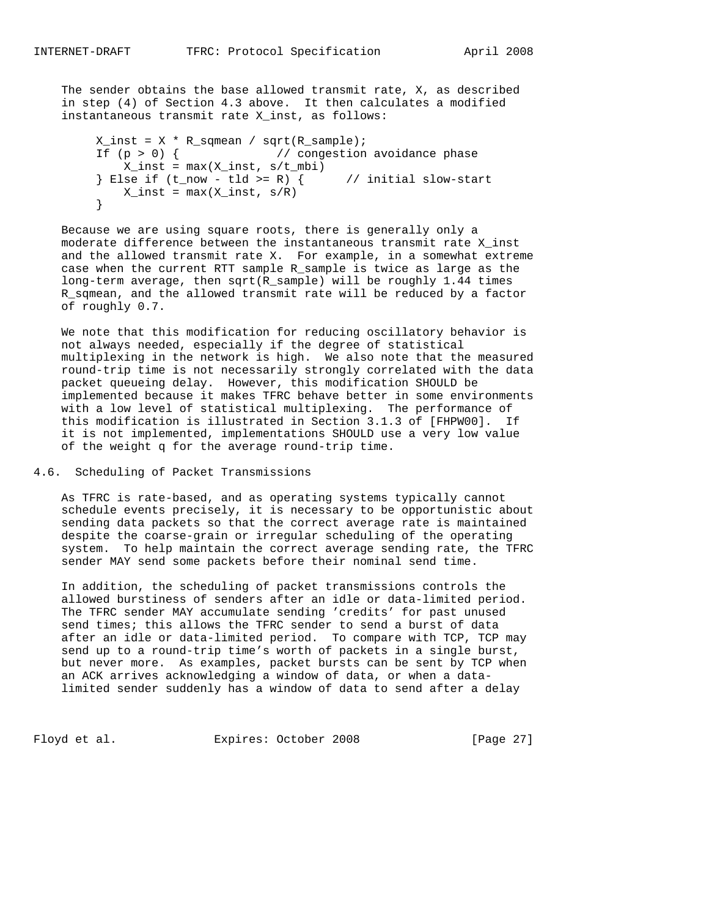The sender obtains the base allowed transmit rate, X, as described in step (4) of Section 4.3 above. It then calculates a modified instantaneous transmit rate X\_inst, as follows:

```
X_inst = X * R_sqmean / sqrt(R_sample);If (p > 0) { // congestion avoidance phase
          X_inst = max(X_inst, s/t_mbi)} Else if (t_{now} - tld \ge R) { // initial slow-start
       X\text{inst} = \max(X\text{inst}, s/R) }
```
 Because we are using square roots, there is generally only a moderate difference between the instantaneous transmit rate X\_inst and the allowed transmit rate X. For example, in a somewhat extreme case when the current RTT sample R\_sample is twice as large as the long-term average, then sqrt(R\_sample) will be roughly 1.44 times R\_sqmean, and the allowed transmit rate will be reduced by a factor of roughly 0.7.

 We note that this modification for reducing oscillatory behavior is not always needed, especially if the degree of statistical multiplexing in the network is high. We also note that the measured round-trip time is not necessarily strongly correlated with the data packet queueing delay. However, this modification SHOULD be implemented because it makes TFRC behave better in some environments with a low level of statistical multiplexing. The performance of this modification is illustrated in Section 3.1.3 of [FHPW00]. If it is not implemented, implementations SHOULD use a very low value of the weight q for the average round-trip time.

### 4.6. Scheduling of Packet Transmissions

 As TFRC is rate-based, and as operating systems typically cannot schedule events precisely, it is necessary to be opportunistic about sending data packets so that the correct average rate is maintained despite the coarse-grain or irregular scheduling of the operating system. To help maintain the correct average sending rate, the TFRC sender MAY send some packets before their nominal send time.

 In addition, the scheduling of packet transmissions controls the allowed burstiness of senders after an idle or data-limited period. The TFRC sender MAY accumulate sending 'credits' for past unused send times; this allows the TFRC sender to send a burst of data after an idle or data-limited period. To compare with TCP, TCP may send up to a round-trip time's worth of packets in a single burst, but never more. As examples, packet bursts can be sent by TCP when an ACK arrives acknowledging a window of data, or when a data limited sender suddenly has a window of data to send after a delay

Floyd et al. Expires: October 2008 [Page 27]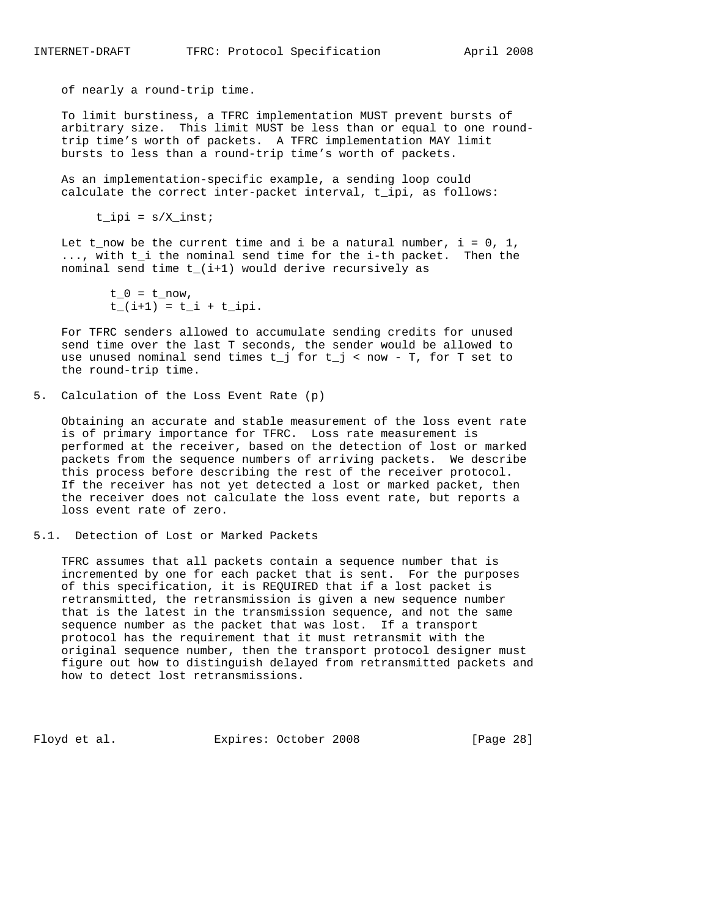INTERNET-DRAFT TFRC: Protocol Specification April 2008

of nearly a round-trip time.

 To limit burstiness, a TFRC implementation MUST prevent bursts of arbitrary size. This limit MUST be less than or equal to one round trip time's worth of packets. A TFRC implementation MAY limit bursts to less than a round-trip time's worth of packets.

 As an implementation-specific example, a sending loop could calculate the correct inter-packet interval, t\_ipi, as follows:

 $t$ \_ipi =  $s/X$ \_inst;

Let t\_now be the current time and i be a natural number,  $i = 0, 1$ , ..., with t\_i the nominal send time for the i-th packet. Then the nominal send time t\_(i+1) would derive recursively as

> $t_0 = t_{now}$ ,  $t_{i}$ (i+1) =  $t_{i}$  +  $t_{i}$  +  $t_{i}$

 For TFRC senders allowed to accumulate sending credits for unused send time over the last T seconds, the sender would be allowed to use unused nominal send times  $t_j$  for  $t_j$  < now - T, for T set to the round-trip time.

5. Calculation of the Loss Event Rate (p)

 Obtaining an accurate and stable measurement of the loss event rate is of primary importance for TFRC. Loss rate measurement is performed at the receiver, based on the detection of lost or marked packets from the sequence numbers of arriving packets. We describe this process before describing the rest of the receiver protocol. If the receiver has not yet detected a lost or marked packet, then the receiver does not calculate the loss event rate, but reports a loss event rate of zero.

5.1. Detection of Lost or Marked Packets

 TFRC assumes that all packets contain a sequence number that is incremented by one for each packet that is sent. For the purposes of this specification, it is REQUIRED that if a lost packet is retransmitted, the retransmission is given a new sequence number that is the latest in the transmission sequence, and not the same sequence number as the packet that was lost. If a transport protocol has the requirement that it must retransmit with the original sequence number, then the transport protocol designer must figure out how to distinguish delayed from retransmitted packets and how to detect lost retransmissions.

Floyd et al. **Expires:** October 2008 [Page 28]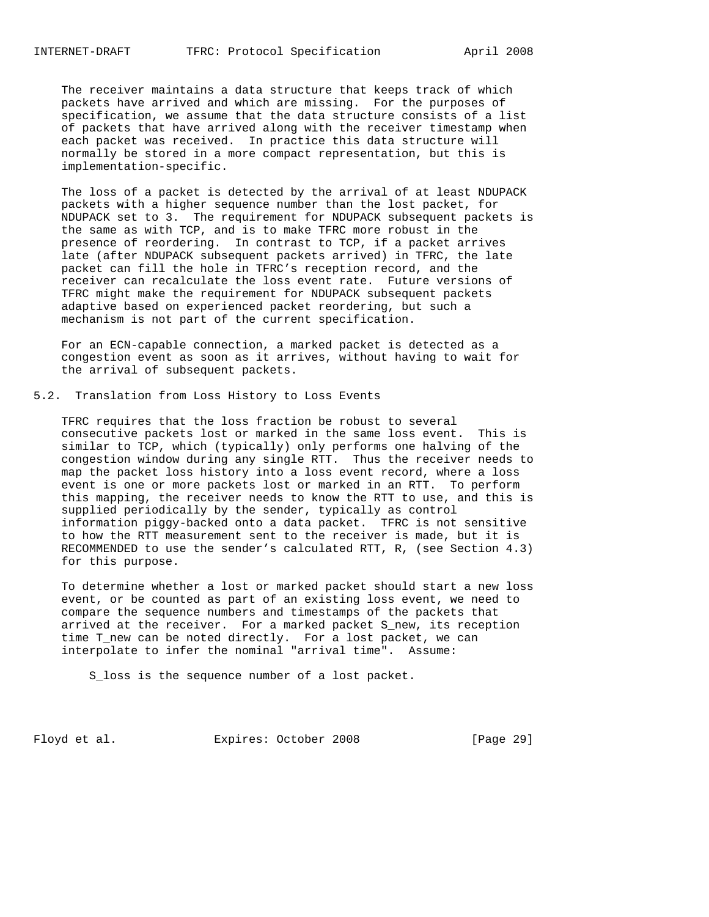The receiver maintains a data structure that keeps track of which packets have arrived and which are missing. For the purposes of specification, we assume that the data structure consists of a list of packets that have arrived along with the receiver timestamp when each packet was received. In practice this data structure will normally be stored in a more compact representation, but this is implementation-specific.

 The loss of a packet is detected by the arrival of at least NDUPACK packets with a higher sequence number than the lost packet, for NDUPACK set to 3. The requirement for NDUPACK subsequent packets is the same as with TCP, and is to make TFRC more robust in the presence of reordering. In contrast to TCP, if a packet arrives late (after NDUPACK subsequent packets arrived) in TFRC, the late packet can fill the hole in TFRC's reception record, and the receiver can recalculate the loss event rate. Future versions of TFRC might make the requirement for NDUPACK subsequent packets adaptive based on experienced packet reordering, but such a mechanism is not part of the current specification.

 For an ECN-capable connection, a marked packet is detected as a congestion event as soon as it arrives, without having to wait for the arrival of subsequent packets.

### 5.2. Translation from Loss History to Loss Events

 TFRC requires that the loss fraction be robust to several consecutive packets lost or marked in the same loss event. This is similar to TCP, which (typically) only performs one halving of the congestion window during any single RTT. Thus the receiver needs to map the packet loss history into a loss event record, where a loss event is one or more packets lost or marked in an RTT. To perform this mapping, the receiver needs to know the RTT to use, and this is supplied periodically by the sender, typically as control information piggy-backed onto a data packet. TFRC is not sensitive to how the RTT measurement sent to the receiver is made, but it is RECOMMENDED to use the sender's calculated RTT, R, (see Section 4.3) for this purpose.

 To determine whether a lost or marked packet should start a new loss event, or be counted as part of an existing loss event, we need to compare the sequence numbers and timestamps of the packets that arrived at the receiver. For a marked packet S\_new, its reception time T\_new can be noted directly. For a lost packet, we can interpolate to infer the nominal "arrival time". Assume:

S\_loss is the sequence number of a lost packet.

Floyd et al. Expires: October 2008 [Page 29]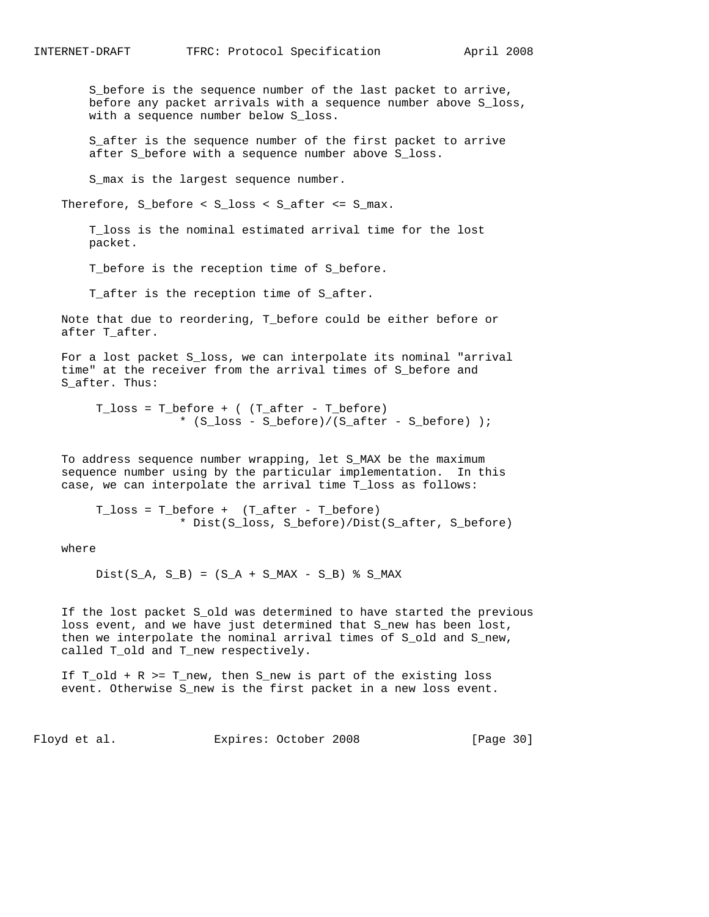S\_before is the sequence number of the last packet to arrive, before any packet arrivals with a sequence number above S\_loss, with a sequence number below S\_loss.

 S\_after is the sequence number of the first packet to arrive after S\_before with a sequence number above S\_loss.

S\_max is the largest sequence number.

Therefore, S\_before < S\_loss < S\_after <= S\_max.

 T\_loss is the nominal estimated arrival time for the lost packet.

T\_before is the reception time of S\_before.

T\_after is the reception time of S\_after.

 Note that due to reordering, T\_before could be either before or after T\_after.

 For a lost packet S\_loss, we can interpolate its nominal "arrival time" at the receiver from the arrival times of S\_before and S after. Thus:

 T\_loss = T\_before + ( (T\_after - T\_before) \* (S\_loss - S\_before)/(S\_after - S\_before) );

 To address sequence number wrapping, let S\_MAX be the maximum sequence number using by the particular implementation. In this case, we can interpolate the arrival time T\_loss as follows:

T  $loss = T$  before + (T after - T before) \* Dist(S\_loss, S\_before)/Dist(S\_after, S\_before)

where

 $Dist(S_A, S_B) = (S_A + S_MAX - S_B)$  % S\_MAX

If the lost packet S\_old was determined to have started the previous loss event, and we have just determined that S\_new has been lost, then we interpolate the nominal arrival times of S\_old and S\_new, called T\_old and T\_new respectively.

 If T\_old + R >= T\_new, then S\_new is part of the existing loss event. Otherwise S\_new is the first packet in a new loss event.

Floyd et al. Expires: October 2008 [Page 30]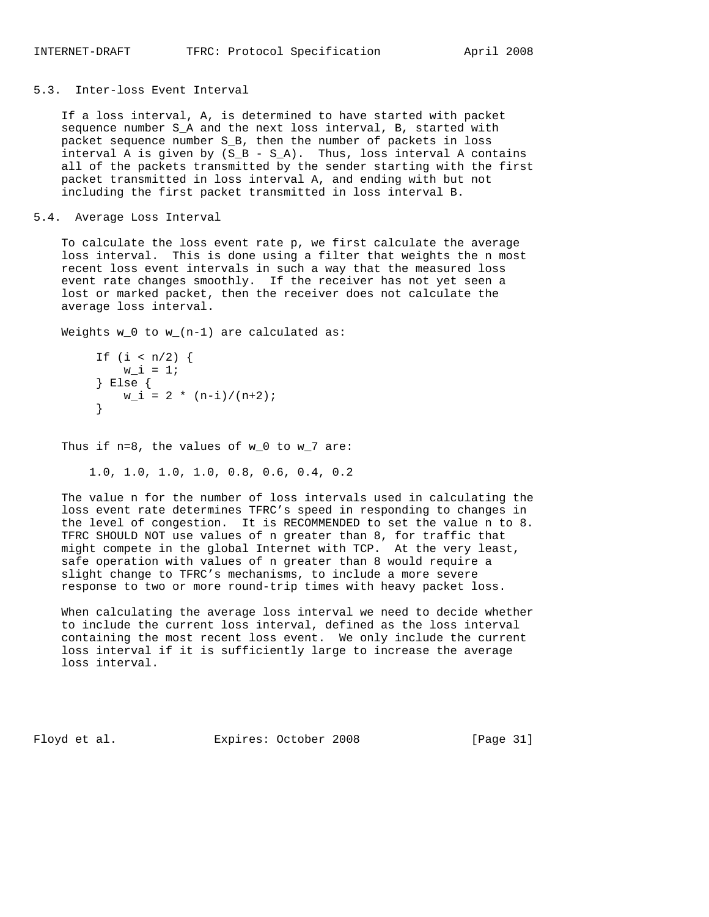### 5.3. Inter-loss Event Interval

 If a loss interval, A, is determined to have started with packet sequence number S\_A and the next loss interval, B, started with packet sequence number S\_B, then the number of packets in loss interval A is given by  $(S_B - S_A)$ . Thus, loss interval A contains all of the packets transmitted by the sender starting with the first packet transmitted in loss interval A, and ending with but not including the first packet transmitted in loss interval B.

### 5.4. Average Loss Interval

 To calculate the loss event rate p, we first calculate the average loss interval. This is done using a filter that weights the n most recent loss event intervals in such a way that the measured loss event rate changes smoothly. If the receiver has not yet seen a lost or marked packet, then the receiver does not calculate the average loss interval.

Weights  $w_0$  to  $w_1(n-1)$  are calculated as:

```
If (i < n/2) {
        w_i = 1; } Else {
      W_i = 2 * (n-i)/(n+2); }
```
Thus if n=8, the values of w\_0 to w\_7 are:

1.0, 1.0, 1.0, 1.0, 0.8, 0.6, 0.4, 0.2

 The value n for the number of loss intervals used in calculating the loss event rate determines TFRC's speed in responding to changes in the level of congestion. It is RECOMMENDED to set the value n to 8. TFRC SHOULD NOT use values of n greater than 8, for traffic that might compete in the global Internet with TCP. At the very least, safe operation with values of n greater than 8 would require a slight change to TFRC's mechanisms, to include a more severe response to two or more round-trip times with heavy packet loss.

 When calculating the average loss interval we need to decide whether to include the current loss interval, defined as the loss interval containing the most recent loss event. We only include the current loss interval if it is sufficiently large to increase the average loss interval.

Floyd et al. Expires: October 2008 [Page 31]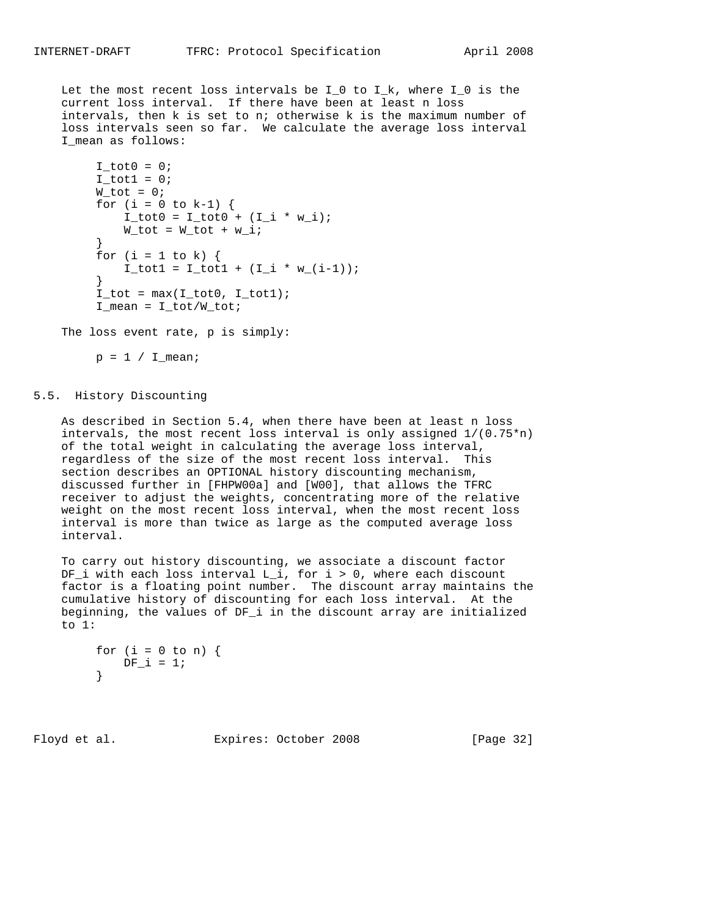Let the most recent loss intervals be  $I_0$  to  $I_k$ , where  $I_0$  is the current loss interval. If there have been at least n loss intervals, then k is set to n; otherwise k is the maximum number of loss intervals seen so far. We calculate the average loss interval I\_mean as follows:

```
I_tot0 = 0;I_{tot1} = 0;W_tot = 0;for (i = 0 to k-1) {
            I_{tot0} = I_{tot0} + (I_{i} * w_{i});
        W_tot = W_tot + w_i; }
       for (i = 1 to k) {
           I_{tot1} = I_{tot1} + (I_{i} * w_{i} - i - 1)); }
       I\_tot = max(I\_tot0, I\_tot1);I_mean = I\_tot/W\_tot;
```
The loss event rate, p is simply:

 $p = 1 / I_mean;$ 

### 5.5. History Discounting

 As described in Section 5.4, when there have been at least n loss intervals, the most recent loss interval is only assigned  $1/(0.75*n)$  of the total weight in calculating the average loss interval, regardless of the size of the most recent loss interval. This section describes an OPTIONAL history discounting mechanism, discussed further in [FHPW00a] and [W00], that allows the TFRC receiver to adjust the weights, concentrating more of the relative weight on the most recent loss interval, when the most recent loss interval is more than twice as large as the computed average loss interval.

 To carry out history discounting, we associate a discount factor DF\_i with each loss interval L\_i, for i > 0, where each discount factor is a floating point number. The discount array maintains the cumulative history of discounting for each loss interval. At the beginning, the values of DF\_i in the discount array are initialized to 1:

```
for (i = 0 to n) {
        DF i = 1;
}
```
Floyd et al. Expires: October 2008 [Page 32]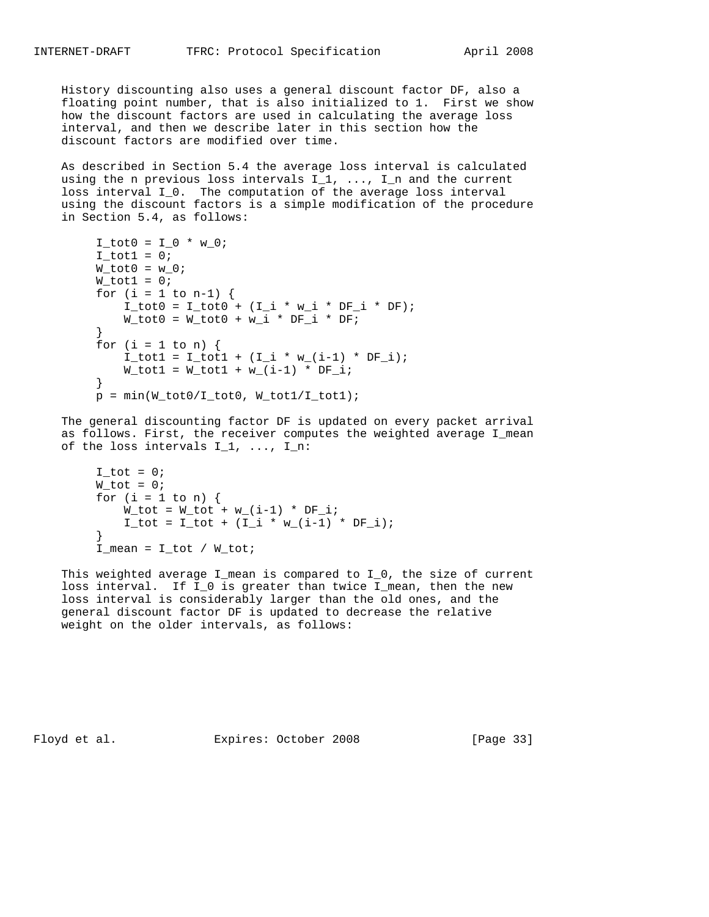History discounting also uses a general discount factor DF, also a floating point number, that is also initialized to 1. First we show how the discount factors are used in calculating the average loss interval, and then we describe later in this section how the discount factors are modified over time.

 As described in Section 5.4 the average loss interval is calculated using the n previous loss intervals  $I_1$ , ...,  $I_n$  and the current loss interval I\_0. The computation of the average loss interval using the discount factors is a simple modification of the procedure in Section 5.4, as follows:

```
I tot0 = I_0 * w_0;
        I\_tot1 = 0;W_tot0 = w_0;W_tot1 = 0;for (i = 1 to n-1) {
            I_{tot0} = I_{tot0} + (I_{i} * w_{i} * DF_{i} * DF);W_tot0 = W_tot0 + w_i * DF_i * DF_i }
        for (i = 1 to n) {
           I_{tot1} = I_{tot1} + (I_{i} * w_{i} - i - 1) * DF_{i};W_{tot1} = W_{tot1} + W_{in1} - 1 * DF<sub>i</sub>;
}
        p = min(W_tot0/I_tot0, W_tot1/I_tot1);
```
 The general discounting factor DF is updated on every packet arrival as follows. First, the receiver computes the weighted average I mean of the loss intervals  $I_1, \ldots, I_n$ :

```
I\_tot = 0;W_tot = 0;for (i = 1 to n) {
           W_tot = W_tot + w_i(i-1) * DF_i;I_{tot} = I_{tot} + (I_{i} * w_{i} (i-1) * DF_{i}; }
       I_mean = I\_tot / W\_tot;
```
This weighted average I\_mean is compared to I\_0, the size of current loss interval. If I\_0 is greater than twice I\_mean, then the new loss interval is considerably larger than the old ones, and the general discount factor DF is updated to decrease the relative weight on the older intervals, as follows:

Floyd et al. Expires: October 2008 [Page 33]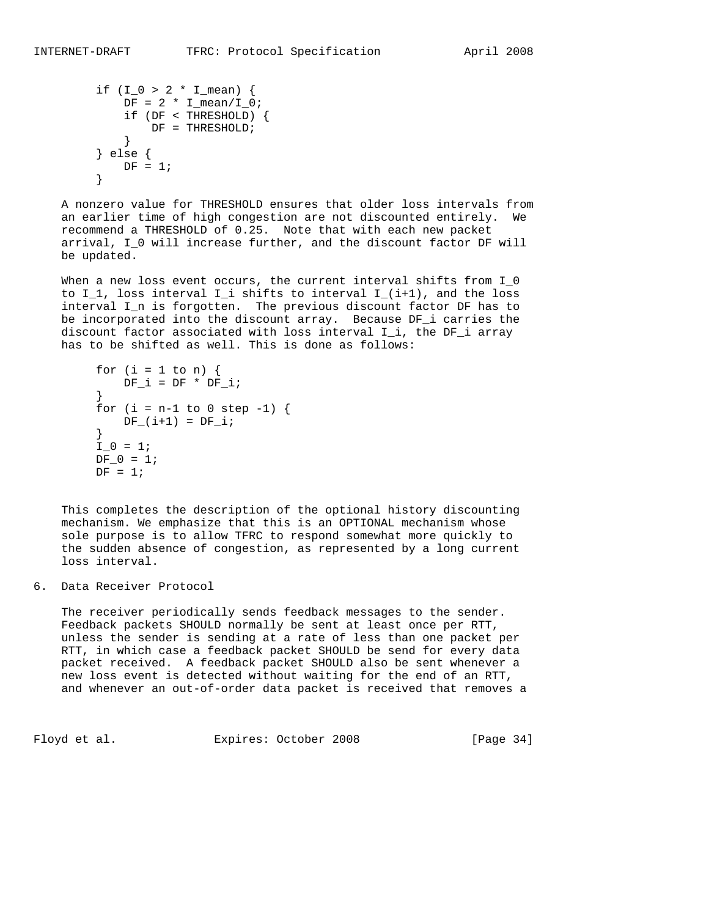```
if (I_0 > 2 * I_{mean}) {
                DF = 2 * I_mean / I_0; if (DF < THRESHOLD) {
                \begin{array}{rcl} \texttt{DF} & = & \texttt{THRESHOLD} \texttt{;} \\ \end{array} }
            } else {
           DF = 1; }
```
 A nonzero value for THRESHOLD ensures that older loss intervals from an earlier time of high congestion are not discounted entirely. We recommend a THRESHOLD of 0.25. Note that with each new packet arrival, I\_0 will increase further, and the discount factor DF will be updated.

When a new loss event occurs, the current interval shifts from I\_0 to  $I_1$ , loss interval  $I_i$  shifts to interval  $I_i(i+1)$ , and the loss interval I\_n is forgotten. The previous discount factor DF has to be incorporated into the discount array. Because DF\_i carries the discount factor associated with loss interval I\_i, the DF\_i array has to be shifted as well. This is done as follows:

```
for (i = 1 to n) {
         DF_i = DF * DF_i; }
      for (i = n-1 to 0 step -1) {
        DF_{i}(i+1) = DF_{i}; }
      I_0 = 1;DF_0 = 1;DF = 1;
```
 This completes the description of the optional history discounting mechanism. We emphasize that this is an OPTIONAL mechanism whose sole purpose is to allow TFRC to respond somewhat more quickly to the sudden absence of congestion, as represented by a long current loss interval.

6. Data Receiver Protocol

 The receiver periodically sends feedback messages to the sender. Feedback packets SHOULD normally be sent at least once per RTT, unless the sender is sending at a rate of less than one packet per RTT, in which case a feedback packet SHOULD be send for every data packet received. A feedback packet SHOULD also be sent whenever a new loss event is detected without waiting for the end of an RTT, and whenever an out-of-order data packet is received that removes a

Floyd et al. **Expires:** October 2008 [Page 34]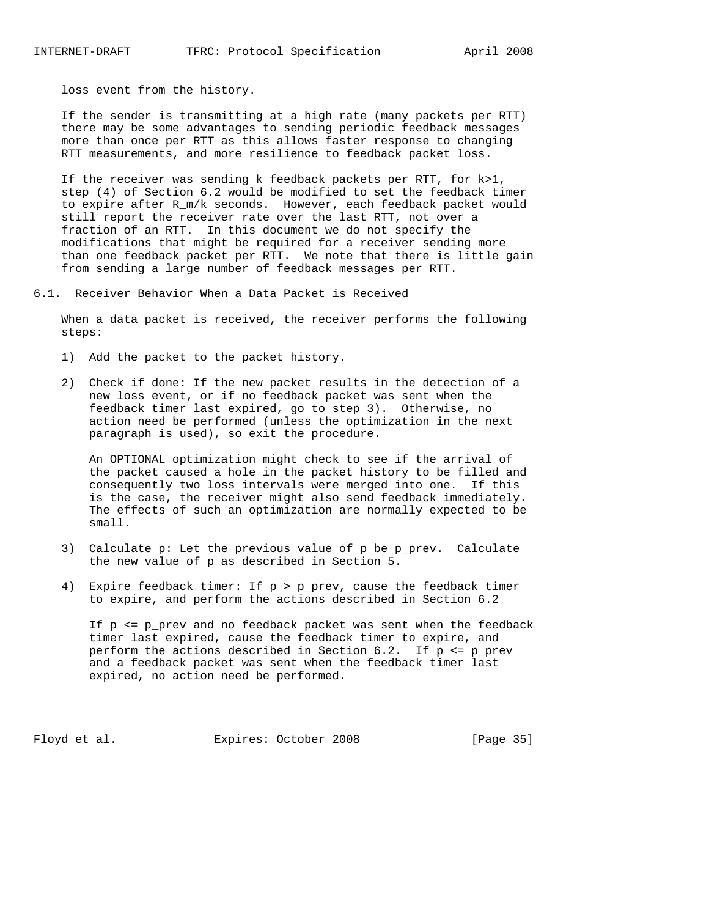loss event from the history.

 If the sender is transmitting at a high rate (many packets per RTT) there may be some advantages to sending periodic feedback messages more than once per RTT as this allows faster response to changing RTT measurements, and more resilience to feedback packet loss.

 If the receiver was sending k feedback packets per RTT, for k>1, step (4) of Section 6.2 would be modified to set the feedback timer to expire after R\_m/k seconds. However, each feedback packet would still report the receiver rate over the last RTT, not over a fraction of an RTT. In this document we do not specify the modifications that might be required for a receiver sending more than one feedback packet per RTT. We note that there is little gain from sending a large number of feedback messages per RTT.

6.1. Receiver Behavior When a Data Packet is Received

 When a data packet is received, the receiver performs the following steps:

- 1) Add the packet to the packet history.
- 2) Check if done: If the new packet results in the detection of a new loss event, or if no feedback packet was sent when the feedback timer last expired, go to step 3). Otherwise, no action need be performed (unless the optimization in the next paragraph is used), so exit the procedure.

 An OPTIONAL optimization might check to see if the arrival of the packet caused a hole in the packet history to be filled and consequently two loss intervals were merged into one. If this is the case, the receiver might also send feedback immediately. The effects of such an optimization are normally expected to be small.

- 3) Calculate p: Let the previous value of p be p\_prev. Calculate the new value of p as described in Section 5.
- 4) Expire feedback timer: If p > p\_prev, cause the feedback timer to expire, and perform the actions described in Section 6.2

 If p <= p\_prev and no feedback packet was sent when the feedback timer last expired, cause the feedback timer to expire, and perform the actions described in Section 6.2. If p <= p\_prev and a feedback packet was sent when the feedback timer last expired, no action need be performed.

Floyd et al. Expires: October 2008 [Page 35]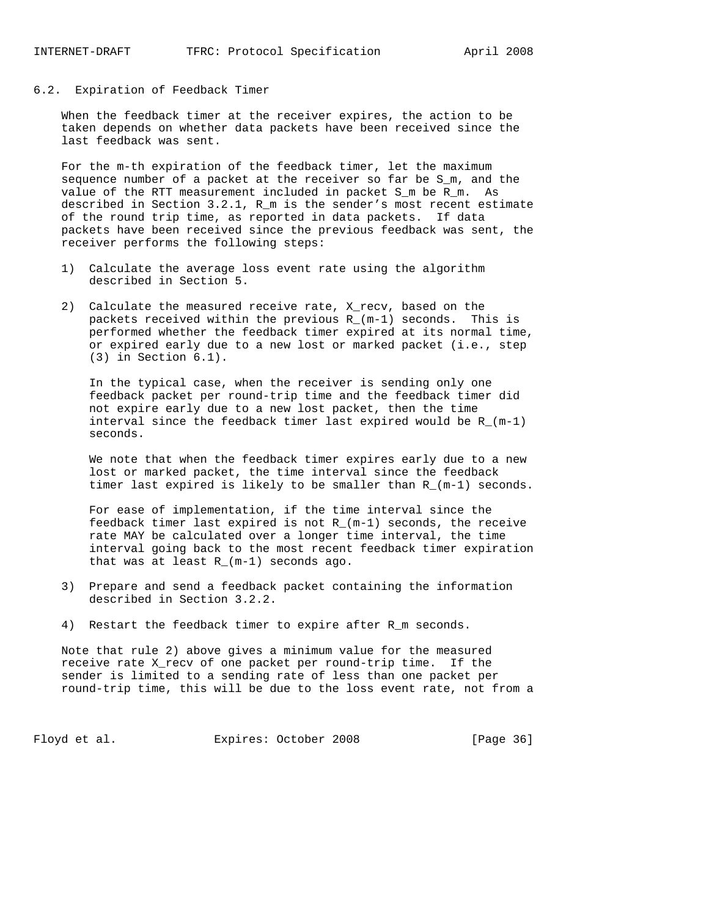#### 6.2. Expiration of Feedback Timer

 When the feedback timer at the receiver expires, the action to be taken depends on whether data packets have been received since the last feedback was sent.

 For the m-th expiration of the feedback timer, let the maximum sequence number of a packet at the receiver so far be S\_m, and the value of the RTT measurement included in packet S\_m be R\_m. As described in Section 3.2.1, R\_m is the sender's most recent estimate of the round trip time, as reported in data packets. If data packets have been received since the previous feedback was sent, the receiver performs the following steps:

- 1) Calculate the average loss event rate using the algorithm described in Section 5.
- 2) Calculate the measured receive rate, X\_recv, based on the packets received within the previous R\_(m-1) seconds. This is performed whether the feedback timer expired at its normal time, or expired early due to a new lost or marked packet (i.e., step (3) in Section 6.1).

 In the typical case, when the receiver is sending only one feedback packet per round-trip time and the feedback timer did not expire early due to a new lost packet, then the time interval since the feedback timer last expired would be  $R_{m-1}$ ) seconds.

 We note that when the feedback timer expires early due to a new lost or marked packet, the time interval since the feedback timer last expired is likely to be smaller than R\_(m-1) seconds.

 For ease of implementation, if the time interval since the feedback timer last expired is not  $R_{-}(m-1)$  seconds, the receive rate MAY be calculated over a longer time interval, the time interval going back to the most recent feedback timer expiration that was at least R\_(m-1) seconds ago.

- 3) Prepare and send a feedback packet containing the information described in Section 3.2.2.
- 4) Restart the feedback timer to expire after R\_m seconds.

 Note that rule 2) above gives a minimum value for the measured receive rate X\_recv of one packet per round-trip time. If the sender is limited to a sending rate of less than one packet per round-trip time, this will be due to the loss event rate, not from a

Floyd et al. Expires: October 2008 [Page 36]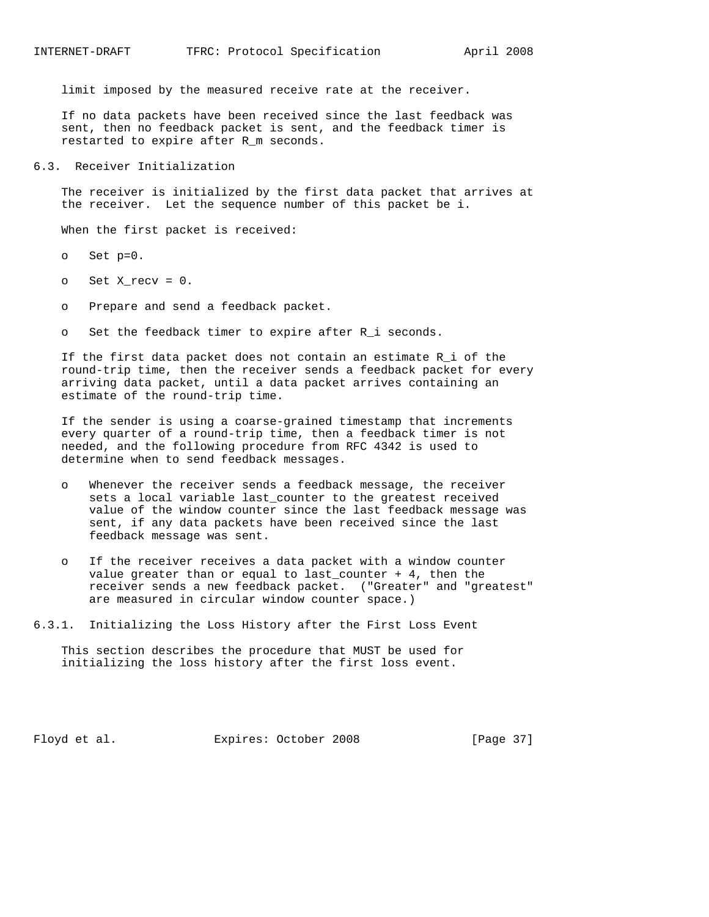limit imposed by the measured receive rate at the receiver.

 If no data packets have been received since the last feedback was sent, then no feedback packet is sent, and the feedback timer is restarted to expire after R\_m seconds.

6.3. Receiver Initialization

 The receiver is initialized by the first data packet that arrives at the receiver. Let the sequence number of this packet be i.

When the first packet is received:

- o Set p=0.
- o Set X\_recv = 0.
- o Prepare and send a feedback packet.
- o Set the feedback timer to expire after R\_i seconds.

 If the first data packet does not contain an estimate R\_i of the round-trip time, then the receiver sends a feedback packet for every arriving data packet, until a data packet arrives containing an estimate of the round-trip time.

 If the sender is using a coarse-grained timestamp that increments every quarter of a round-trip time, then a feedback timer is not needed, and the following procedure from RFC 4342 is used to determine when to send feedback messages.

- Whenever the receiver sends a feedback message, the receiver sets a local variable last\_counter to the greatest received value of the window counter since the last feedback message was sent, if any data packets have been received since the last feedback message was sent.
- o If the receiver receives a data packet with a window counter value greater than or equal to last\_counter  $+4$ , then the receiver sends a new feedback packet. ("Greater" and "greatest" are measured in circular window counter space.)
- 6.3.1. Initializing the Loss History after the First Loss Event

 This section describes the procedure that MUST be used for initializing the loss history after the first loss event.

Floyd et al. **Expires:** October 2008 [Page 37]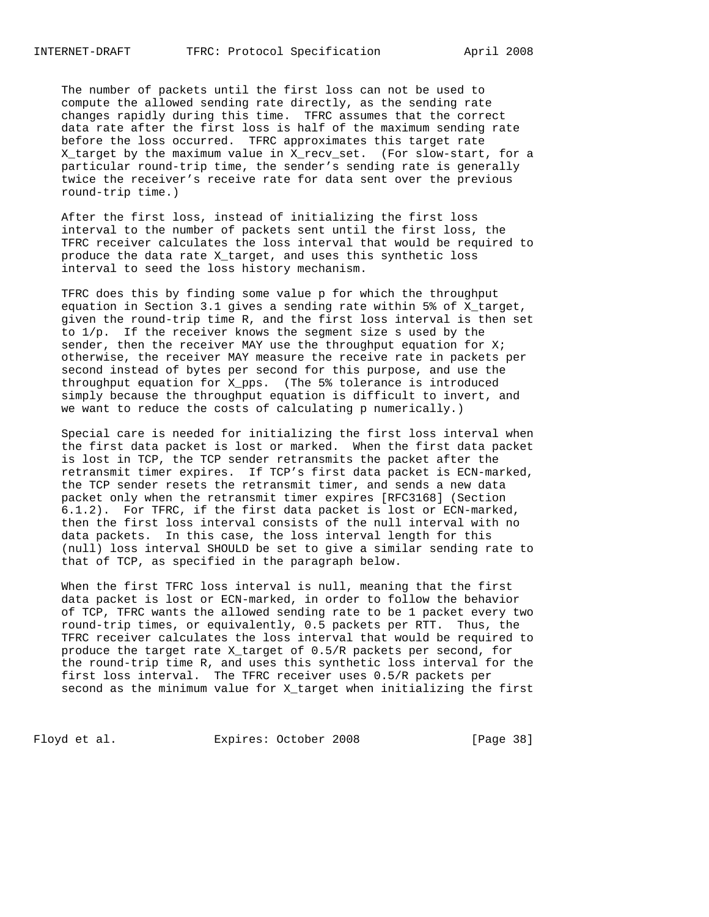The number of packets until the first loss can not be used to compute the allowed sending rate directly, as the sending rate changes rapidly during this time. TFRC assumes that the correct data rate after the first loss is half of the maximum sending rate before the loss occurred. TFRC approximates this target rate X\_target by the maximum value in X\_recv\_set. (For slow-start, for a particular round-trip time, the sender's sending rate is generally twice the receiver's receive rate for data sent over the previous round-trip time.)

 After the first loss, instead of initializing the first loss interval to the number of packets sent until the first loss, the TFRC receiver calculates the loss interval that would be required to produce the data rate X\_target, and uses this synthetic loss interval to seed the loss history mechanism.

 TFRC does this by finding some value p for which the throughput equation in Section 3.1 gives a sending rate within 5% of X\_target, given the round-trip time R, and the first loss interval is then set to 1/p. If the receiver knows the segment size s used by the sender, then the receiver MAY use the throughput equation for  $Xi$ ; otherwise, the receiver MAY measure the receive rate in packets per second instead of bytes per second for this purpose, and use the throughput equation for X\_pps. (The 5% tolerance is introduced simply because the throughput equation is difficult to invert, and we want to reduce the costs of calculating p numerically.)

 Special care is needed for initializing the first loss interval when the first data packet is lost or marked. When the first data packet is lost in TCP, the TCP sender retransmits the packet after the retransmit timer expires. If TCP's first data packet is ECN-marked, the TCP sender resets the retransmit timer, and sends a new data packet only when the retransmit timer expires [RFC3168] (Section 6.1.2). For TFRC, if the first data packet is lost or ECN-marked, then the first loss interval consists of the null interval with no data packets. In this case, the loss interval length for this (null) loss interval SHOULD be set to give a similar sending rate to that of TCP, as specified in the paragraph below.

 When the first TFRC loss interval is null, meaning that the first data packet is lost or ECN-marked, in order to follow the behavior of TCP, TFRC wants the allowed sending rate to be 1 packet every two round-trip times, or equivalently, 0.5 packets per RTT. Thus, the TFRC receiver calculates the loss interval that would be required to produce the target rate X\_target of 0.5/R packets per second, for the round-trip time R, and uses this synthetic loss interval for the first loss interval. The TFRC receiver uses 0.5/R packets per second as the minimum value for X\_target when initializing the first

Floyd et al. Expires: October 2008 [Page 38]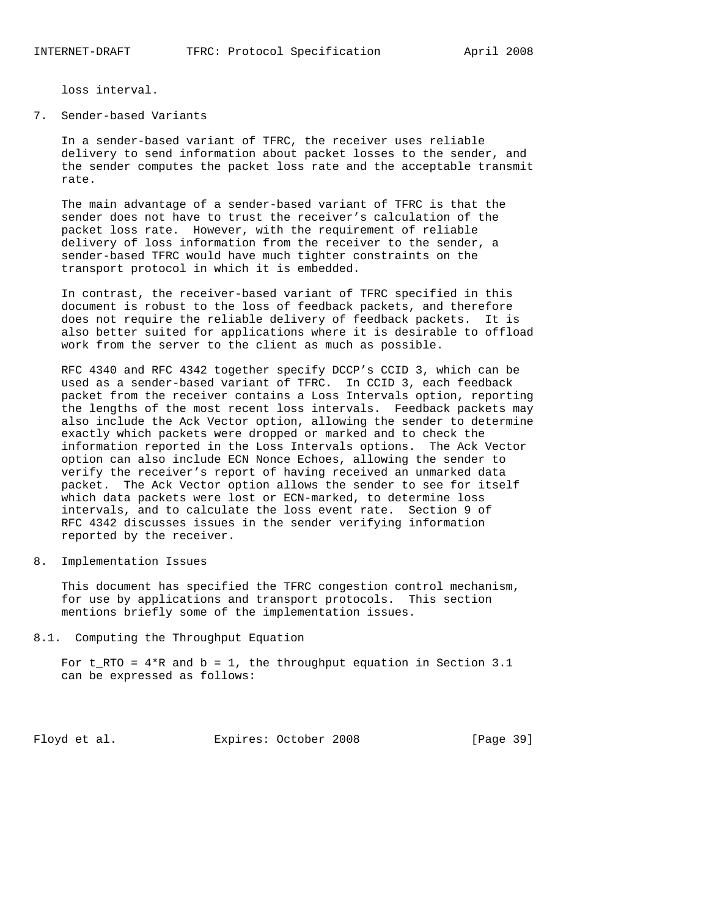loss interval.

7. Sender-based Variants

 In a sender-based variant of TFRC, the receiver uses reliable delivery to send information about packet losses to the sender, and the sender computes the packet loss rate and the acceptable transmit rate.

 The main advantage of a sender-based variant of TFRC is that the sender does not have to trust the receiver's calculation of the packet loss rate. However, with the requirement of reliable delivery of loss information from the receiver to the sender, a sender-based TFRC would have much tighter constraints on the transport protocol in which it is embedded.

 In contrast, the receiver-based variant of TFRC specified in this document is robust to the loss of feedback packets, and therefore does not require the reliable delivery of feedback packets. It is also better suited for applications where it is desirable to offload work from the server to the client as much as possible.

 RFC 4340 and RFC 4342 together specify DCCP's CCID 3, which can be used as a sender-based variant of TFRC. In CCID 3, each feedback packet from the receiver contains a Loss Intervals option, reporting the lengths of the most recent loss intervals. Feedback packets may also include the Ack Vector option, allowing the sender to determine exactly which packets were dropped or marked and to check the information reported in the Loss Intervals options. The Ack Vector option can also include ECN Nonce Echoes, allowing the sender to verify the receiver's report of having received an unmarked data packet. The Ack Vector option allows the sender to see for itself which data packets were lost or ECN-marked, to determine loss intervals, and to calculate the loss event rate. Section 9 of RFC 4342 discusses issues in the sender verifying information reported by the receiver.

8. Implementation Issues

 This document has specified the TFRC congestion control mechanism, for use by applications and transport protocols. This section mentions briefly some of the implementation issues.

8.1. Computing the Throughput Equation

For  $t_RTO = 4*R$  and  $b = 1$ , the throughput equation in Section 3.1 can be expressed as follows:

Floyd et al. Expires: October 2008 [Page 39]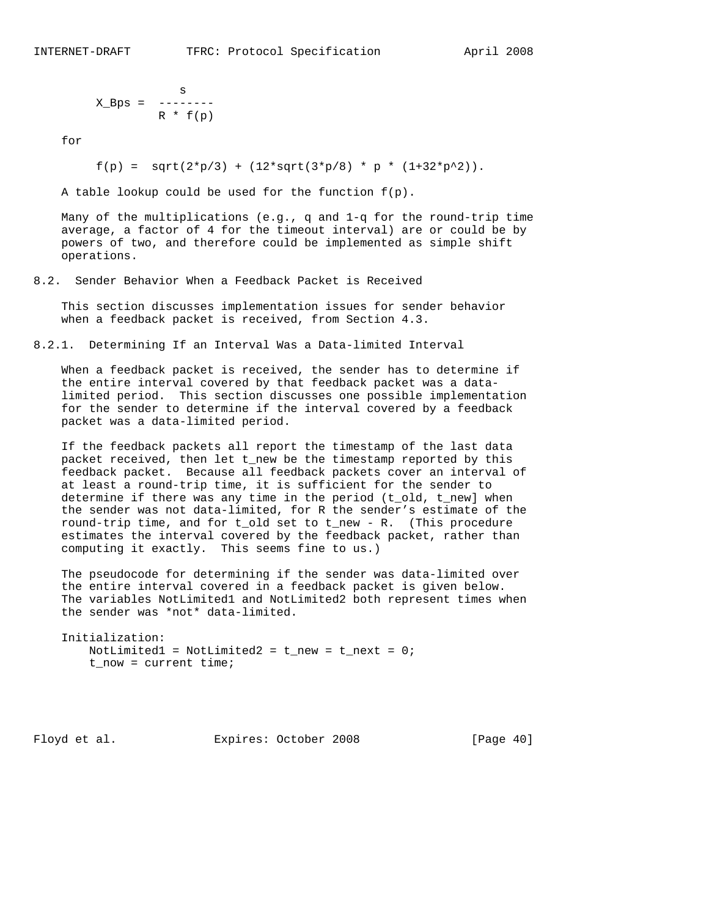$$
X_Bps = \begin{array}{c} \n 0.5 \n 0.5 \n 0.5 \n 0.5 \n 0.5 \n 0.5 \n 0.5 \n 0.5 \n 0.5 \n 0.5 \n 0.5 \n 0.5 \n 0.5 \n 0.5 \n 0.5 \n 0.5 \n 0.5 \n 0.5 \n 0.5 \n 0.5 \n 0.5 \n 0.5 \n 0.5 \n 0.5 \n 0.5 \n 0.5 \n 0.5 \n 0.5 \n 0.5 \n 0.5 \n 0.5 \n 0.5 \n 0.5 \n 0.5 \n 0.5 \n 0.5 \n 0.5 \n 0.5 \n 0.5 \n 0.5 \n 0.5 \n 0.5 \n 0.5 \n 0.5 \n 0.5 \n 0.5 \n 0.5 \n 0.5 \n 0.5 \n 0.5 \n 0.5 \n 0.5 \n 0.5 \n 0.5 \n 0.5 \n 0.5 \n 0.5 \n 0.5 \n 0.5 \n 0.5 \n 0.5 \n 0.5 \n 0.5 \n 0.5 \n 0.5 \n 0.5 \n 0.5 \n 0.5 \n 0.5 \n 0.5 \n 0.5 \n 0.5 \n 0.5 \n 0.5 \n 0.5 \n 0.5 \n 0.5 \n 0.5 \n 0.5 \n 0.5 \n 0.5 \n 0.5 \n 0.5 \n 0.5 \n 0.5 \n 0.5 \n 0.5 \n 0.5 \n 0.5 \n 0.5 \n 0.5 \n 0.5 \n 0.5 \n 0.5 \n 0.5 \n 0.5 \n 0.5 \n 0.5 \n 0.5 \n 0.5 \n 0.5 \n 0.5 \n 0.5 \n 0.5 \n 0.5 \n 0.5 \n 0.5 \n 0.5 \n 0.5 \n 0.5 \n 0.5 \n 0.5 \n 0.5 \n 0.5 \n 0.5 \n 0.5 \n 0.5 \n 0.5 \n 0.5 \n 0.5 \n 0.5 \n 0.5 \n 0.5 \n 0.5 \n 0
$$

for

 $f(p) = sqrt(2*p/3) + (12*sqrt(3*p/8) * p * (1+32*p^2)).$ 

A table lookup could be used for the function  $f(p)$ .

 Many of the multiplications (e.g., q and 1-q for the round-trip time average, a factor of 4 for the timeout interval) are or could be by powers of two, and therefore could be implemented as simple shift operations.

8.2. Sender Behavior When a Feedback Packet is Received

 This section discusses implementation issues for sender behavior when a feedback packet is received, from Section 4.3.

8.2.1. Determining If an Interval Was a Data-limited Interval

 When a feedback packet is received, the sender has to determine if the entire interval covered by that feedback packet was a data limited period. This section discusses one possible implementation for the sender to determine if the interval covered by a feedback packet was a data-limited period.

 If the feedback packets all report the timestamp of the last data packet received, then let t\_new be the timestamp reported by this feedback packet. Because all feedback packets cover an interval of at least a round-trip time, it is sufficient for the sender to determine if there was any time in the period (t\_old, t\_new] when the sender was not data-limited, for R the sender's estimate of the round-trip time, and for t\_old set to t\_new - R. (This procedure estimates the interval covered by the feedback packet, rather than computing it exactly. This seems fine to us.)

 The pseudocode for determining if the sender was data-limited over the entire interval covered in a feedback packet is given below. The variables NotLimited1 and NotLimited2 both represent times when the sender was \*not\* data-limited.

```
 Initialization:
  NotLimited1 = NotLimited2 = t_new = t_new = 0;
  t now = current time;
```
Floyd et al. Expires: October 2008 [Page 40]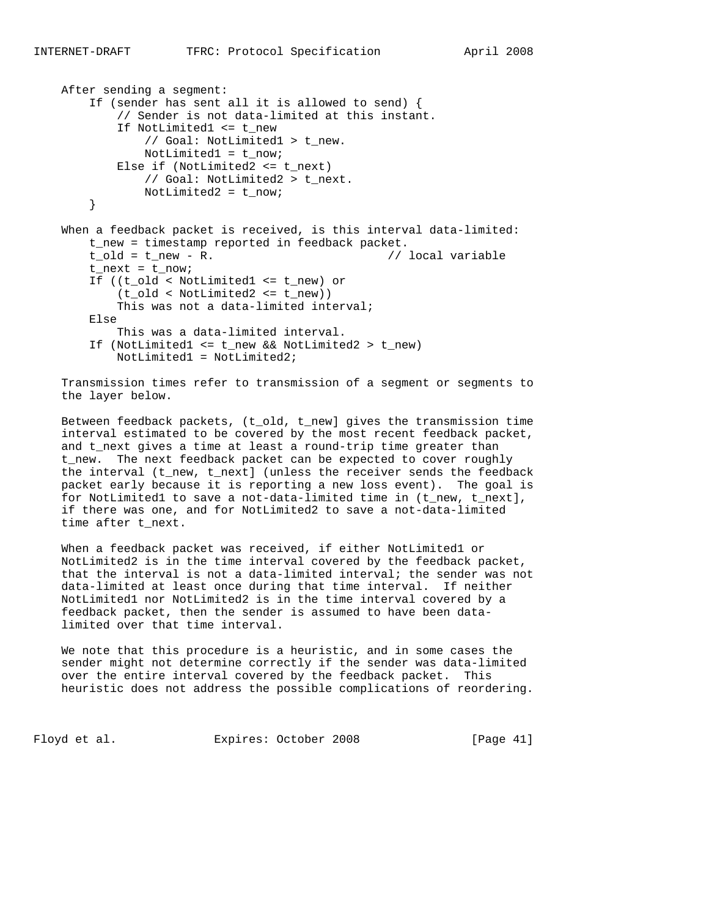```
 After sending a segment:
    If (sender has sent all it is allowed to send) {
        // Sender is not data-limited at this instant.
        If NotLimited1 <= t_new
            // Goal: NotLimited1 > t_new.
            NotLimited1 = t_now;
        Else if (NotLimited2 <= t_next)
            // Goal: NotLimited2 > t_next.
            NotLimited2 = t_now;
    }
When a feedback packet is received, is this interval data-limited:
    t_new = timestamp reported in feedback packet.
   t_old = t_new - R. // local variable
   t_{\text{next}} = t_{\text{now}};
    If ((t_old < NotLimited1 <= t_new) or
        (t_old < NotLimited2 <= t_new))
        This was not a data-limited interval;
    Else
        This was a data-limited interval.
    If (NotLimited1 <= t_new && NotLimited2 > t_new)
        NotLimited1 = NotLimited2;
```
 Transmission times refer to transmission of a segment or segments to the layer below.

 Between feedback packets, (t\_old, t\_new] gives the transmission time interval estimated to be covered by the most recent feedback packet, and t\_next gives a time at least a round-trip time greater than t\_new. The next feedback packet can be expected to cover roughly the interval (t\_new, t\_next] (unless the receiver sends the feedback packet early because it is reporting a new loss event). The goal is for NotLimited1 to save a not-data-limited time in (t\_new, t\_next], if there was one, and for NotLimited2 to save a not-data-limited time after t\_next.

When a feedback packet was received, if either NotLimited1 or NotLimited2 is in the time interval covered by the feedback packet, that the interval is not a data-limited interval; the sender was not data-limited at least once during that time interval. If neither NotLimited1 nor NotLimited2 is in the time interval covered by a feedback packet, then the sender is assumed to have been data limited over that time interval.

 We note that this procedure is a heuristic, and in some cases the sender might not determine correctly if the sender was data-limited over the entire interval covered by the feedback packet. This heuristic does not address the possible complications of reordering.

Floyd et al. Expires: October 2008 [Page 41]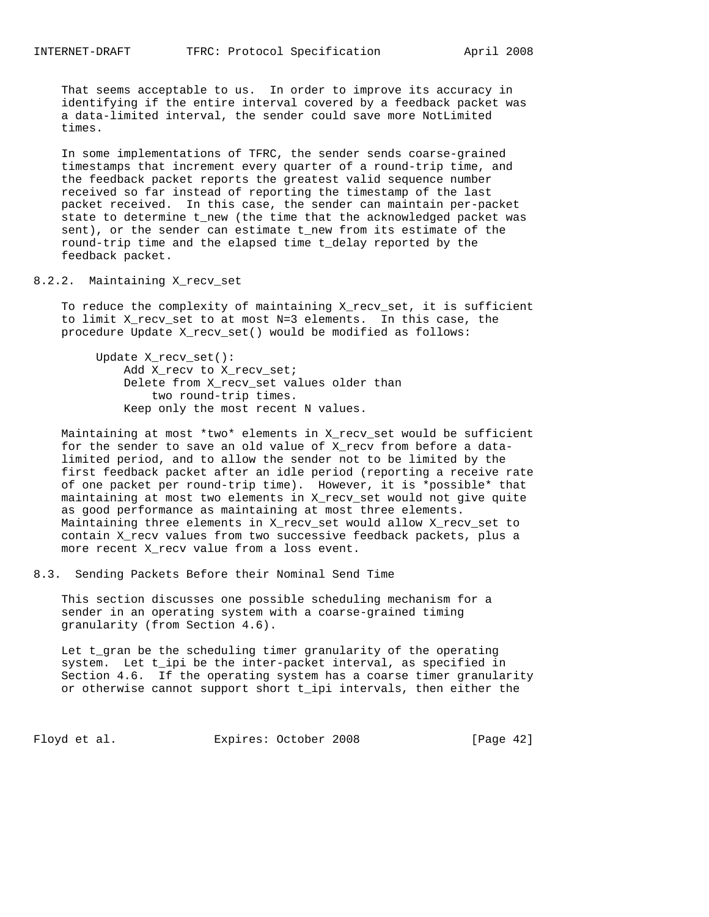That seems acceptable to us. In order to improve its accuracy in identifying if the entire interval covered by a feedback packet was a data-limited interval, the sender could save more NotLimited times.

 In some implementations of TFRC, the sender sends coarse-grained timestamps that increment every quarter of a round-trip time, and the feedback packet reports the greatest valid sequence number received so far instead of reporting the timestamp of the last packet received. In this case, the sender can maintain per-packet state to determine t\_new (the time that the acknowledged packet was sent), or the sender can estimate t\_new from its estimate of the round-trip time and the elapsed time t\_delay reported by the feedback packet.

#### 8.2.2. Maintaining X recv set

 To reduce the complexity of maintaining X\_recv\_set, it is sufficient to limit X\_recv\_set to at most N=3 elements. In this case, the procedure Update X\_recv\_set() would be modified as follows:

 Update X\_recv\_set(): Add X\_recv to X\_recv\_set; Delete from X\_recv\_set values older than two round-trip times. Keep only the most recent N values.

 Maintaining at most \*two\* elements in X\_recv\_set would be sufficient for the sender to save an old value of X\_recv from before a data limited period, and to allow the sender not to be limited by the first feedback packet after an idle period (reporting a receive rate of one packet per round-trip time). However, it is \*possible\* that maintaining at most two elements in X\_recv\_set would not give quite as good performance as maintaining at most three elements. Maintaining three elements in X\_recv\_set would allow X\_recv\_set to contain X\_recv values from two successive feedback packets, plus a more recent X\_recv value from a loss event.

8.3. Sending Packets Before their Nominal Send Time

 This section discusses one possible scheduling mechanism for a sender in an operating system with a coarse-grained timing granularity (from Section 4.6).

 Let t\_gran be the scheduling timer granularity of the operating system. Let t\_ipi be the inter-packet interval, as specified in Section 4.6. If the operating system has a coarse timer granularity or otherwise cannot support short t\_ipi intervals, then either the

Floyd et al. Expires: October 2008 [Page 42]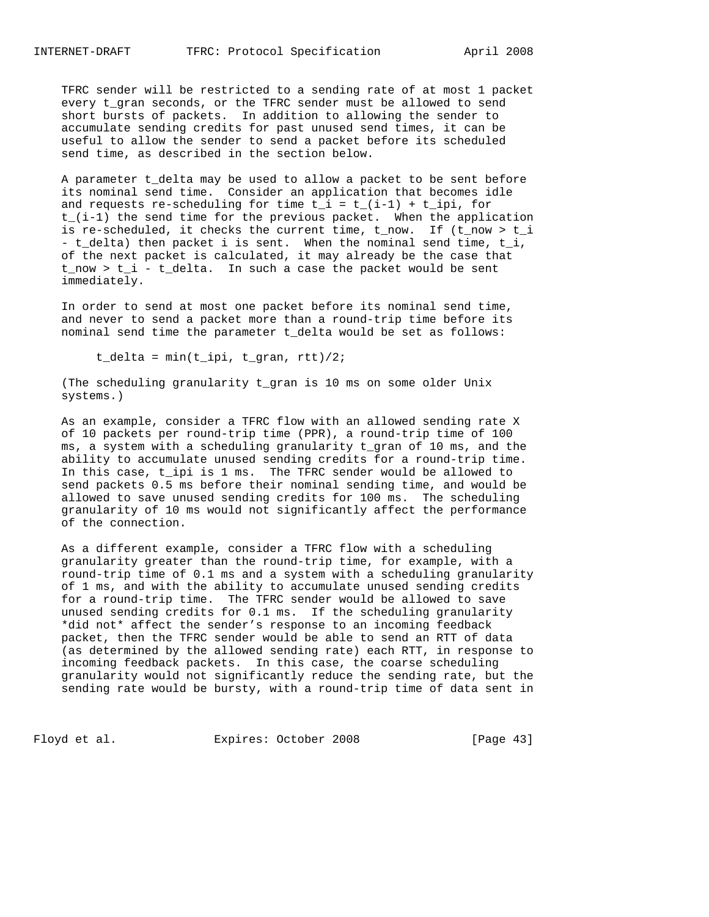TFRC sender will be restricted to a sending rate of at most 1 packet every t\_gran seconds, or the TFRC sender must be allowed to send short bursts of packets. In addition to allowing the sender to accumulate sending credits for past unused send times, it can be useful to allow the sender to send a packet before its scheduled send time, as described in the section below.

 A parameter t\_delta may be used to allow a packet to be sent before its nominal send time. Consider an application that becomes idle and requests re-scheduling for time  $t_i = t_i(i-1) + t_i$  for t\_(i-1) the send time for the previous packet. When the application is re-scheduled, it checks the current time, t\_now. If (t\_now > t\_i - t\_delta) then packet i is sent. When the nominal send time, t\_i, of the next packet is calculated, it may already be the case that  $t_{\text{now}} > t_i - t_{\text{delta}}$ . In such a case the packet would be sent immediately.

 In order to send at most one packet before its nominal send time, and never to send a packet more than a round-trip time before its nominal send time the parameter t\_delta would be set as follows:

t\_delta = min(t\_ipi, t\_gran, rtt)/2;

 (The scheduling granularity t\_gran is 10 ms on some older Unix systems.)

 As an example, consider a TFRC flow with an allowed sending rate X of 10 packets per round-trip time (PPR), a round-trip time of 100 ms, a system with a scheduling granularity t\_gran of 10 ms, and the ability to accumulate unused sending credits for a round-trip time. In this case, t\_ipi is 1 ms. The TFRC sender would be allowed to send packets 0.5 ms before their nominal sending time, and would be allowed to save unused sending credits for 100 ms. The scheduling granularity of 10 ms would not significantly affect the performance of the connection.

 As a different example, consider a TFRC flow with a scheduling granularity greater than the round-trip time, for example, with a round-trip time of 0.1 ms and a system with a scheduling granularity of 1 ms, and with the ability to accumulate unused sending credits for a round-trip time. The TFRC sender would be allowed to save unused sending credits for 0.1 ms. If the scheduling granularity \*did not\* affect the sender's response to an incoming feedback packet, then the TFRC sender would be able to send an RTT of data (as determined by the allowed sending rate) each RTT, in response to incoming feedback packets. In this case, the coarse scheduling granularity would not significantly reduce the sending rate, but the sending rate would be bursty, with a round-trip time of data sent in

Floyd et al. Expires: October 2008 [Page 43]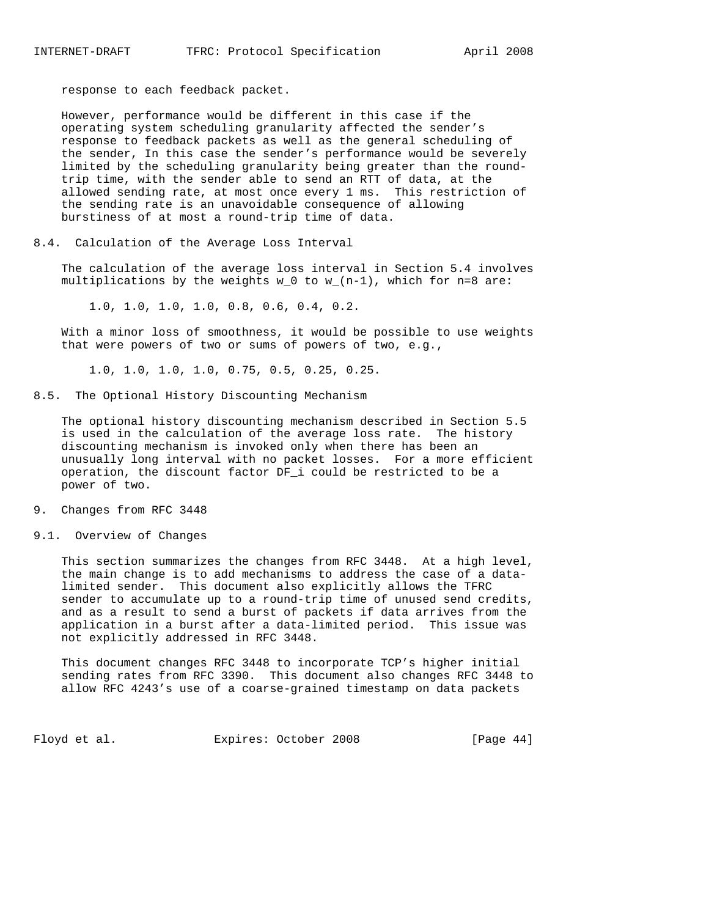response to each feedback packet.

 However, performance would be different in this case if the operating system scheduling granularity affected the sender's response to feedback packets as well as the general scheduling of the sender, In this case the sender's performance would be severely limited by the scheduling granularity being greater than the round trip time, with the sender able to send an RTT of data, at the allowed sending rate, at most once every 1 ms. This restriction of the sending rate is an unavoidable consequence of allowing burstiness of at most a round-trip time of data.

#### 8.4. Calculation of the Average Loss Interval

 The calculation of the average loss interval in Section 5.4 involves multiplications by the weights w 0 to w  $(n-1)$ , which for n=8 are:

1.0, 1.0, 1.0, 1.0, 0.8, 0.6, 0.4, 0.2.

 With a minor loss of smoothness, it would be possible to use weights that were powers of two or sums of powers of two, e.g.,

1.0, 1.0, 1.0, 1.0, 0.75, 0.5, 0.25, 0.25.

8.5. The Optional History Discounting Mechanism

 The optional history discounting mechanism described in Section 5.5 is used in the calculation of the average loss rate. The history discounting mechanism is invoked only when there has been an unusually long interval with no packet losses. For a more efficient operation, the discount factor DF\_i could be restricted to be a power of two.

9. Changes from RFC 3448

#### 9.1. Overview of Changes

 This section summarizes the changes from RFC 3448. At a high level, the main change is to add mechanisms to address the case of a data limited sender. This document also explicitly allows the TFRC sender to accumulate up to a round-trip time of unused send credits, and as a result to send a burst of packets if data arrives from the application in a burst after a data-limited period. This issue was not explicitly addressed in RFC 3448.

 This document changes RFC 3448 to incorporate TCP's higher initial sending rates from RFC 3390. This document also changes RFC 3448 to allow RFC 4243's use of a coarse-grained timestamp on data packets

Floyd et al. Expires: October 2008 [Page 44]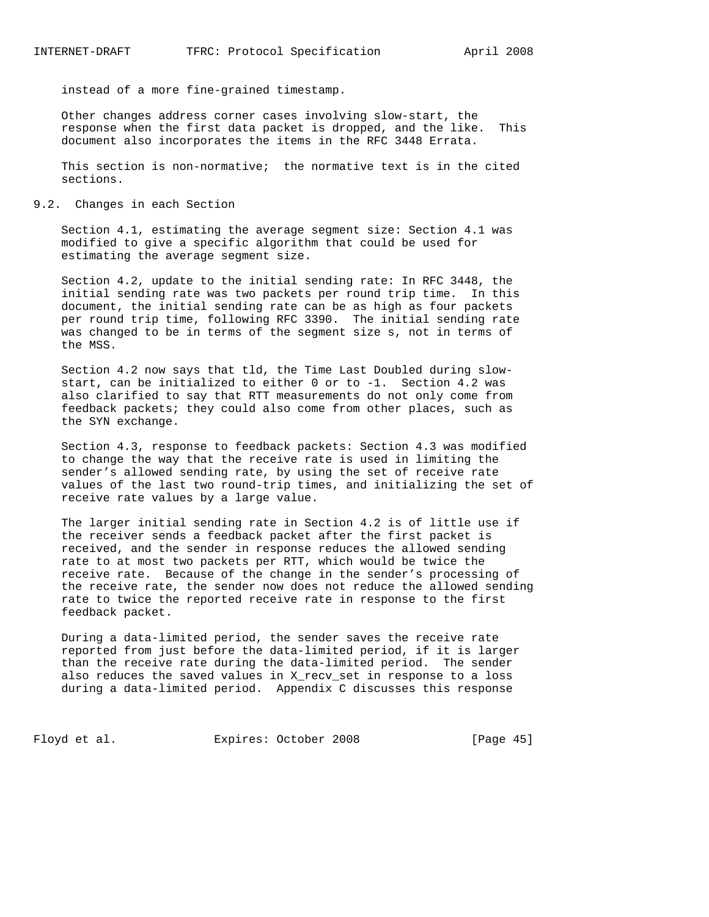instead of a more fine-grained timestamp.

 Other changes address corner cases involving slow-start, the response when the first data packet is dropped, and the like. This document also incorporates the items in the RFC 3448 Errata.

 This section is non-normative; the normative text is in the cited sections.

9.2. Changes in each Section

 Section 4.1, estimating the average segment size: Section 4.1 was modified to give a specific algorithm that could be used for estimating the average segment size.

 Section 4.2, update to the initial sending rate: In RFC 3448, the initial sending rate was two packets per round trip time. In this document, the initial sending rate can be as high as four packets per round trip time, following RFC 3390. The initial sending rate was changed to be in terms of the segment size s, not in terms of the MSS.

 Section 4.2 now says that tld, the Time Last Doubled during slow start, can be initialized to either 0 or to -1. Section 4.2 was also clarified to say that RTT measurements do not only come from feedback packets; they could also come from other places, such as the SYN exchange.

 Section 4.3, response to feedback packets: Section 4.3 was modified to change the way that the receive rate is used in limiting the sender's allowed sending rate, by using the set of receive rate values of the last two round-trip times, and initializing the set of receive rate values by a large value.

 The larger initial sending rate in Section 4.2 is of little use if the receiver sends a feedback packet after the first packet is received, and the sender in response reduces the allowed sending rate to at most two packets per RTT, which would be twice the receive rate. Because of the change in the sender's processing of the receive rate, the sender now does not reduce the allowed sending rate to twice the reported receive rate in response to the first feedback packet.

 During a data-limited period, the sender saves the receive rate reported from just before the data-limited period, if it is larger than the receive rate during the data-limited period. The sender also reduces the saved values in X\_recv\_set in response to a loss during a data-limited period. Appendix C discusses this response

Floyd et al. Expires: October 2008 [Page 45]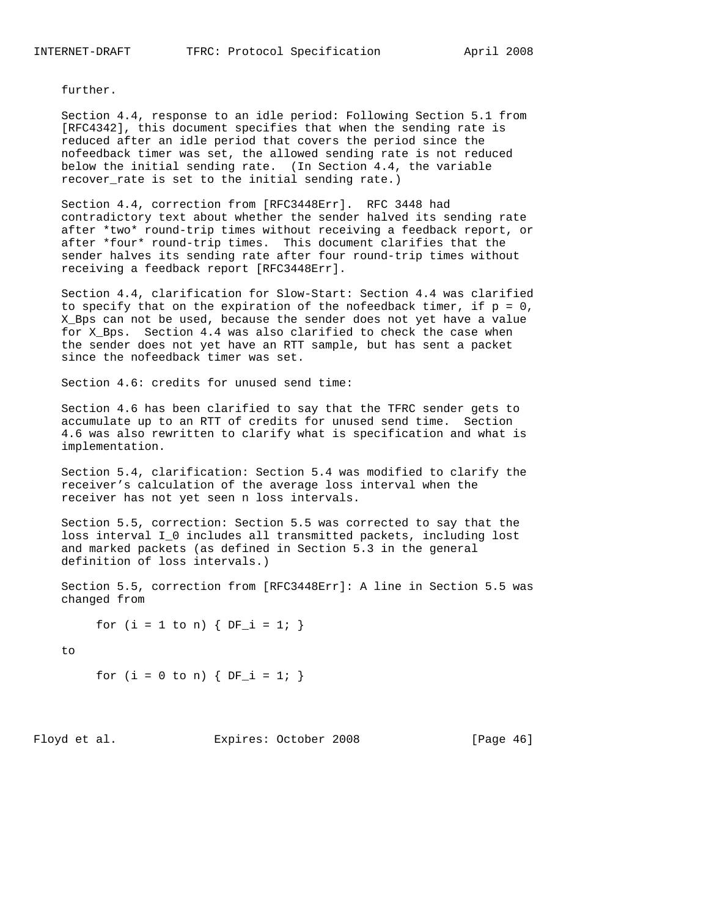further.

 Section 4.4, response to an idle period: Following Section 5.1 from [RFC4342], this document specifies that when the sending rate is reduced after an idle period that covers the period since the nofeedback timer was set, the allowed sending rate is not reduced below the initial sending rate. (In Section 4.4, the variable recover\_rate is set to the initial sending rate.)

 Section 4.4, correction from [RFC3448Err]. RFC 3448 had contradictory text about whether the sender halved its sending rate after \*two\* round-trip times without receiving a feedback report, or after \*four\* round-trip times. This document clarifies that the sender halves its sending rate after four round-trip times without receiving a feedback report [RFC3448Err].

 Section 4.4, clarification for Slow-Start: Section 4.4 was clarified to specify that on the expiration of the nofeedback timer, if  $p = 0$ , X\_Bps can not be used, because the sender does not yet have a value for X\_Bps. Section 4.4 was also clarified to check the case when the sender does not yet have an RTT sample, but has sent a packet since the nofeedback timer was set.

Section 4.6: credits for unused send time:

 Section 4.6 has been clarified to say that the TFRC sender gets to accumulate up to an RTT of credits for unused send time. Section 4.6 was also rewritten to clarify what is specification and what is implementation.

 Section 5.4, clarification: Section 5.4 was modified to clarify the receiver's calculation of the average loss interval when the receiver has not yet seen n loss intervals.

 Section 5.5, correction: Section 5.5 was corrected to say that the loss interval I\_0 includes all transmitted packets, including lost and marked packets (as defined in Section 5.3 in the general definition of loss intervals.)

 Section 5.5, correction from [RFC3448Err]: A line in Section 5.5 was changed from

for  $(i = 1 to n)$  {  $DF_i = 1;$  }

to

for  $(i = 0 \text{ to } n)$   $\{ DF_i = 1; \}$ 

Floyd et al. Expires: October 2008 [Page 46]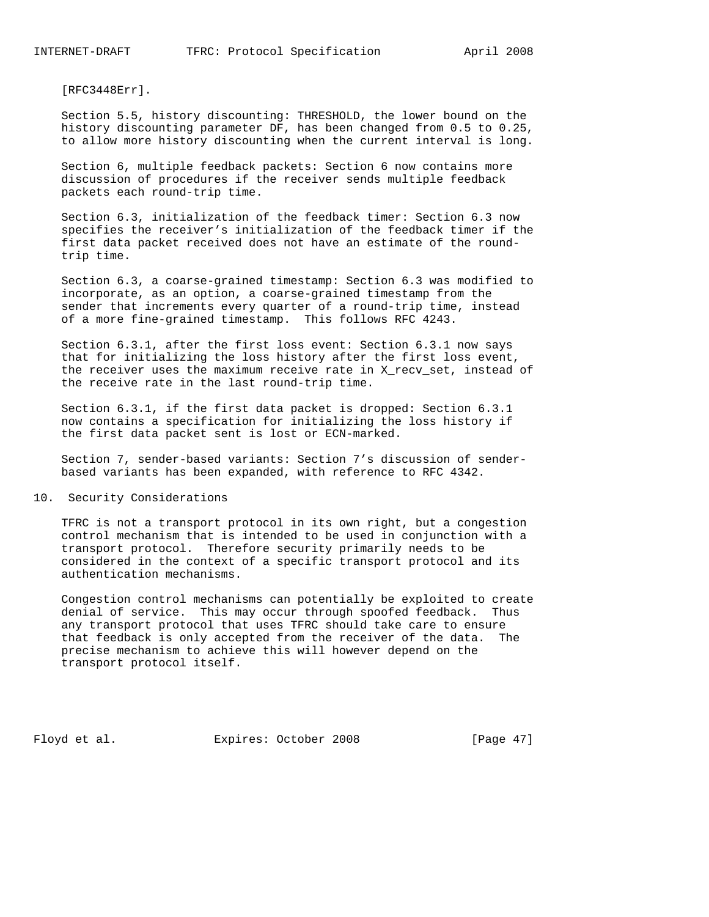[RFC3448Err].

 Section 5.5, history discounting: THRESHOLD, the lower bound on the history discounting parameter DF, has been changed from 0.5 to 0.25, to allow more history discounting when the current interval is long.

 Section 6, multiple feedback packets: Section 6 now contains more discussion of procedures if the receiver sends multiple feedback packets each round-trip time.

 Section 6.3, initialization of the feedback timer: Section 6.3 now specifies the receiver's initialization of the feedback timer if the first data packet received does not have an estimate of the round trip time.

 Section 6.3, a coarse-grained timestamp: Section 6.3 was modified to incorporate, as an option, a coarse-grained timestamp from the sender that increments every quarter of a round-trip time, instead of a more fine-grained timestamp. This follows RFC 4243.

 Section 6.3.1, after the first loss event: Section 6.3.1 now says that for initializing the loss history after the first loss event, the receiver uses the maximum receive rate in X\_recv\_set, instead of the receive rate in the last round-trip time.

 Section 6.3.1, if the first data packet is dropped: Section 6.3.1 now contains a specification for initializing the loss history if the first data packet sent is lost or ECN-marked.

 Section 7, sender-based variants: Section 7's discussion of sender based variants has been expanded, with reference to RFC 4342.

### 10. Security Considerations

 TFRC is not a transport protocol in its own right, but a congestion control mechanism that is intended to be used in conjunction with a transport protocol. Therefore security primarily needs to be considered in the context of a specific transport protocol and its authentication mechanisms.

 Congestion control mechanisms can potentially be exploited to create denial of service. This may occur through spoofed feedback. Thus any transport protocol that uses TFRC should take care to ensure that feedback is only accepted from the receiver of the data. The precise mechanism to achieve this will however depend on the transport protocol itself.

Floyd et al. Expires: October 2008 [Page 47]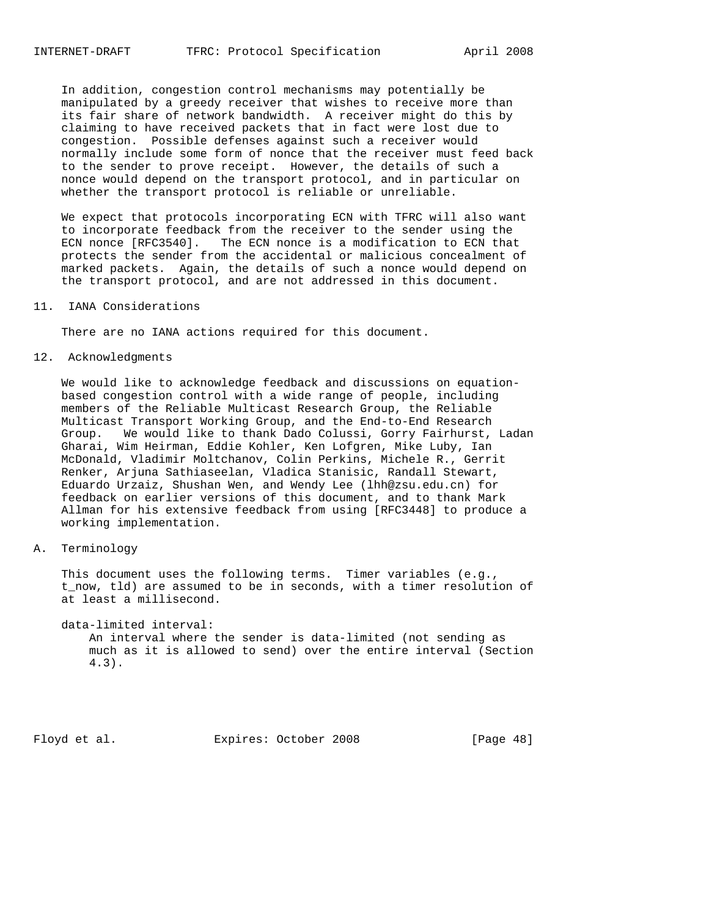In addition, congestion control mechanisms may potentially be manipulated by a greedy receiver that wishes to receive more than its fair share of network bandwidth. A receiver might do this by claiming to have received packets that in fact were lost due to congestion. Possible defenses against such a receiver would normally include some form of nonce that the receiver must feed back to the sender to prove receipt. However, the details of such a nonce would depend on the transport protocol, and in particular on whether the transport protocol is reliable or unreliable.

 We expect that protocols incorporating ECN with TFRC will also want to incorporate feedback from the receiver to the sender using the ECN nonce [RFC3540]. The ECN nonce is a modification to ECN that protects the sender from the accidental or malicious concealment of marked packets. Again, the details of such a nonce would depend on the transport protocol, and are not addressed in this document.

11. IANA Considerations

There are no IANA actions required for this document.

12. Acknowledgments

 We would like to acknowledge feedback and discussions on equation based congestion control with a wide range of people, including members of the Reliable Multicast Research Group, the Reliable Multicast Transport Working Group, and the End-to-End Research Group. We would like to thank Dado Colussi, Gorry Fairhurst, Ladan Gharai, Wim Heirman, Eddie Kohler, Ken Lofgren, Mike Luby, Ian McDonald, Vladimir Moltchanov, Colin Perkins, Michele R., Gerrit Renker, Arjuna Sathiaseelan, Vladica Stanisic, Randall Stewart, Eduardo Urzaiz, Shushan Wen, and Wendy Lee (lhh@zsu.edu.cn) for feedback on earlier versions of this document, and to thank Mark Allman for his extensive feedback from using [RFC3448] to produce a working implementation.

A. Terminology

 This document uses the following terms. Timer variables (e.g., t\_now, tld) are assumed to be in seconds, with a timer resolution of at least a millisecond.

 data-limited interval: An interval where the sender is data-limited (not sending as much as it is allowed to send) over the entire interval (Section 4.3).

Floyd et al. Expires: October 2008 [Page 48]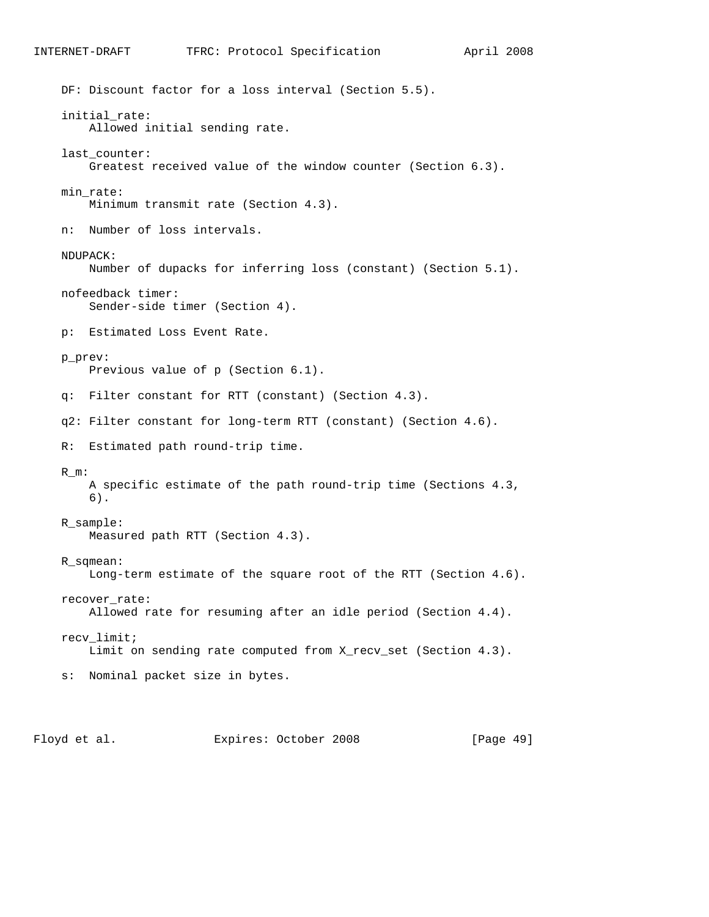```
 DF: Discount factor for a loss interval (Section 5.5).
initial_rate:
    Allowed initial sending rate.
last_counter:
    Greatest received value of the window counter (Section 6.3).
min_rate:
   Minimum transmit rate (Section 4.3).
n: Number of loss intervals.
NDUPACK:
    Number of dupacks for inferring loss (constant) (Section 5.1).
nofeedback timer:
   Sender-side timer (Section 4).
p: Estimated Loss Event Rate.
p_prev:
    Previous value of p (Section 6.1).
q: Filter constant for RTT (constant) (Section 4.3).
q2: Filter constant for long-term RTT (constant) (Section 4.6).
R: Estimated path round-trip time.
R_m:
    A specific estimate of the path round-trip time (Sections 4.3,
    6).
R_sample:
    Measured path RTT (Section 4.3).
R_sqmean:
    Long-term estimate of the square root of the RTT (Section 4.6).
recover_rate:
    Allowed rate for resuming after an idle period (Section 4.4).
recv_limit;
    Limit on sending rate computed from X_recv_set (Section 4.3).
s: Nominal packet size in bytes.
```
INTERNET-DRAFT TFRC: Protocol Specification April 2008

Floyd et al. Expires: October 2008 [Page 49]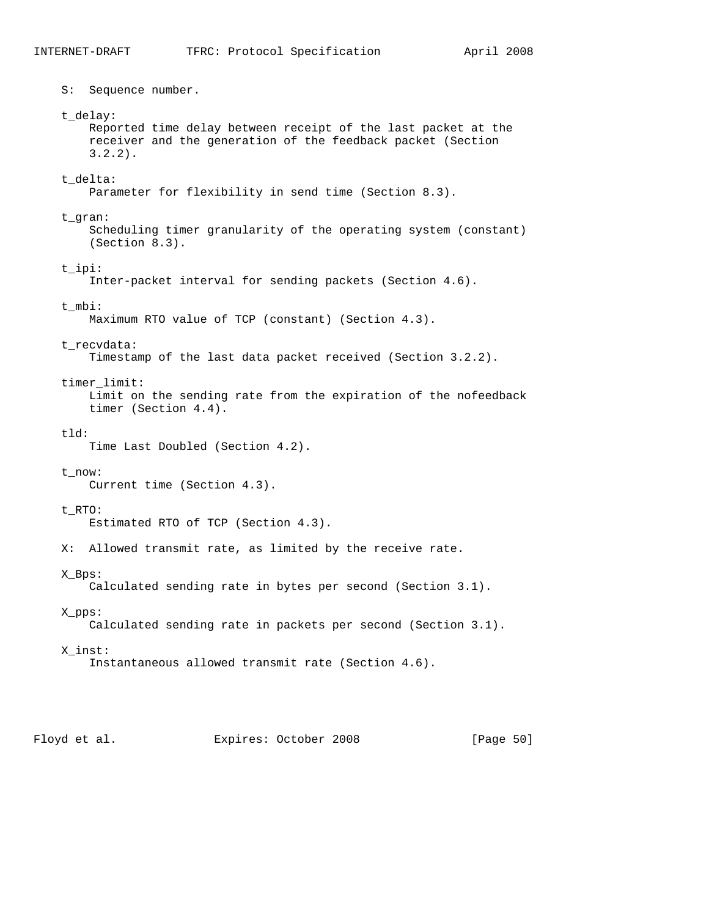S: Sequence number. t\_delay: Reported time delay between receipt of the last packet at the receiver and the generation of the feedback packet (Section 3.2.2). t\_delta: Parameter for flexibility in send time (Section 8.3). t\_gran: Scheduling timer granularity of the operating system (constant) (Section 8.3). t\_ipi: Inter-packet interval for sending packets (Section 4.6). t\_mbi: Maximum RTO value of TCP (constant) (Section 4.3). t\_recvdata: Timestamp of the last data packet received (Section 3.2.2). timer\_limit: Limit on the sending rate from the expiration of the nofeedback timer (Section 4.4). tld: Time Last Doubled (Section 4.2). t\_now: Current time (Section 4.3). t\_RTO: Estimated RTO of TCP (Section 4.3). X: Allowed transmit rate, as limited by the receive rate. X\_Bps: Calculated sending rate in bytes per second (Section 3.1). X\_pps: Calculated sending rate in packets per second (Section 3.1). X\_inst: Instantaneous allowed transmit rate (Section 4.6).

Floyd et al. Expires: October 2008 [Page 50]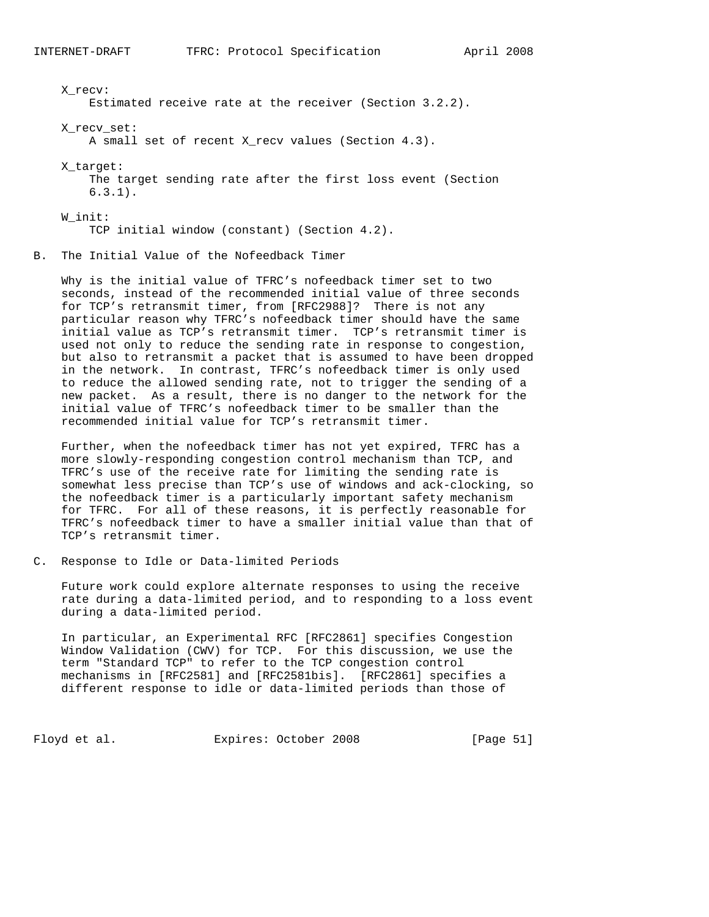X\_recv: Estimated receive rate at the receiver (Section 3.2.2). X\_recv\_set: A small set of recent X\_recv values (Section 4.3). X\_target: The target sending rate after the first loss event (Section 6.3.1). W\_init: TCP initial window (constant) (Section 4.2). B. The Initial Value of the Nofeedback Timer

 Why is the initial value of TFRC's nofeedback timer set to two seconds, instead of the recommended initial value of three seconds for TCP's retransmit timer, from [RFC2988]? There is not any particular reason why TFRC's nofeedback timer should have the same initial value as TCP's retransmit timer. TCP's retransmit timer is used not only to reduce the sending rate in response to congestion, but also to retransmit a packet that is assumed to have been dropped in the network. In contrast, TFRC's nofeedback timer is only used to reduce the allowed sending rate, not to trigger the sending of a new packet. As a result, there is no danger to the network for the initial value of TFRC's nofeedback timer to be smaller than the recommended initial value for TCP's retransmit timer.

 Further, when the nofeedback timer has not yet expired, TFRC has a more slowly-responding congestion control mechanism than TCP, and TFRC's use of the receive rate for limiting the sending rate is somewhat less precise than TCP's use of windows and ack-clocking, so the nofeedback timer is a particularly important safety mechanism for TFRC. For all of these reasons, it is perfectly reasonable for TFRC's nofeedback timer to have a smaller initial value than that of TCP's retransmit timer.

C. Response to Idle or Data-limited Periods

 Future work could explore alternate responses to using the receive rate during a data-limited period, and to responding to a loss event during a data-limited period.

 In particular, an Experimental RFC [RFC2861] specifies Congestion Window Validation (CWV) for TCP. For this discussion, we use the term "Standard TCP" to refer to the TCP congestion control mechanisms in [RFC2581] and [RFC2581bis]. [RFC2861] specifies a different response to idle or data-limited periods than those of

Floyd et al. Expires: October 2008 [Page 51]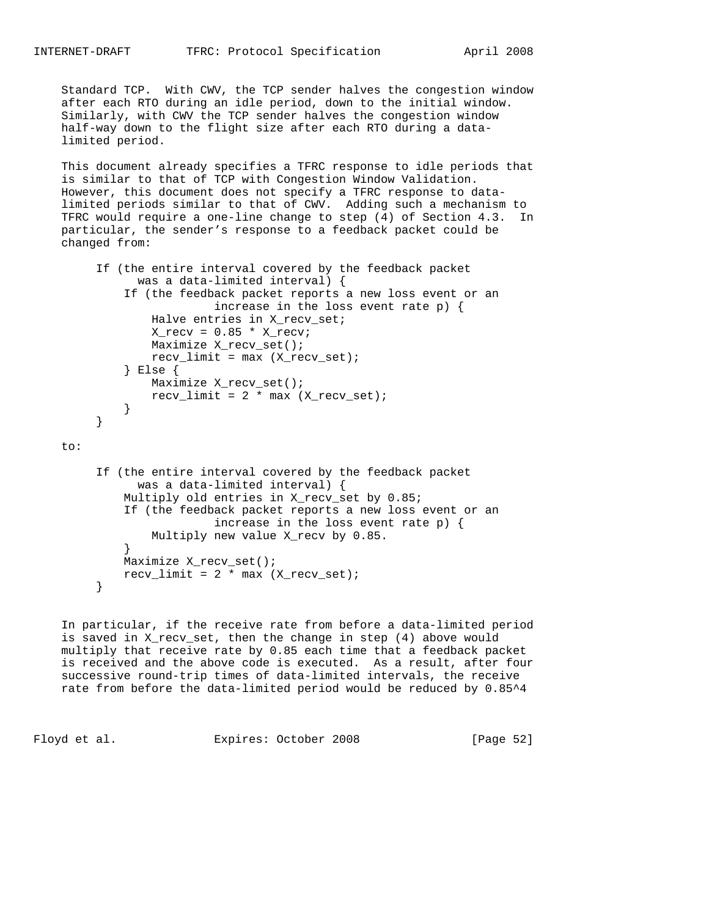Standard TCP. With CWV, the TCP sender halves the congestion window after each RTO during an idle period, down to the initial window. Similarly, with CWV the TCP sender halves the congestion window half-way down to the flight size after each RTO during a data limited period.

 This document already specifies a TFRC response to idle periods that is similar to that of TCP with Congestion Window Validation. However, this document does not specify a TFRC response to data limited periods similar to that of CWV. Adding such a mechanism to TFRC would require a one-line change to step (4) of Section 4.3. In particular, the sender's response to a feedback packet could be changed from:

```
 If (the entire interval covered by the feedback packet
              was a data-limited interval) {
            If (the feedback packet reports a new loss event or an
                         increase in the loss event rate p) {
                Halve entries in X_recv_set;
               X_{recv} = 0.85 * X_{recvi} Maximize X_recv_set();
               recv_limit = max (X_recv_set); } Else {
               Maximize X_recv_set();
               recv_limit = 2 * max (X-recv_set); }
}
```
to:

```
 If (the entire interval covered by the feedback packet
              was a data-limited interval) {
            Multiply old entries in X_recv_set by 0.85;
            If (the feedback packet reports a new loss event or an
                         increase in the loss event rate p) {
           Multiply new value X_recv by 0.85.
}
            Maximize X_recv_set();
           recv_limit = 2 * max (X-recv_set);
```

```
 }
```
 In particular, if the receive rate from before a data-limited period is saved in X\_recv\_set, then the change in step (4) above would multiply that receive rate by 0.85 each time that a feedback packet is received and the above code is executed. As a result, after four successive round-trip times of data-limited intervals, the receive rate from before the data-limited period would be reduced by 0.85^4

Floyd et al. Expires: October 2008 [Page 52]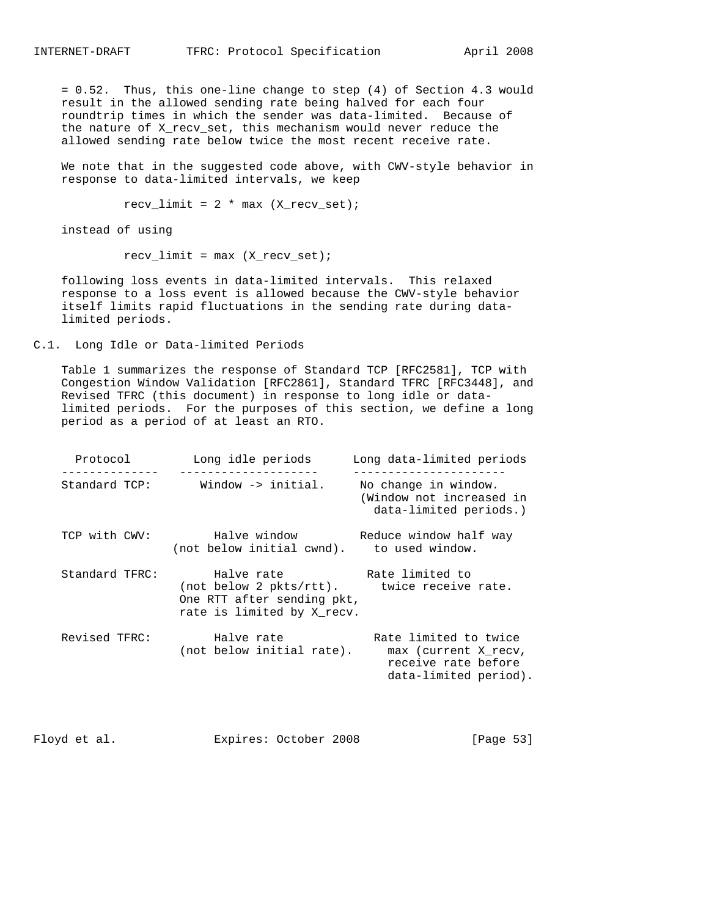= 0.52. Thus, this one-line change to step (4) of Section 4.3 would result in the allowed sending rate being halved for each four roundtrip times in which the sender was data-limited. Because of the nature of X\_recv\_set, this mechanism would never reduce the allowed sending rate below twice the most recent receive rate.

 We note that in the suggested code above, with CWV-style behavior in response to data-limited intervals, we keep

 $recv_limit = 2 * max (X-recv_set);$ 

instead of using

 $recv_limit = max (X_recv_set);$ 

 following loss events in data-limited intervals. This relaxed response to a loss event is allowed because the CWV-style behavior itself limits rapid fluctuations in the sending rate during data limited periods.

C.1. Long Idle or Data-limited Periods

 Table 1 summarizes the response of Standard TCP [RFC2581], TCP with Congestion Window Validation [RFC2861], Standard TFRC [RFC3448], and Revised TFRC (this document) in response to long idle or data limited periods. For the purposes of this section, we define a long period as a period of at least an RTO.

| Protocol      | Long idle periods                                                                                                                                          | Long data-limited periods<br>----------------                                                 |
|---------------|------------------------------------------------------------------------------------------------------------------------------------------------------------|-----------------------------------------------------------------------------------------------|
| Standard TCP: | Window -> initial.                                                                                                                                         | No change in window.<br>(Window not increased in<br>data-limited periods.)                    |
|               | TCP with CWV: Halve window Beduce window half way<br>(not below initial cwnd). to used window.                                                             |                                                                                               |
|               | Standard TFRC: Thalve rate That Rate limited to<br>(not below 2 pkts/rtt). twice receive rate.<br>One RTT after sending pkt,<br>rate is limited by X recv. |                                                                                               |
| Revised TFRC: | Halve rate<br>(not below initial rate).                                                                                                                    | Rate limited to twice<br>max (current X recv,<br>receive rate before<br>data-limited period). |

Floyd et al. Expires: October 2008 [Page 53]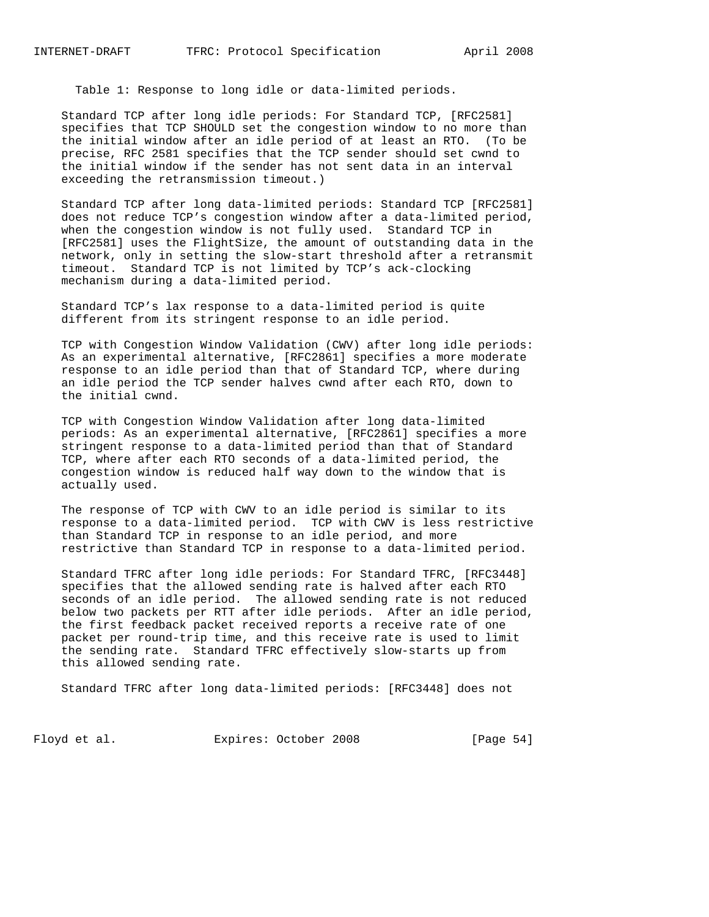Table 1: Response to long idle or data-limited periods.

 Standard TCP after long idle periods: For Standard TCP, [RFC2581] specifies that TCP SHOULD set the congestion window to no more than the initial window after an idle period of at least an RTO. (To be precise, RFC 2581 specifies that the TCP sender should set cwnd to the initial window if the sender has not sent data in an interval exceeding the retransmission timeout.)

 Standard TCP after long data-limited periods: Standard TCP [RFC2581] does not reduce TCP's congestion window after a data-limited period, when the congestion window is not fully used. Standard TCP in [RFC2581] uses the FlightSize, the amount of outstanding data in the network, only in setting the slow-start threshold after a retransmit timeout. Standard TCP is not limited by TCP's ack-clocking mechanism during a data-limited period.

 Standard TCP's lax response to a data-limited period is quite different from its stringent response to an idle period.

 TCP with Congestion Window Validation (CWV) after long idle periods: As an experimental alternative, [RFC2861] specifies a more moderate response to an idle period than that of Standard TCP, where during an idle period the TCP sender halves cwnd after each RTO, down to the initial cwnd.

 TCP with Congestion Window Validation after long data-limited periods: As an experimental alternative, [RFC2861] specifies a more stringent response to a data-limited period than that of Standard TCP, where after each RTO seconds of a data-limited period, the congestion window is reduced half way down to the window that is actually used.

 The response of TCP with CWV to an idle period is similar to its response to a data-limited period. TCP with CWV is less restrictive than Standard TCP in response to an idle period, and more restrictive than Standard TCP in response to a data-limited period.

 Standard TFRC after long idle periods: For Standard TFRC, [RFC3448] specifies that the allowed sending rate is halved after each RTO seconds of an idle period. The allowed sending rate is not reduced below two packets per RTT after idle periods. After an idle period, the first feedback packet received reports a receive rate of one packet per round-trip time, and this receive rate is used to limit the sending rate. Standard TFRC effectively slow-starts up from this allowed sending rate.

Standard TFRC after long data-limited periods: [RFC3448] does not

Floyd et al. Expires: October 2008 [Page 54]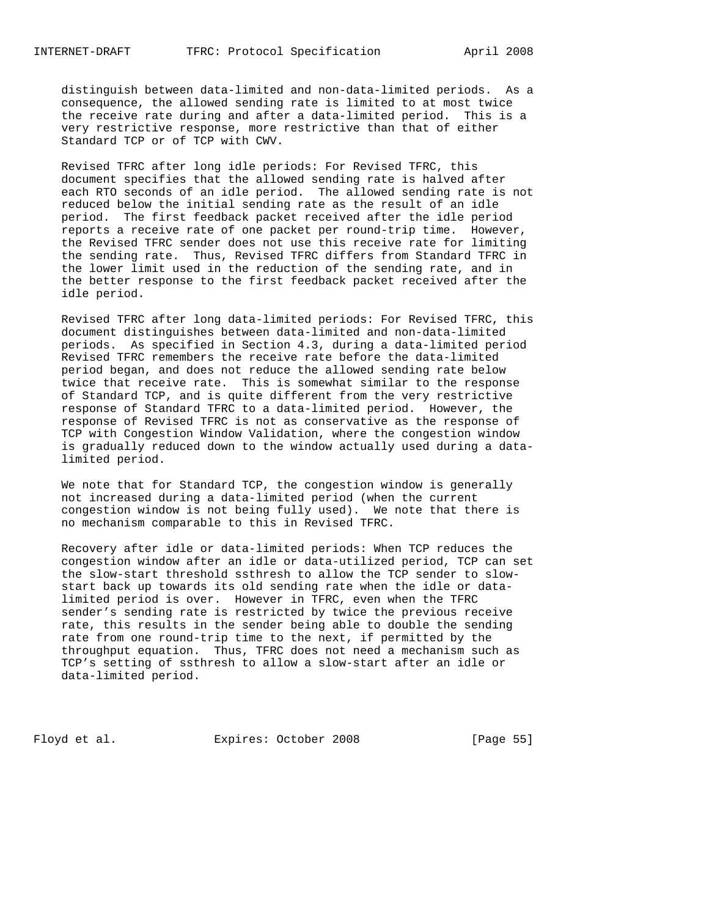distinguish between data-limited and non-data-limited periods. As a consequence, the allowed sending rate is limited to at most twice the receive rate during and after a data-limited period. This is a very restrictive response, more restrictive than that of either Standard TCP or of TCP with CWV.

 Revised TFRC after long idle periods: For Revised TFRC, this document specifies that the allowed sending rate is halved after each RTO seconds of an idle period. The allowed sending rate is not reduced below the initial sending rate as the result of an idle period. The first feedback packet received after the idle period reports a receive rate of one packet per round-trip time. However, the Revised TFRC sender does not use this receive rate for limiting the sending rate. Thus, Revised TFRC differs from Standard TFRC in the lower limit used in the reduction of the sending rate, and in the better response to the first feedback packet received after the idle period.

 Revised TFRC after long data-limited periods: For Revised TFRC, this document distinguishes between data-limited and non-data-limited periods. As specified in Section 4.3, during a data-limited period Revised TFRC remembers the receive rate before the data-limited period began, and does not reduce the allowed sending rate below twice that receive rate. This is somewhat similar to the response of Standard TCP, and is quite different from the very restrictive response of Standard TFRC to a data-limited period. However, the response of Revised TFRC is not as conservative as the response of TCP with Congestion Window Validation, where the congestion window is gradually reduced down to the window actually used during a data limited period.

 We note that for Standard TCP, the congestion window is generally not increased during a data-limited period (when the current congestion window is not being fully used). We note that there is no mechanism comparable to this in Revised TFRC.

 Recovery after idle or data-limited periods: When TCP reduces the congestion window after an idle or data-utilized period, TCP can set the slow-start threshold ssthresh to allow the TCP sender to slow start back up towards its old sending rate when the idle or data limited period is over. However in TFRC, even when the TFRC sender's sending rate is restricted by twice the previous receive rate, this results in the sender being able to double the sending rate from one round-trip time to the next, if permitted by the throughput equation. Thus, TFRC does not need a mechanism such as TCP's setting of ssthresh to allow a slow-start after an idle or data-limited period.

Floyd et al. Expires: October 2008 [Page 55]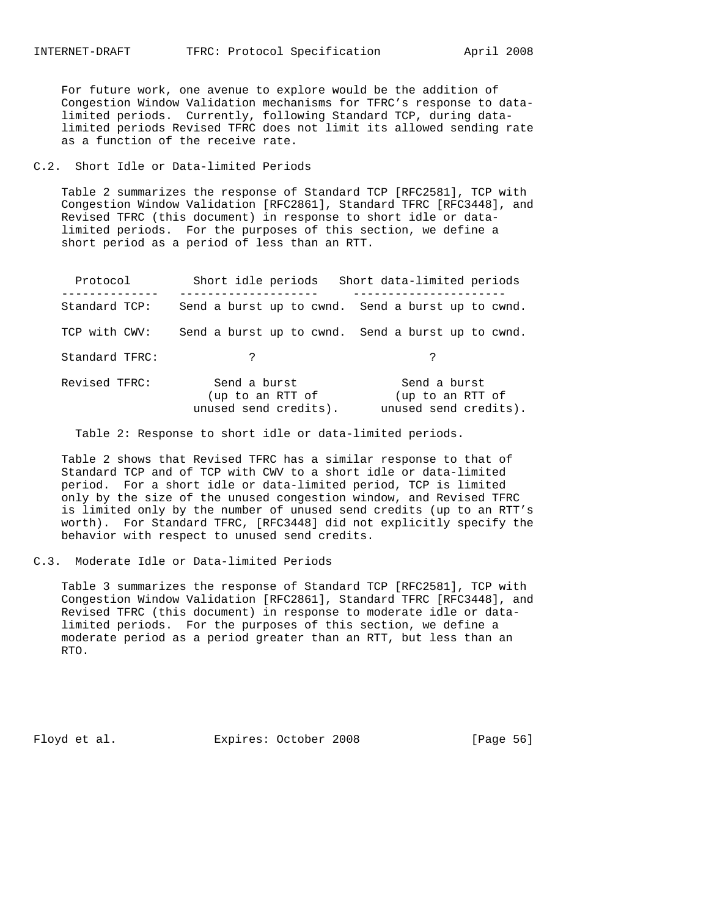For future work, one avenue to explore would be the addition of Congestion Window Validation mechanisms for TFRC's response to data limited periods. Currently, following Standard TCP, during data limited periods Revised TFRC does not limit its allowed sending rate as a function of the receive rate.

C.2. Short Idle or Data-limited Periods

 Table 2 summarizes the response of Standard TCP [RFC2581], TCP with Congestion Window Validation [RFC2861], Standard TFRC [RFC3448], and Revised TFRC (this document) in response to short idle or data limited periods. For the purposes of this section, we define a short period as a period of less than an RTT.

| Protocol       | Short idle periods                                        | Short data-limited periods                                |
|----------------|-----------------------------------------------------------|-----------------------------------------------------------|
| Standard TCP:  |                                                           | Send a burst up to cwnd. Send a burst up to cwnd.         |
| TCP with CWV:  |                                                           | Send a burst up to cwnd. Send a burst up to cwnd.         |
| Standard TFRC: | $\mathcal{L}$                                             | ?                                                         |
| Revised TFRC:  | Send a burst<br>(up to an RTT of<br>unused send credits). | Send a burst<br>(up to an RTT of<br>unused send credits). |

Table 2: Response to short idle or data-limited periods.

 Table 2 shows that Revised TFRC has a similar response to that of Standard TCP and of TCP with CWV to a short idle or data-limited period. For a short idle or data-limited period, TCP is limited only by the size of the unused congestion window, and Revised TFRC is limited only by the number of unused send credits (up to an RTT's worth). For Standard TFRC, [RFC3448] did not explicitly specify the behavior with respect to unused send credits.

C.3. Moderate Idle or Data-limited Periods

 Table 3 summarizes the response of Standard TCP [RFC2581], TCP with Congestion Window Validation [RFC2861], Standard TFRC [RFC3448], and Revised TFRC (this document) in response to moderate idle or data limited periods. For the purposes of this section, we define a moderate period as a period greater than an RTT, but less than an RTO.

Floyd et al. Expires: October 2008 [Page 56]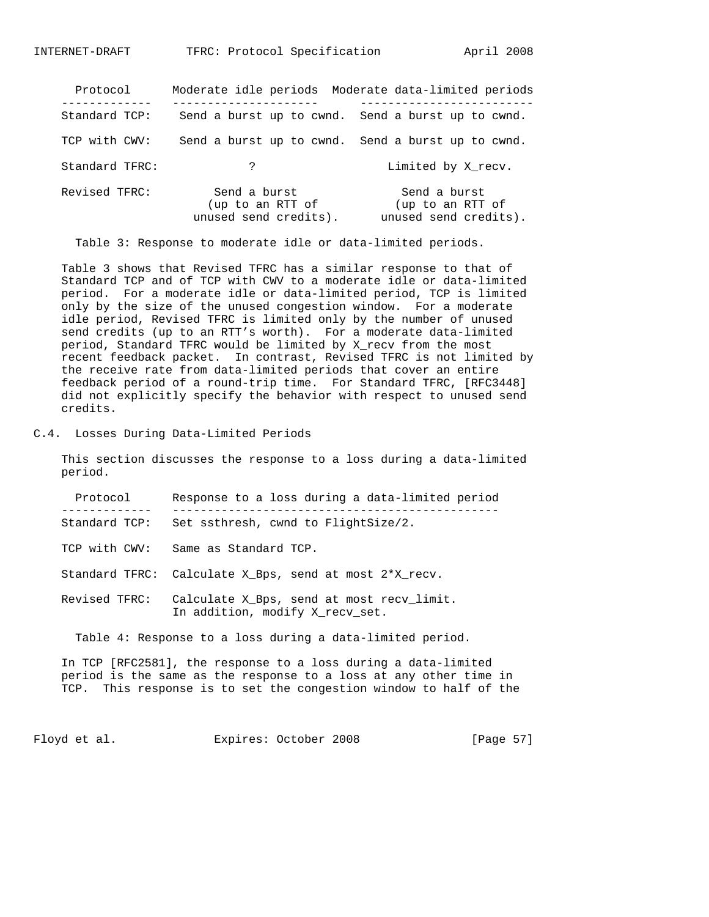| Protocol       |                                                           | Moderate idle periods Moderate data-limited periods       |
|----------------|-----------------------------------------------------------|-----------------------------------------------------------|
| Standard TCP:  |                                                           | Send a burst up to cwnd. Send a burst up to cwnd.         |
| TCP with CWV:  |                                                           | Send a burst up to cwnd. Send a burst up to cwnd.         |
| Standard TFRC: | ?                                                         | Limited by X recv.                                        |
| Revised TFRC:  | Send a burst<br>(up to an RTT of<br>unused send credits). | Send a burst<br>(up to an RTT of<br>unused send credits). |

Table 3: Response to moderate idle or data-limited periods.

 Table 3 shows that Revised TFRC has a similar response to that of Standard TCP and of TCP with CWV to a moderate idle or data-limited period. For a moderate idle or data-limited period, TCP is limited only by the size of the unused congestion window. For a moderate idle period, Revised TFRC is limited only by the number of unused send credits (up to an RTT's worth). For a moderate data-limited period, Standard TFRC would be limited by X\_recv from the most recent feedback packet. In contrast, Revised TFRC is not limited by the receive rate from data-limited periods that cover an entire feedback period of a round-trip time. For Standard TFRC, [RFC3448] did not explicitly specify the behavior with respect to unused send credits.

C.4. Losses During Data-Limited Periods

 This section discusses the response to a loss during a data-limited period.

| Protocol       | Response to a loss during a data-limited period                                                                                     |
|----------------|-------------------------------------------------------------------------------------------------------------------------------------|
| Standard TCP:  | Set ssthresh, cwnd to FlightSize/2.                                                                                                 |
| TCP with CWV:  | Same as Standard TCP.                                                                                                               |
| Standard TFRC: | Calculate X Bps, send at most 2*X recv.                                                                                             |
| Revised TFRC:  | Calculate X Bps, send at most recy limit.<br>In addition, modify X recv set.                                                        |
|                | Table 4: Response to a loss during a data-limited period.                                                                           |
|                | In TCP [RFC2581], the response to a loss during a data-limited<br>period is the same as the response to a loss at any other time in |

TCP. This response is to set the congestion window to half of the

Floyd et al. Expires: October 2008 [Page 57]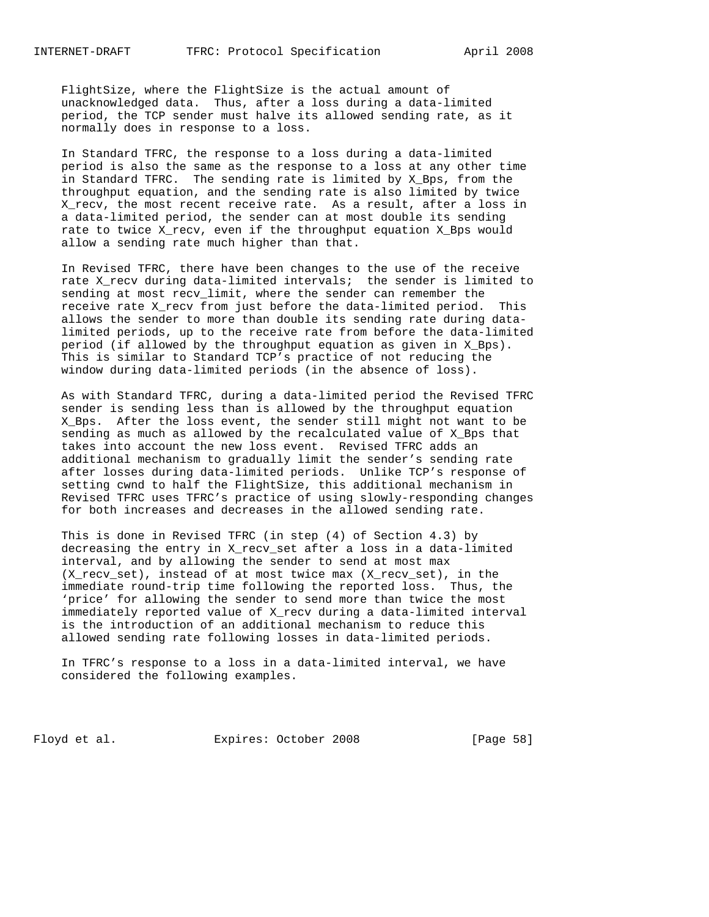FlightSize, where the FlightSize is the actual amount of unacknowledged data. Thus, after a loss during a data-limited period, the TCP sender must halve its allowed sending rate, as it normally does in response to a loss.

 In Standard TFRC, the response to a loss during a data-limited period is also the same as the response to a loss at any other time in Standard TFRC. The sending rate is limited by X\_Bps, from the throughput equation, and the sending rate is also limited by twice X\_recv, the most recent receive rate. As a result, after a loss in a data-limited period, the sender can at most double its sending rate to twice X\_recv, even if the throughput equation X\_Bps would allow a sending rate much higher than that.

 In Revised TFRC, there have been changes to the use of the receive rate X\_recv during data-limited intervals; the sender is limited to sending at most recv\_limit, where the sender can remember the receive rate X\_recv from just before the data-limited period. This allows the sender to more than double its sending rate during data limited periods, up to the receive rate from before the data-limited period (if allowed by the throughput equation as given in X\_Bps). This is similar to Standard TCP's practice of not reducing the window during data-limited periods (in the absence of loss).

 As with Standard TFRC, during a data-limited period the Revised TFRC sender is sending less than is allowed by the throughput equation X\_Bps. After the loss event, the sender still might not want to be sending as much as allowed by the recalculated value of X\_Bps that takes into account the new loss event. Revised TFRC adds an additional mechanism to gradually limit the sender's sending rate after losses during data-limited periods. Unlike TCP's response of setting cwnd to half the FlightSize, this additional mechanism in Revised TFRC uses TFRC's practice of using slowly-responding changes for both increases and decreases in the allowed sending rate.

 This is done in Revised TFRC (in step (4) of Section 4.3) by decreasing the entry in X\_recv\_set after a loss in a data-limited interval, and by allowing the sender to send at most max (X\_recv\_set), instead of at most twice max (X\_recv\_set), in the immediate round-trip time following the reported loss. Thus, the 'price' for allowing the sender to send more than twice the most immediately reported value of X\_recv during a data-limited interval is the introduction of an additional mechanism to reduce this allowed sending rate following losses in data-limited periods.

 In TFRC's response to a loss in a data-limited interval, we have considered the following examples.

Floyd et al. Expires: October 2008 [Page 58]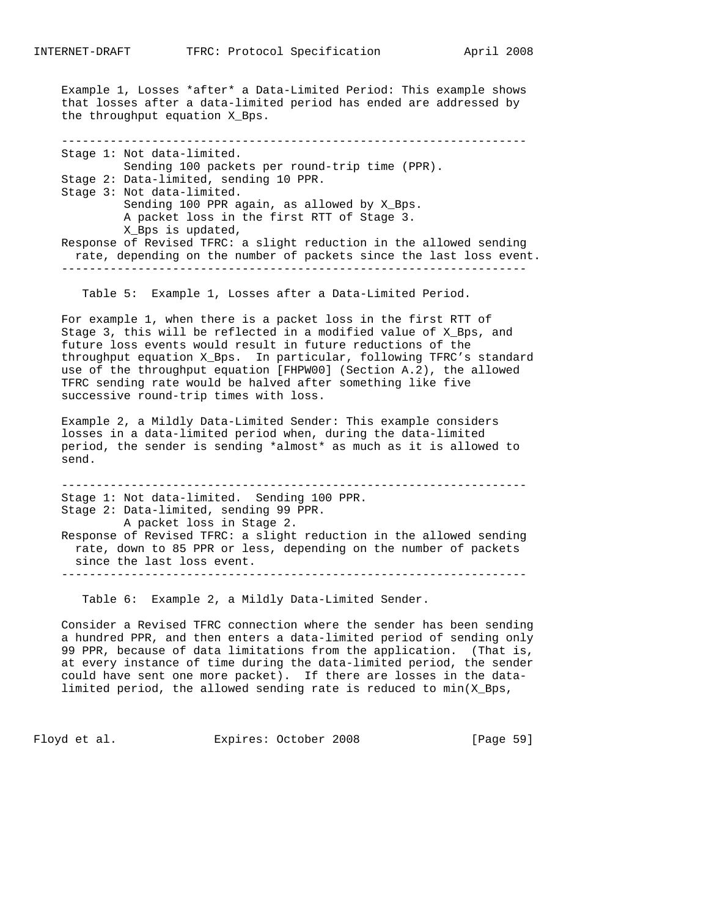Example 1, Losses \*after\* a Data-Limited Period: This example shows that losses after a data-limited period has ended are addressed by the throughput equation X\_Bps.

 ------------------------------------------------------------------- Stage 1: Not data-limited. Sending 100 packets per round-trip time (PPR). Stage 2: Data-limited, sending 10 PPR. Stage 3: Not data-limited. Sending 100 PPR again, as allowed by X\_Bps. A packet loss in the first RTT of Stage 3. X\_Bps is updated, Response of Revised TFRC: a slight reduction in the allowed sending rate, depending on the number of packets since the last loss event. -------------------------------------------------------------------

Table 5: Example 1, Losses after a Data-Limited Period.

 For example 1, when there is a packet loss in the first RTT of Stage 3, this will be reflected in a modified value of X\_Bps, and future loss events would result in future reductions of the throughput equation X\_Bps. In particular, following TFRC's standard use of the throughput equation [FHPW00] (Section A.2), the allowed TFRC sending rate would be halved after something like five successive round-trip times with loss.

 Example 2, a Mildly Data-Limited Sender: This example considers losses in a data-limited period when, during the data-limited period, the sender is sending \*almost\* as much as it is allowed to send.

 ------------------------------------------------------------------- Stage 1: Not data-limited. Sending 100 PPR. Stage 2: Data-limited, sending 99 PPR. A packet loss in Stage 2. Response of Revised TFRC: a slight reduction in the allowed sending rate, down to 85 PPR or less, depending on the number of packets since the last loss event. -------------------------------------------------------------------

Table 6: Example 2, a Mildly Data-Limited Sender.

 Consider a Revised TFRC connection where the sender has been sending a hundred PPR, and then enters a data-limited period of sending only 99 PPR, because of data limitations from the application. (That is, at every instance of time during the data-limited period, the sender could have sent one more packet). If there are losses in the data limited period, the allowed sending rate is reduced to  $min(X_Bps,$ 

Floyd et al. Expires: October 2008 [Page 59]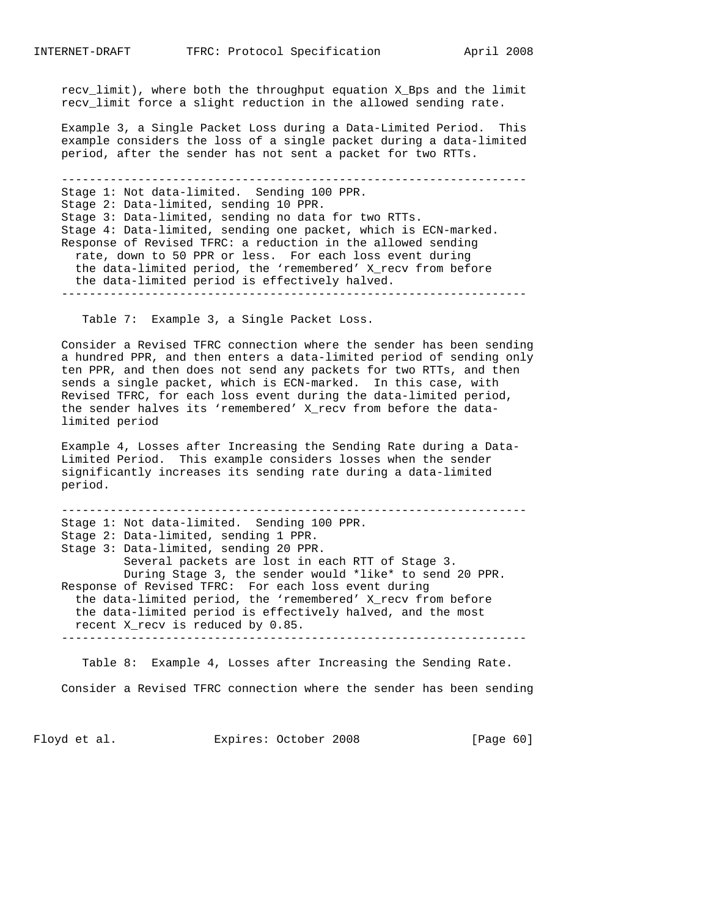recv\_limit), where both the throughput equation X\_Bps and the limit recv\_limit force a slight reduction in the allowed sending rate.

 Example 3, a Single Packet Loss during a Data-Limited Period. This example considers the loss of a single packet during a data-limited period, after the sender has not sent a packet for two RTTs.

 ------------------------------------------------------------------- Stage 1: Not data-limited. Sending 100 PPR. Stage 2: Data-limited, sending 10 PPR. Stage 3: Data-limited, sending no data for two RTTs. Stage 4: Data-limited, sending one packet, which is ECN-marked. Response of Revised TFRC: a reduction in the allowed sending rate, down to 50 PPR or less. For each loss event during the data-limited period, the 'remembered' X\_recv from before the data-limited period is effectively halved. -------------------------------------------------------------------

Table 7: Example 3, a Single Packet Loss.

 Consider a Revised TFRC connection where the sender has been sending a hundred PPR, and then enters a data-limited period of sending only ten PPR, and then does not send any packets for two RTTs, and then sends a single packet, which is ECN-marked. In this case, with Revised TFRC, for each loss event during the data-limited period, the sender halves its 'remembered' X\_recv from before the data limited period

 Example 4, Losses after Increasing the Sending Rate during a Data- Limited Period. This example considers losses when the sender significantly increases its sending rate during a data-limited period.

 ------------------------------------------------------------------- Stage 1: Not data-limited. Sending 100 PPR. Stage 2: Data-limited, sending 1 PPR. Stage 3: Data-limited, sending 20 PPR. Several packets are lost in each RTT of Stage 3. During Stage 3, the sender would \*like\* to send 20 PPR. Response of Revised TFRC: For each loss event during the data-limited period, the 'remembered' X\_recv from before the data-limited period is effectively halved, and the most recent X\_recv is reduced by 0.85. -------------------------------------------------------------------

 Table 8: Example 4, Losses after Increasing the Sending Rate. Consider a Revised TFRC connection where the sender has been sending

Floyd et al. Expires: October 2008 [Page 60]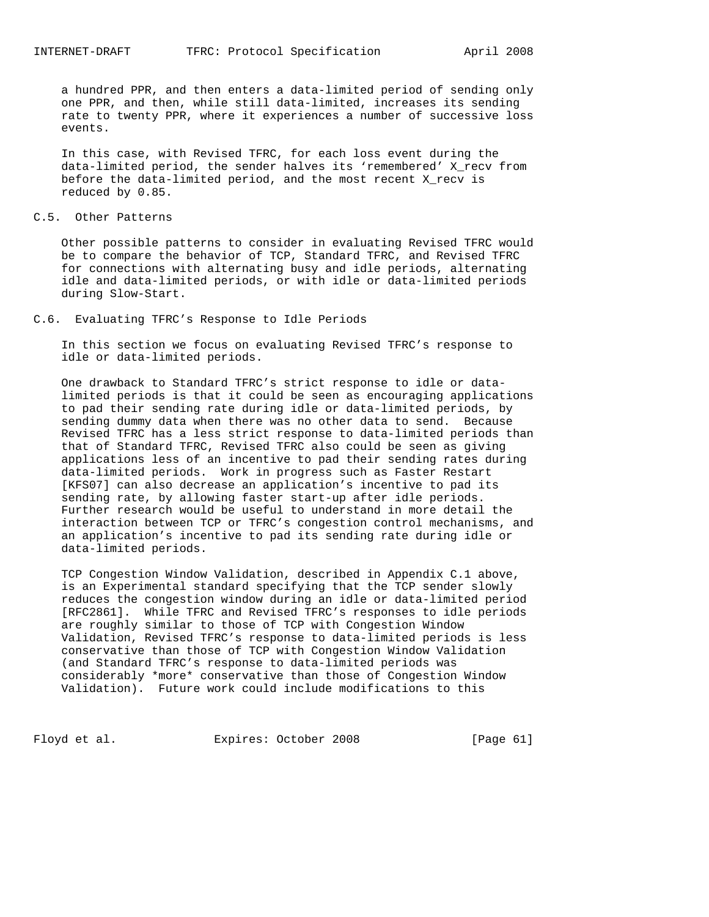a hundred PPR, and then enters a data-limited period of sending only one PPR, and then, while still data-limited, increases its sending rate to twenty PPR, where it experiences a number of successive loss events.

 In this case, with Revised TFRC, for each loss event during the data-limited period, the sender halves its 'remembered' X\_recv from before the data-limited period, and the most recent X\_recv is reduced by 0.85.

#### C.5. Other Patterns

 Other possible patterns to consider in evaluating Revised TFRC would be to compare the behavior of TCP, Standard TFRC, and Revised TFRC for connections with alternating busy and idle periods, alternating idle and data-limited periods, or with idle or data-limited periods during Slow-Start.

#### C.6. Evaluating TFRC's Response to Idle Periods

 In this section we focus on evaluating Revised TFRC's response to idle or data-limited periods.

 One drawback to Standard TFRC's strict response to idle or data limited periods is that it could be seen as encouraging applications to pad their sending rate during idle or data-limited periods, by sending dummy data when there was no other data to send. Because Revised TFRC has a less strict response to data-limited periods than that of Standard TFRC, Revised TFRC also could be seen as giving applications less of an incentive to pad their sending rates during data-limited periods. Work in progress such as Faster Restart [KFS07] can also decrease an application's incentive to pad its sending rate, by allowing faster start-up after idle periods. Further research would be useful to understand in more detail the interaction between TCP or TFRC's congestion control mechanisms, and an application's incentive to pad its sending rate during idle or data-limited periods.

 TCP Congestion Window Validation, described in Appendix C.1 above, is an Experimental standard specifying that the TCP sender slowly reduces the congestion window during an idle or data-limited period [RFC2861]. While TFRC and Revised TFRC's responses to idle periods are roughly similar to those of TCP with Congestion Window Validation, Revised TFRC's response to data-limited periods is less conservative than those of TCP with Congestion Window Validation (and Standard TFRC's response to data-limited periods was considerably \*more\* conservative than those of Congestion Window Validation). Future work could include modifications to this

Floyd et al. Expires: October 2008 [Page 61]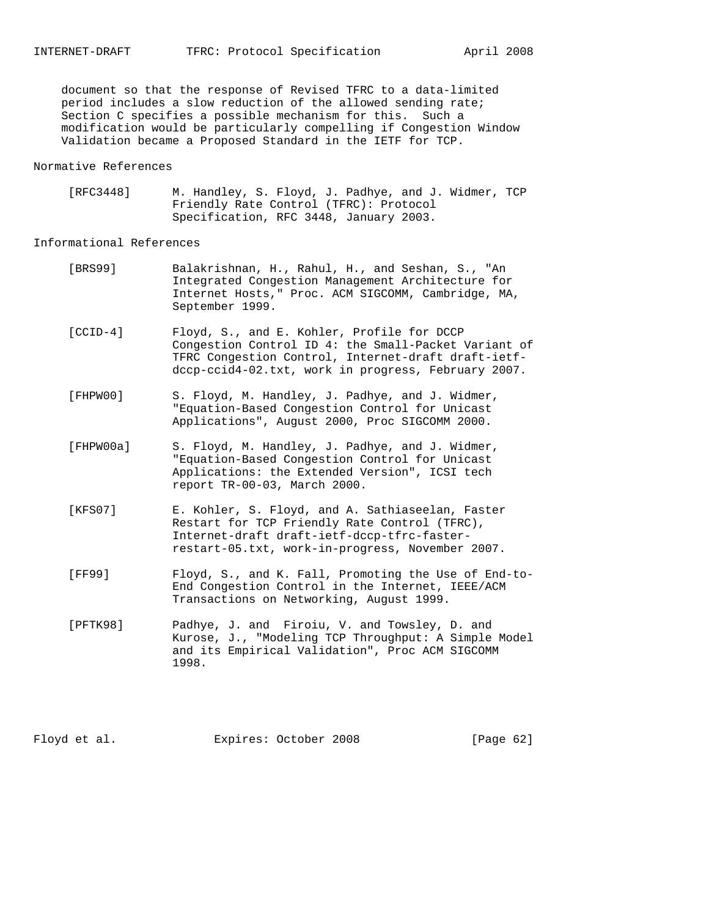document so that the response of Revised TFRC to a data-limited period includes a slow reduction of the allowed sending rate; Section C specifies a possible mechanism for this. Such a modification would be particularly compelling if Congestion Window Validation became a Proposed Standard in the IETF for TCP.

# Normative References

 [RFC3448] M. Handley, S. Floyd, J. Padhye, and J. Widmer, TCP Friendly Rate Control (TFRC): Protocol Specification, RFC 3448, January 2003.

# Informational References

| [BRS99]    | Balakrishnan, H., Rahul, H., and Seshan, S., "An<br>Integrated Congestion Management Architecture for<br>Internet Hosts, " Proc. ACM SIGCOMM, Cambridge, MA,<br>September 1999.                                  |
|------------|------------------------------------------------------------------------------------------------------------------------------------------------------------------------------------------------------------------|
| $[CCID-4]$ | Floyd, S., and E. Kohler, Profile for DCCP<br>Congestion Control ID 4: the Small-Packet Variant of<br>TFRC Congestion Control, Internet-draft draft-ietf-<br>dccp-ccid4-02.txt, work in progress, February 2007. |
| FFHPW001   | S. Floyd, M. Handley, J. Padhye, and J. Widmer,<br>"Equation-Based Congestion Control for Unicast<br>Applications", August 2000, Proc SIGCOMM 2000.                                                              |
| [FHPW00a]  | S. Floyd, M. Handley, J. Padhye, and J. Widmer,<br>"Equation-Based Congestion Control for Unicast<br>Applications: the Extended Version", ICSI tech<br>report TR-00-03, March 2000.                              |
| [KFS07]    | E. Kohler, S. Floyd, and A. Sathiaseelan, Faster<br>Restart for TCP Friendly Rate Control (TFRC),<br>Internet-draft draft-ietf-dccp-tfrc-faster-<br>restart-05.txt, work-in-progress, November 2007.             |
| [FF99]     | Floyd, S., and K. Fall, Promoting the Use of End-to-<br>End Congestion Control in the Internet, IEEE/ACM<br>Transactions on Networking, August 1999.                                                             |
| [DTTK98]   | Dadhye J and Firoiu V and Towsley D and                                                                                                                                                                          |

 [PFTK98] Padhye, J. and Firoiu, V. and Towsley, D. and Kurose, J., "Modeling TCP Throughput: A Simple Model and its Empirical Validation", Proc ACM SIGCOMM 1998.

Floyd et al. Expires: October 2008 [Page 62]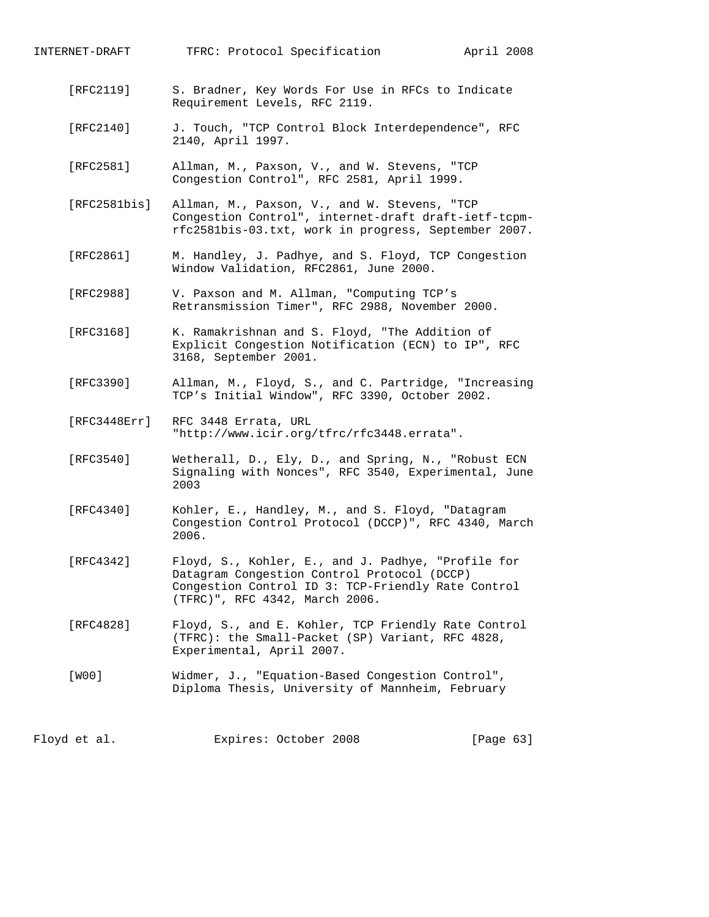INTERNET-DRAFT TFRC: Protocol Specification April 2008

- [RFC2119] S. Bradner, Key Words For Use in RFCs to Indicate Requirement Levels, RFC 2119.
- [RFC2140] J. Touch, "TCP Control Block Interdependence", RFC 2140, April 1997.
- [RFC2581] Allman, M., Paxson, V., and W. Stevens, "TCP Congestion Control", RFC 2581, April 1999.
- [RFC2581bis] Allman, M., Paxson, V., and W. Stevens, "TCP Congestion Control", internet-draft draft-ietf-tcpm rfc2581bis-03.txt, work in progress, September 2007.
- [RFC2861] M. Handley, J. Padhye, and S. Floyd, TCP Congestion Window Validation, RFC2861, June 2000.
- [RFC2988] V. Paxson and M. Allman, "Computing TCP's Retransmission Timer", RFC 2988, November 2000.
- [RFC3168] K. Ramakrishnan and S. Floyd, "The Addition of Explicit Congestion Notification (ECN) to IP", RFC 3168, September 2001.
- [RFC3390] Allman, M., Floyd, S., and C. Partridge, "Increasing TCP's Initial Window", RFC 3390, October 2002.
- [RFC3448Err] RFC 3448 Errata, URL "http://www.icir.org/tfrc/rfc3448.errata".
- [RFC3540] Wetherall, D., Ely, D., and Spring, N., "Robust ECN Signaling with Nonces", RFC 3540, Experimental, June 2003
- [RFC4340] Kohler, E., Handley, M., and S. Floyd, "Datagram Congestion Control Protocol (DCCP)", RFC 4340, March 2006.
- [RFC4342] Floyd, S., Kohler, E., and J. Padhye, "Profile for Datagram Congestion Control Protocol (DCCP) Congestion Control ID 3: TCP-Friendly Rate Control (TFRC)", RFC 4342, March 2006.
- [RFC4828] Floyd, S., and E. Kohler, TCP Friendly Rate Control (TFRC): the Small-Packet (SP) Variant, RFC 4828, Experimental, April 2007.
- [W00] Widmer, J., "Equation-Based Congestion Control", Diploma Thesis, University of Mannheim, February

Floyd et al. Expires: October 2008 [Page 63]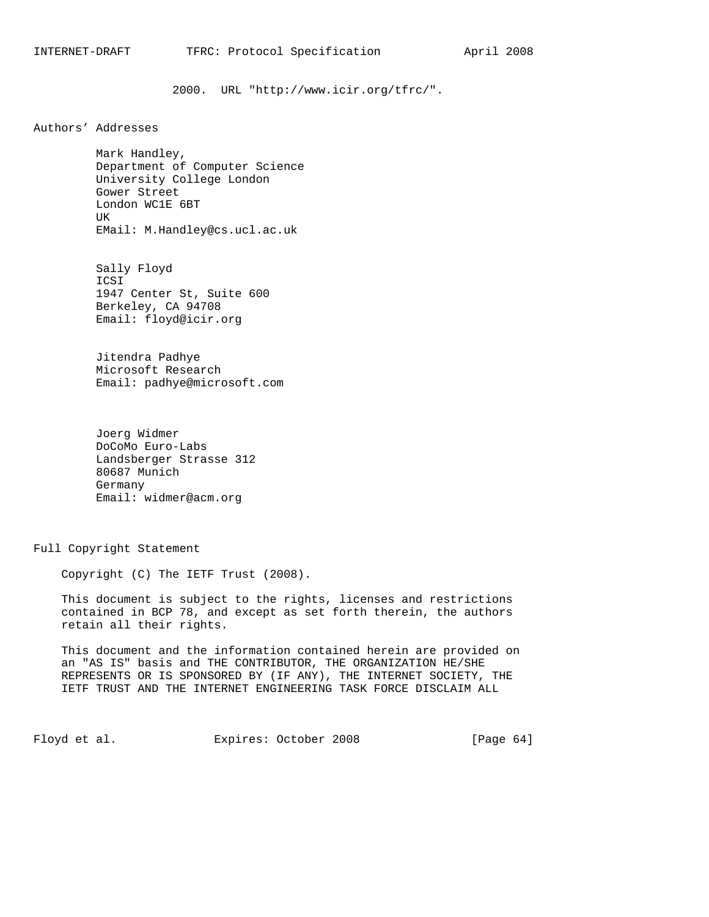2000. URL "http://www.icir.org/tfrc/".

Authors' Addresses

 Mark Handley, Department of Computer Science University College London Gower Street London WC1E 6BT UK EMail: M.Handley@cs.ucl.ac.uk

 Sally Floyd ICSI 1947 Center St, Suite 600 Berkeley, CA 94708 Email: floyd@icir.org

 Jitendra Padhye Microsoft Research Email: padhye@microsoft.com

 Joerg Widmer DoCoMo Euro-Labs Landsberger Strasse 312 80687 Munich Germany Email: widmer@acm.org

Full Copyright Statement

Copyright (C) The IETF Trust (2008).

 This document is subject to the rights, licenses and restrictions contained in BCP 78, and except as set forth therein, the authors retain all their rights.

 This document and the information contained herein are provided on an "AS IS" basis and THE CONTRIBUTOR, THE ORGANIZATION HE/SHE REPRESENTS OR IS SPONSORED BY (IF ANY), THE INTERNET SOCIETY, THE IETF TRUST AND THE INTERNET ENGINEERING TASK FORCE DISCLAIM ALL

Floyd et al. Expires: October 2008 [Page 64]